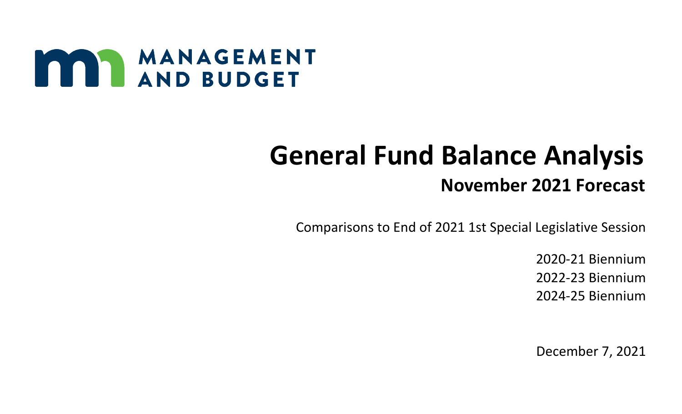

## **General Fund Balance Analysis November 2021 Forecast**

Comparisons to End of 2021 1st Special Legislative Session

2020-21 Biennium 2022-23 Biennium 2024-25 Biennium

December 7, 2021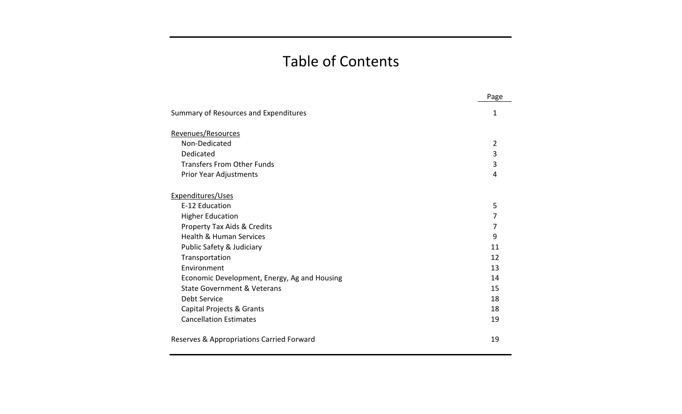## Table of Contents

|                                              | Page           |
|----------------------------------------------|----------------|
| Summary of Resources and Expenditures        | 1              |
| Revenues/Resources                           |                |
| Non-Dedicated                                | $\overline{2}$ |
| Dedicated                                    | 3              |
| <b>Transfers From Other Funds</b>            | 3              |
| Prior Year Adjustments                       | 4              |
| Expenditures/Uses                            |                |
| E-12 Education                               | 5              |
| <b>Higher Education</b>                      | 7              |
| Property Tax Aids & Credits                  | 7              |
| <b>Health &amp; Human Services</b>           | 9              |
| Public Safety & Judiciary                    | 11             |
| Transportation                               | 12             |
| Environment                                  | 13             |
| Economic Development, Energy, Ag and Housing | 14             |
| <b>State Government &amp; Veterans</b>       | 15             |
| <b>Debt Service</b>                          | 18             |
| Capital Projects & Grants                    | 18             |
| <b>Cancellation Estimates</b>                | 19             |
| Reserves & Appropriations Carried Forward    | 19             |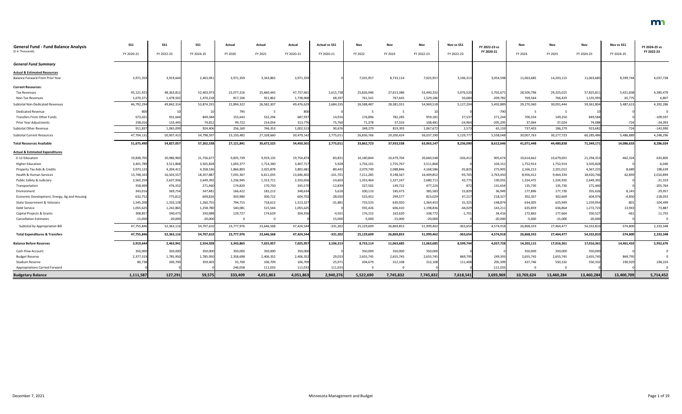| <b>General Fund - Fund Balance Analysis</b><br>(\$ in Thousands) | SS1<br>FY 2020-21 | SS <sub>1</sub><br>FY 2022-23 | SS <sub>1</sub><br>FY 2024-25 | Actual<br>FY 2020 | Actual<br>FY 2021 | Actual<br>FY 2020-21 | <b>Actual vs SS1</b><br>FY 2020-21 | Nov<br>FY 2022 | Nov<br>FY 2023 | Nov<br>FY 2022-23 | Nov vs SS1<br>FY 2022-23 | FY 2022-23 vs<br>FY 2020-21 | Nov<br>FY 2024 | Nov<br>FY 2025 | Nov<br>FY 2024-25 | Nov vs SS1<br>FY 2024-25 | FY 2024-25 vs<br>FY 2022-23 |
|------------------------------------------------------------------|-------------------|-------------------------------|-------------------------------|-------------------|-------------------|----------------------|------------------------------------|----------------|----------------|-------------------|--------------------------|-----------------------------|----------------|----------------|-------------------|--------------------------|-----------------------------|
|                                                                  |                   |                               |                               |                   |                   |                      |                                    |                |                |                   |                          |                             |                |                |                   |                          |                             |
| <b>General Fund Summary</b>                                      |                   |                               |                               |                   |                   |                      |                                    |                |                |                   |                          |                             |                |                |                   |                          |                             |
| <b>Actual &amp; Estimated Resources</b>                          |                   |                               |                               |                   |                   |                      |                                    |                |                |                   |                          |                             |                |                |                   |                          |                             |
| Balance Forward From Prior Year                                  | 3,971,359         | 3,919,644                     | 2,463,941                     | 3,971,359         | 3,343,865         | 3,971,359            |                                    | 7,025,957      | 8,733,114      | 7,025,957         | 3,106,313                | 3,054,598                   | 11,063,685     | 14,203,115     | 11,063,68         | 8,599,744                | 4,037,728                   |
| <b>Current Resources:</b>                                        |                   |                               |                               |                   |                   |                      |                                    |                |                |                   |                          |                             |                |                |                   |                          |                             |
| <b>Tax Revenues</b>                                              | 45,121,923        | 48,363,81                     | 52,403,973                    | 22,077,216        | 25,660,445        | 47,737,661           | 2,615,73                           | 25,826,946     | 27,613,386     | 53,440,332        | 5,076,520                | 5,702,67                    | 28,500,796     | 29,325,015     | 57,825,81         | 5,421,838                | 4,385,479                   |
| Non-Tax Revenues                                                 | 1,670,371         | 1,478,502                     | 1,470,218                     | 817,106           | 921,862           | 1,738,968            | 68,597                             | 761,541        | 767,645        | 1,529,186         | 50,684                   | $-209,782$                  | 769,564        | 766,429        | 1,535,99          | 65,775                   | 6,807                       |
| Subtotal Non-Dedicated Revenues                                  | 46,792,294        | 49,842,31                     | 53,874,191                    | 22,894,322        | 26,582,307        | 49,476,629           | 2,684,335                          | 26,588,487     | 28,381,031     | 54,969,518        | 5,127,204                | 5,492,889                   | 29,270,360     | 30,091,444     | 59,361,804        | 5,487,613                | 4,392,286                   |
| <b>Dedicated Revenue</b>                                         | 800               |                               |                               | 795               |                   | 800                  |                                    |                | - 5            |                   |                          | $-790$                      |                |                |                   |                          |                             |
| Transfers From Other Funds                                       | 673,021           | 931,644                       | 849,584                       | 155,643           | 532,294           | 687,937              | 14,91                              | 176,896        | 782,285        | 959,181           | 27,537                   | 271,244                     | 700,334        | 149,250        | 849,584           |                          | $-109,597$                  |
| Prior Year Adjustments                                           | 238,01            | 133,44                        | 74,812                        | 99,722            | 214,054           | 313,776              | 75,760                             | 71,378         | 37,103         | 108,481           | $-24,964$                | $-205,295$                  | 37,064         | 37,024         | 74,088            | $-724$                   | $-34,393$                   |
| Subtotal Other Revenue                                           | 911,837           | 1,065,09                      | 924,406                       | 256,160           | 746,353           | 1,002,513            | 90,676                             | 248,279        | 819,393        | 1,067,672         | 2,573                    | 65,159                      | 737,403        | 186,279        | 923,682           | $-724$                   | $-143,990$                  |
| <b>Subtotal Current Resources</b>                                | 47,704,13         | 50,907,41                     | 54,798,597                    | 23,150,482        | 27,328,660        | 50,479,142           | 2,775,01                           | 26,836,766     | 29,200,424     | 56,037,190        | 5,129,777                | 5,558,048                   | 30,007,763     | 30,277,723     | 60,285,486        | 5,486,889                | 4,248,296                   |
| <b>Total Resources Available</b>                                 | 51,675,490        | 54,827,05                     | 57,262,538                    | 27,121,841        | 30,672,525        | 54,450,501           | 2,775,011                          | 33,862,723     | 37,933,538     | 63,063,147        | 8,236,090                | 8,612,646                   | 41,071,448     | 44,480,838     | 71,349,171        | 14,086,633               | 8,286,024                   |
| <b>Actual &amp; Estimated Expenditures</b>                       |                   |                               |                               |                   |                   |                      |                                    |                |                |                   |                          |                             |                |                |                   |                          |                             |
| E-12 Education                                                   | 19,838,705        | 20,986,960                    | 21,756,677                    | 9,835,739         | 9,919,135         | 19,754,874           | $-83,83$                           | 10,180,844     | 10,479,704     | 20,660,548        | $-326,412$               | 905,674                     | 10,614,662     | 10,679,691     | 21,294,35         | $-462,324$               | 633,805                     |
| <b>Higher Education</b>                                          | 3,401,789         | 3,511,868                     | 3,505,828                     | 1,693,377         | 1,714,340         | 3,407,717            | 5,928                              | 1,756,101      | 1,755,767      | 3,511,868         |                          | 104,15                      | 1,752,914      | 1,752,914      | 3,505,82          |                          | $-6,040$                    |
| Property Tax Aids & Credits                                      | 3,973,123         | 4,204,41                      | 4,358,536                     | 1,866,803         | 2,025,878         | 3,892,681            | $-80,442$                          | 2,079,740      | 2,088,846      | 4,168,586         | $-35,825$                | 275,905                     | 2,166,213      | 2,201,012      | 4,367,22          | 8,689                    | 198,639                     |
| Health & Human Services                                          | 13,748,103        | 16,503,55                     | 18,357,887                    | 7,035,367         | 6,611,035         | 13,646,402           | $-101,701$                         | 7,211,285      | 9,198,567      | 16,409,852        | $-93,705$                | 2,763,450                   | 8,956,412      | 9,464,334      | 18,420,746        | 62,859                   | 2,010,894                   |
| Public Safety & Judiciary                                        | 2,565,259         | 2,637,936                     | 2,649,392                     | 1,236,945         | 1,313,711         | 2,550,656            | $-14,603$                          | 1,353,464      | 1,327,247      | 2,680,711         | 42,775                   | 130,055                     | 1,324,472      | 1,324,920      | 2,649,39          |                          | $-31,319$                   |
| Transportation                                                   | 358,409           | 476,352                       | 271,460                       | 174,820           | 170,750           | 345,570              | $-12,839$                          | 327,502        | 149,722        | 477,224           | 872                      | 131,654                     | 135,730        | 135,730        | 271,460           |                          | $-205,764$                  |
| Environment                                                      | 343,016           | 369,754                       | 347,481                       | 166,422           | 182,212           | 348,634              | 5,618                              | 200,110        | 185,473        | 385,583           | 15,829                   | 36,949                      | 177,896        | 177,730        | 355,62            | 8,145                    | $-29,957$                   |
| Economic Development, Energy, Ag and Housing                     | 632,752           | 775,812                       | 609,826                       | 303,980           | 300,722           | 604,702              | $-28,050$                          | 523,452        | 299,577        | 823,029           | 47,217                   | 218,327                     | 302,307        | 302,669        | 604,976           | $-4,850$                 | $-218,053$                  |
| State Government & Veterans                                      | 1,545,208         | 1,333,12                      | 1,260,755                     | 794,715           | 718,612           | 1,513,327            | $-31,881$                          | 733,533        | 630,920        | 1,364,45          | 31,325                   | $-148,874$                  | 634,005        | 625,949        | 1,259,95          | $-801$                   | $-104,499$                  |
| Debt Service                                                     | 1,055,625         | 1,242,865                     | 1,258,780                     | 540,081           | 515,544           | 1,055,625            |                                    | 592,426        | 606,410        | 1,198,83          | $-44,029$                | 143,21                      | 635,859        | 636,864        | 1,272,723         | 13,943                   | 73,887                      |
| Capital Projects & Grants                                        | 308,857           | 340,473                       | 350,988                       | 129,727           | 174,629           | 304,356              | $-4,501$                           | 176,152        | 162,620        | 338,772           | $-1,701$                 | 34,416                      | 172,863        | 177,664        | 350,527           | $-461$                   | 11,755                      |
| <b>Cancellation Estimates</b>                                    | $-15,000$         | $-20,000$                     | $-20,000$                     |                   |                   |                      | 15,000                             | $-5,000$       | $-15,000$      | $-20,000$         |                          | $-20,000$                   | $-5,000$       | $-15,000$      | $-20,000$         |                          |                             |
| Subtotal by Appropriation Bill                                   | 47,755,846        | 52,363,11                     | 54,707,610                    | 23,777,976        | 23,646,568        | 47,424,544           | $-331,302$                         | 25,129,609     | 26,869,853     | 51,999,462        | $-363,654$               | 4,574,918                   | 26,868,333     | 27,464,477     | 54,332,810        | $-374,800$               | 2,333,348                   |
| <b>Total Expenditures &amp; Transfers</b>                        | 47,755,846        | 52,363,116                    | 54,707,610                    | 23,777,976        | 23,646,568        | 47,424,544           | $-331,302$                         | 25,129,609     | 26,869,853     | 51,999,462        | $-363,654$               | 4,574,918                   | 26,868,333     | 27,464,477     | 54,332,810        | $-374,800$               | 2,333,348                   |
| <b>Balance Before Reserves</b>                                   | 3,919,644         | 2,463,941                     | 2,554,928                     | 3,343,865         | 7,025,957         | 7,025,957            | 3,106,313                          | 8,733,114      | 11,063,685     | 11,063,685        | 8,599,744                | 4,037,728                   | 14,203,115     | 17,016,361     | 17,016,361        | 14,461,433               | 5,952,676                   |
| Cash Flow Account                                                | 350,000           | 350,000                       | 350,000                       | 350,000           | 350,000           | 350,000              |                                    | 350,000        | 350,000        | 350,000           |                          |                             | 350,000        | 350,000        | 350,000           |                          |                             |
| <b>Budget Reserve</b>                                            | 2,377,319         | 1,785,950                     | 1,785,950                     | 2,358,698         | 2,406,352         | 2,406,352            | 29,03                              | 2,655,745      | 2,655,745      | 2,655,745         | 869,795                  | 249,393                     | 2,655,745      | 2,655,745      | 2,655,745         | 869,795                  |                             |
| Stadium Reserve                                                  | 80,738            | 200,700                       | 359,403                       | 55,700            | 106,709           | 106,709              | 25,971                             | 204,679        | 312,108        | 312,108           | 111,408                  | 205,399                     | 427,746        | 550,332        | 550,332           | 190,929                  | 238,224                     |
| <b>Appropriations Carried Forward</b>                            |                   |                               |                               | 246,058           | 111,033           | 111,033              | 111,033                            | $\Omega$       | $\Omega$       |                   |                          | $-111,033$                  |                |                |                   |                          |                             |
| <b>Budgetary Balance</b>                                         | 1,111,587         | 127,291                       | 59,575                        | 333,409           | 4,051,863         | 4,051,863            | 2,940,276                          | 5,522,690      | 7,745,832      | 7,745,832         | 7,618,541                | 3,693,969                   | 10,769,624     | 13,460,284     | 13,460,284        | 13,400,709               | 5,714,452                   |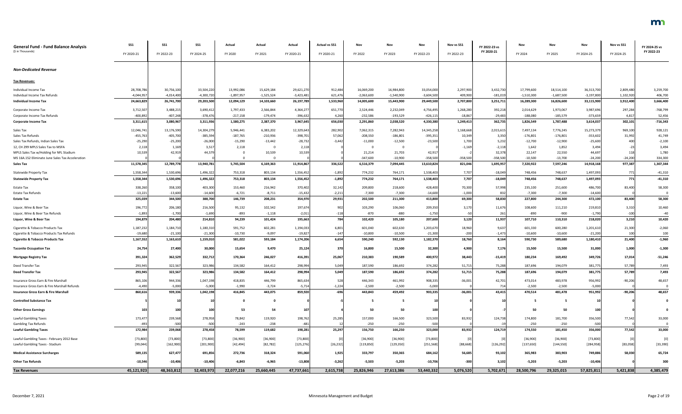| <b>General Fund - Fund Balance Analysis</b><br>(\$ in Thousands) | SS1<br>FY 2020-21 | <b>SS1</b><br>FY 2022-23 | <b>SS1</b><br>FY 2024-25 | Actual<br>FY 2020 | Actual<br>FY 2021 | Actual<br>FY 2020-21 | <b>Actual vs SS1</b><br>FY 2020-21 | Nov<br>FY 2022 | Nov<br>FY 2023 | Nov<br>FY 2022-23 | Nov vs SS1<br>FY 2022-23 | FY 2022-23 vs<br>FY 2020-21 | Nov<br>FY 2024 | Nov<br>FY 2025 | Nov<br>FY 2024-25 | Nov vs SS1<br>FY 2024-25 | FY 2024-25 vs<br>FY 2022-23 |
|------------------------------------------------------------------|-------------------|--------------------------|--------------------------|-------------------|-------------------|----------------------|------------------------------------|----------------|----------------|-------------------|--------------------------|-----------------------------|----------------|----------------|-------------------|--------------------------|-----------------------------|
|                                                                  |                   |                          |                          |                   |                   |                      |                                    |                |                |                   |                          |                             |                |                |                   |                          |                             |
| <b>Non-Dedicated Revenue</b>                                     |                   |                          |                          |                   |                   |                      |                                    |                |                |                   |                          |                             |                |                |                   |                          |                             |
| <b>Tax Revenues:</b>                                             |                   |                          |                          |                   |                   |                      |                                    |                |                |                   |                          |                             |                |                |                   |                          |                             |
| Individual Income Tax                                            | 28,708,786        | 30,756,100               | 33,504,220               | 13,992,086        | 15,629,184        | 29,621,270           | 912,484                            | 16,069,200     | 16,984,800     | 33,054,000        | 2,297,900                | 3,432,730                   | 17,799,600     | 18,514,100     | 36,313,700        | 2,809,480                | 3,259,700                   |
| Individual Income Tax Refunds                                    | $-4,044,957$      | $-4,014,400$             | $-4,300,720$             | $-1,897,957$      | $-1,525,524$      | -3,423,481           | 621,476                            | $-2,063,600$   | $-1,540,900$   | $-3,604,500$      | 409,900                  | $-181,019$                  | $-1,510,300$   | $-1,687,500$   | $-3,197,800$      | 1,102,920                | 406,700                     |
| <b>Individual Income Tax</b>                                     | 24,663,829        | 26,741,700               | 29,203,500               | 12,094,129        | 14,103,660        | 26,197,789           | 1,533,960                          | 14,005,600     | 15,443,900     | 29,449,500        | 2,707,800                | 3,251,711                   | 16,289,300     | 16,826,600     | 33,115,900        | 3,912,400                | 3,666,400                   |
| Corporate Income Tax                                             | 3,712,507         | 3,488,21                 | 3,690,41                 | 1,797,433         | 2,566,844         | 4,364,277            | 651,770                            | 2,524,446      | 2,232,049      | 4,756,495         | 1,268,280                | 392,218                     | 2,014,629      | 1,973,067      | 3,987,696         | 297,284                  | -768,799                    |
| Corporate Income Tax Refunds                                     | $-400,892$        | $-407,248$               | $-378,476$               | $-217,158$        | $-179,474$        | $-396,632$           | 4,260                              | $-232,586$     | $-193,529$     | $-426,115$        | $-18,867$                | $-29,483$                   | $-188,080$     | $-185,579$     | -373,659          | 4,817                    | 52,456                      |
| <b>Corporate Income Tax</b>                                      | 3,311,615         | 3,080,967                | 3,311,936                | 1,580,275         | 2,387,370         | 3,967,645            | 656,030                            | 2,291,860      | 2,038,520      | 4,330,380         | 1,249,413                | 362,735                     | 1,826,549      | 1,787,488      | 3,614,037         | 302,101                  | $-716,343$                  |
| Sales Tax                                                        | 12,046,741        | 13,176,590               | 14,304,279               | 5,946,441         | 6,383,202         | 12,329,643           | 282,902                            | 7,062,315      | 7,282,943      | 14,345,258        | 1,168,668                | 2,015,615                   | 7,497,134      | 7,776,245      | 15,273,379        | 969,100                  | 928,121                     |
| Sales Tax Refunds                                                | $-455,763$        | $-405,700$               | $-385,594$               | $-187,765$        | $-210,936$        | $-398,701$           | 57,062                             | $-208,550$     | $-186,801$     | $-395,35$         | 10,349                   | 3,350                       | $-176,801$     | $-176,801$     | $-353,602$        | 31,992                   | 41,749                      |
| Sales Tax Refunds, Indian Sales Tax                              | $-25,290$         | $-25,200$                | $-26,000$                | $-15,290$         | $-13,442$         | $-28,732$            | $-3,442$                           | $-11,000$      | $-12,500$      | $-23,500$         | 1,700                    | 5,232                       | $-12,700$      | $-12,900$      | $-25,600$         | 400                      | $-2,100$                    |
| 12, CH 299 MPLS Sales Tax to MSFA                                | 2,118             | 1,169                    | 3,517                    | 2,118             |                   | 2,118                |                                    | - 0            | - 0            |                   | $-1,169$                 | $-2,118$                    | 1,642          | 1,852          | 3,494             | $-23$                    | 3,494                       |
| MPLS Sales Tax w/Holding for NFL Stadium                         | 10,539            | 42,919                   | 44,579                   |                   | 10,539            | 10,539               |                                    | 21,214         | 21,703         | 42,91             |                          | 32,378                      | 22,147         | 22,550         | 44,697            | 118                      | 1,780                       |
| MS 16A.152 Eliminate June Sales Tax Acceleration                 |                   |                          |                          |                   |                   |                      |                                    | $-347,600$     | $-10,900$      | $-358,500$        | $-358,500$               | $-358,500$                  | $-10,500$      | $-13,700$      | $-24,200$         | $-24,200$                | 334,300                     |
| <b>Sales Tax</b>                                                 | 11,578,345        | 12,789,778               | 13,940,781               | 5,745,504         | 6,169,363         | 11,914,867           | 336,522                            | 6,516,379      | 7,094,445      | 13,610,824        | 821,046                  | 1,695,957                   | 7,320,922      | 7,597,246      | 14,918,168        | 977,387                  | 1,307,344                   |
| <b>Statewide Property Tax</b>                                    | 1,558,344         | 1,530,696                | 1,496,322                | 753,318           | 803,134           | 1,556,452            | $-1,892$                           | 774,232        | 764,171        | 1,538,403         | 7,707                    | $-18,049$                   | 748,456        | 748,637        | 1,497,093         | 771                      | $-41,310$                   |
| <b>Statewide Property Tax</b>                                    | 1,558,344         | 1,530,696                | 1,496,322                | 753,318           | 803,134           | 1,556,452            | $-1,892$                           | 774,232        | 764,171        | 1,538,403         | 7,707                    | $-18,049$                   | 748,456        | 748,637        | 1,497,093         | 771                      | $-41,310$                   |
| <b>Estate Tax</b>                                                | 338,260           | 358,100                  | 403,300                  | 153,460           | 216,942           | 370,402              | 32,142                             | 209,800        | 218,600        | 428,400           | 70,300                   | 57,998                      | 235,100        | 251,600        | 486,700           | 83,400                   | 58,300                      |
| <b>Estate Tax Refunds</b>                                        | $-13,221$         | $-13,600$                | $-14,600$                | $-6,721$          | $-8,711$          | $-15,432$            | $-2,211$                           | $-7,300$       | $-7,300$       | $-14,600$         | $-1,000$                 | 832                         | $-7,300$       | $-7,300$       | $-14,600$         |                          |                             |
| <b>Estate Tax</b>                                                | 325,039           | 344,500                  | 388,700                  | 146,739           | 208,231           | 354,970              | 29,931                             | 202,500        | 211,300        | 413,800           | 69,300                   | 58,830                      | 227,800        | 244,300        | 472,100           | 83,400                   | 58,300                      |
| Liquor, Wine & Beer Tax                                          | 196,772           | 206,180                  | 216,500                  | 95,132            | 102,542           | 197,674              | 902                                | 103,290        | 106,060        | 209,350           | 3,170                    | 11,676                      | 108,600        | 111,210        | 219,810           | 3,310                    | 10,460                      |
| Liquor, Wine & Beer Tax Refunds                                  | $-1,893$          | $-1,700$                 | $-1,690$                 | -893              | $-1,118$          | $-2,011$             | $-118$                             | $-870$         | $-880$         | $-1,750$          |                          | 26                          | -890           | $-900$         | $-1,790$          | $-100$                   | -40                         |
| Liquor, Wine & Beer Tax                                          | 194,879           | 204,480                  | 214,810                  | 94,239            | 101,424           | 195,663              | 784                                | 102,420        | 105,180        | 207,600           | 3,120                    | 11,937                      | 107,710        | 110,310        | 218,020           | 3,210                    | 10,420                      |
| Cigarette & Tobacco Products Tax                                 | 1,187,232         | 1,184,710                | 1,180,310                | 591,752           | 602,281           | 1,194,033            | 6,80.                              | 601,040        | 602,630        | 1,203,670         | 18,960                   | 9,637                       | 601,330        | 600,280        | 1,201,610         | 21,300                   | $-2,060$                    |
| Cigarette & Tobacco Products Tax Refunds                         | $-19,680$         | $-21,100$                | $-21,300$                | $-10,730$         | $-9,097$          | $-19,827$            | $-147$                             | $-10,800$      | $-10,500$      | $-21,300$         | $-200$                   | $-1,473$                    | $-10,600$      | $-10,600$      | $-21,200$         | 100                      | 100                         |
| <b>Cigarette &amp; Tobacco Products Tax</b>                      | 1,167,552         | 1,163,610                | 1,159,010                | 581,022           | 593,184           | 1,174,206            | 6,654                              | 590,240        | 592,130        | 1,182,370         | 18,760                   | 8,164                       | 590,730        | 589,680        | 1,180,410         | 21,400                   | $-1,960$                    |
| <b>Taconite Occupation Tax</b>                                   | 24,754            | 27,400                   | 30,000                   | 15,654            | 9,470             | 25,124               | 370                                | 16,800         | 15,500         | 32,300            | 4,900                    | 7,176                       | 15,500         | 15,500         | 31,000            | 1,000                    | $-1,300$                    |
| <b>Mortgage Registry Tax</b>                                     | 391,324           | 362,529                  | 332,71                   | 170,364           | 246,027           | 416,391              | 25,067                             | 210,383        | 190,589        | 400,972           | 38,443                   | $-15,419$                   | 180,234        | 169,492        | 349,726           | 17,014                   | $-51,246$                   |
| Deed Transfer Tax                                                | 293,945           | 322,567                  | 323,986                  | 134,582           | 164,412           | 298,994              | 5,049                              | 187,590        | 186,692        | 374,282           | 51,715                   | 75,288                      | 187,696        | 194,079        | 381,775           | 57,789                   | 7,493                       |
| <b>Deed Transfer Tax</b>                                         | 293,945           | 322,567                  | 323,986                  | 134,582           | 164,412           | 298,994              | 5,049                              | 187,590        | 186,692        | 374,282           | 51,715                   | 75,288                      | 187,696        | 194,079        | 381,775           | 57,789                   | 7,493                       |
| Insurance Gross Earn & Fire Marshall                             | 865,106           | 944,336                  | 1,047,198                | 418,835           | 446,799           | 865,634              | 528                                | 446,343        | 461,992        | 908,33            | $-36,001$                | 42,701                      | 473,014        | 483,978        | 956,992           | $-90,206$                | 48,657                      |
| Insurance Gross Earn & Fire Marshall Refunds                     | $-4,490$          | $-5,000$                 | $-5,000$                 | $-1,990$          | $-3,724$          | $-5,714$             | $-1,224$                           | $-2,500$       | $-2,500$       | $-5,000$          |                          | 714                         | $-2,500$       | $-2,500$       | $-5,000$          |                          |                             |
| <b>Insurance Gross Earn &amp; Fire Marshall</b>                  | 860,616           | 939,336                  | 1,042,198                | 416,845           | 443,075           | 859,920              | $-696$                             | 443,843        | 459,492        | 903,335           | $-36,001$                | 43,415                      | 470,514        | 481,478        | 951,992           | $-90,206$                | 48,657                      |
| <b>Controlled Substance Tax</b>                                  |                   |                          |                          |                   |                   |                      |                                    |                |                | 10                |                          |                             |                |                |                   |                          |                             |
| <b>Other Gross Earnings</b>                                      | 103               | 100                      | 100                      | 53                | -54               |                      |                                    | 50             | 50             | 100               |                          |                             | 50             | 50             | 100               |                          |                             |
| Lawful Gambling Taxes                                            | 173,477           | 239,568                  | 278,958                  | 78,842            | 119,920           | 198,762              | 25,285                             | 157,000        | 166,500        | 323,500           | 83,932                   | 124,738                     | 174,800        | 181,700        | 356,500           | 77,542                   | 33,000                      |
| <b>Gambling Tax Refunds</b>                                      |                   | $-500$                   | $-500$                   | $-243$            | $-238$            | $-481$               |                                    | $-250$         | $-250$         | $-500$            |                          |                             | $-250$         | $-250$         | $-500$            |                          |                             |
| <b>Lawful Gambling Taxes</b>                                     | 172,984           | 239,068                  | 278,458                  | 78,599            | 119,682           | 198,281              | 25,297                             | 156,750        | 166,250        | 323,000           | 83,932                   | 124,719                     | 174,550        | 181,450        | 356,000           | 77,542                   | 33,000                      |
| Lawful Gambling Taxes - February 2012 Base                       | [73,800]          | [73, 800]                | [73,800]                 | [36,900]          | [36,900]          | [73,800]             |                                    | [36,900]       | [36,900]       | [73, 800]         |                          |                             | [36,900]       | [36,900]       | [73,800]          |                          | [0]                         |
| Lawful Gambling Taxes - Stadium                                  | [99, 044]         | [162,900]                | [201, 900]               | [42, 494]         | [82, 782]         | [125, 276]           | [26, 232]                          | [119, 850]     | [129, 350]     | [251, 568]        | [88, 668]                | [126, 292]                  | [137, 650]     | [144, 550]     | [284, 958]        | [83,058]                 | [33, 390]                   |
| <b>Medical Assistance Surcharges</b>                             | 589,135           | 627,477                  | 691,856                  | 272,736           | 318,324           | 591,060              | 1,925                              | 333,797        | 350,365        | 684,162           | 56,685                   | 93,102                      | 365,983        | 383,903        | 749,886           | 58,030                   | 65,724                      |
| <b>Other Tax Refunds</b>                                         | $-10,546$         | $-10,406$                | $-10,406$                | $-6,843$          | $-6,965$          | $-13,808$            | $-3,262$                           | $-5,503$       | $-5,203$       | $-10,706$         | $-300$                   | 3,102                       | $-5,203$       | $-5,203$       | $-10,406$         |                          | 300                         |
|                                                                  |                   |                          |                          |                   |                   |                      |                                    |                |                |                   |                          |                             |                |                |                   |                          |                             |
| <b>Tax Revenues</b>                                              | 45,121,923        | 48,363,812               | 52,403,973               | 22,077,216        | 25,660,445        | 47,737,661           | 2,615,738                          | 25,826,946     | 27,613,386     | 53,440,332        | 5,076,520                | 5,702,671                   | 28,500,796     | 29,325,015     | 57,825,811        | 5,421,838                | 4,385,479                   |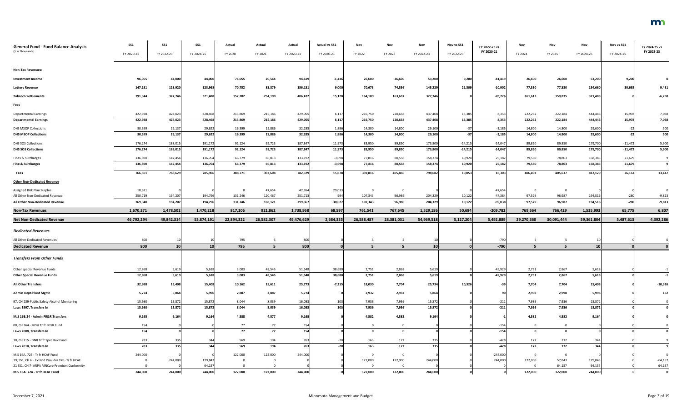| <b>General Fund - Fund Balance Analysis</b><br>(\$ in Thousands)               | SS1<br>FY 2020-21 | <b>SS1</b><br>FY 2022-23 | SS <sub>1</sub><br>FY 2024-25 | Actual<br>FY 2020 | Actual<br>FY 2021 | Actual<br>FY 2020-21 | <b>Actual vs SS1</b><br>FY 2020-21 | Nov<br>FY 2022 | Nov<br>FY 2023 | Nov<br>FY 2022-23 | Nov vs SS1<br>FY 2022-23 | FY 2022-23 vs<br>FY 2020-21 | Nov<br>FY 2024          | Nov<br>FY 2025    | Nov<br>FY 2024-25 | Nov vs SS1<br>FY 2024-25 | FY 2024-25 vs<br>FY 2022-23 |
|--------------------------------------------------------------------------------|-------------------|--------------------------|-------------------------------|-------------------|-------------------|----------------------|------------------------------------|----------------|----------------|-------------------|--------------------------|-----------------------------|-------------------------|-------------------|-------------------|--------------------------|-----------------------------|
| <b>Non-Tax Revenues:</b>                                                       |                   |                          |                               |                   |                   |                      |                                    |                |                |                   |                          |                             |                         |                   |                   |                          |                             |
| <b>Investment Income</b>                                                       | 96,055            | 44,000                   | 44,000                        | 74,055            | 20,564            | 94,619               | $-1,436$                           | 26,600         | 26,600         | 53,200            | 9,200                    | $-41,419$                   | 26,600                  | 26,600            | 53,200            | 9,200                    |                             |
| <b>Lottery Revenue</b>                                                         | 147,131           | 123,920                  | 123,968                       | 70,752            | 85,379            | 156,131              | 9,000                              | 70,673         | 74,556         | 145,229           | 21,309                   | $-10,902$                   | 77,330                  | 77,330            | 154,660           | 30,692                   | 9,431                       |
| <b>Tobacco Settlements</b>                                                     | 391,344           | 327,746                  | 321,488                       | 152,282           | 254,190           | 406,472              | 15,128                             | 164,109        | 163,637        | 327,746           |                          | $-78,726$                   | 161,613                 | 159,875           | 321,488           |                          | $-6,258$                    |
| <b>Fees</b>                                                                    |                   |                          |                               |                   |                   |                      |                                    |                |                |                   |                          |                             |                         |                   |                   |                          |                             |
| <b>Departmental Earnings</b>                                                   | 422,938           | 424,023                  | 428,468                       | 213,869           | 215,186           | 429,055              | 6,117                              | 216,750        | 220,658        | 437,408           | 13,385                   | 8,353                       | 222,262                 | 222,184           | 444,446           | 15,978                   | 7,038                       |
| <b>Departmental Earnings</b>                                                   | 422,938           | 424,023                  | 428,468                       | 213,869           | 215,186           | 429,055              | 6,117                              | 216,750        | 220,658        | 437,408           | 13,385                   | 8,353                       | 222,262                 | 222,184           | 444,446           | 15,978                   | 7,038                       |
| <b>DHS MSOP Collections</b>                                                    | 30,399            | 29,137                   | 29,622                        | 16,399            | 15,886            | 32,285               | 1,886                              | 14,300         | 14,800         | 29,100            | -371                     | $-3,185$                    | 14,800                  | 14,800            | 29,600            | $-22$                    | 500                         |
| <b>DHS MSOP Collections</b>                                                    | 30,399            | 29,137                   | 29,622                        | 16,399            | 15,886            | 32,285               | 1,886                              | 14,300         | 14,800         | 29,100            | $-37$                    | $-3,185$                    | 14,800                  | 14,800            | 29,600            | $-22$                    | 500                         |
| <b>DHS SOS Collections</b>                                                     | 176,274           | 188,015                  | 191,172                       | 92,124            | 95,723            | 187,847              | 11,573                             | 83,950         | 89,850         | 173,800           | $-14,215$                | $-14,047$                   | 89,850                  | 89,850            | 179,700           | $-11,472$                | 5,900                       |
| <b>DHS SOS Collections</b>                                                     | 176,274           | 188,015                  | 191,172                       | 92,124            | 95,723            | 187,847              | 11,573                             | 83,950         | 89,850         | 173,800           | $-14,215$                | $-14,047$                   | 89,850                  | 89,850            | 179,700           | $-11,472$                | 5,900                       |
| Fines & Surcharges                                                             | 136,890           | 147,454                  | 136,704                       | 66,379            | 66,813            | 133,192              | $-3,698$                           | 77,816         | 80,558         | 158,374           | 10,920                   | 25,182                      | 79,580                  | 78,803            | 158,383           | 21,679                   |                             |
| Fine & Surcharges                                                              | 136,890           | 147,454                  | 136,704                       | 66,379            | 66,813            | 133,192              | $-3,698$                           | 77,816         | 80,558         | 158,374           | 10,920                   | 25,182                      | 79,580                  | 78,803            | 158,383           | 21,679                   | -9                          |
| Fees                                                                           | 766,501           | 788,629                  | 785,966                       | 388,771           | 393,608           | 782,379              | 15,878                             | 392,816        | 405,866        | 798,682           | 10,053                   | 16,303                      | 406,492                 | 405,637           | 812,129           | 26,163                   | 13,447                      |
| <b>Other Non-Dedicated Revenue</b>                                             |                   |                          |                               |                   |                   |                      |                                    |                |                |                   |                          |                             |                         |                   |                   |                          |                             |
| Assigned Risk Plan Surplus                                                     | 18,621            |                          |                               |                   | 47,654            | 47,654               | 29,033                             | $\Omega$       | 0              |                   |                          | $-47,654$                   | $\overline{\mathbf{0}}$ | $\overline{0}$    |                   |                          |                             |
| All Other Non-Dedicated Revenue                                                | 250,719           | 194,207                  | 194,796                       | 131,246           | 120,467           | 251,713              | 994                                | 107,343        | 96,986         | 204,329           | 10,122                   | $-47,384$                   | 97,529                  | 96,987            | 194,516           | $-280$                   | $-9,813$                    |
| All Other Non-Dedicated Revenue                                                | 269,340           | 194,207                  | 194,796                       | 131,246           | 168,121           | 299,367              | 30,027                             | 107,343        | 96,986         | 204,329           | 10,122                   | $-95,038$                   | 97,529                  | 96,987            | 194,516           | $-280$                   | $-9,813$                    |
| <b>Non-Tax Revenues</b>                                                        | 1,670,371         | 1,478,502                | 1,470,218                     | 817,106           | 921,862           | 1,738,968            | 68,597                             | 761,541        | 767,645        | 1,529,186         | 50,684                   | $-209,782$                  | 769,564                 | 766,429           | 1,535,993         | 65,775                   | 6,807                       |
| <b>Net Non-Dedicated Revenue</b>                                               | 46,792,294        | 49,842,314               | 53,874,191                    | 22,894,322        | 26,582,307        | 49,476,629           | 2,684,335                          | 26,588,487     | 28,381,031     | 54,969,518        | 5,127,204                | 5,492,889                   | 29,270,360              | 30,091,444        | 59,361,804        | 5,487,613                | 4,392,286                   |
| <b>Dedicated Revenues</b>                                                      |                   |                          |                               |                   |                   |                      |                                    |                |                |                   |                          |                             |                         |                   |                   |                          |                             |
| All Other Dedicated Revenues                                                   | 800               |                          |                               | 795               |                   | 800                  |                                    |                |                |                   |                          |                             |                         |                   |                   |                          |                             |
| <b>Dedicated Revenue</b>                                                       | 800               | 10 <sup>1</sup>          |                               |                   |                   |                      |                                    |                |                |                   |                          | $-790$                      |                         |                   |                   |                          |                             |
| <b>Transfers From Other Funds</b>                                              |                   |                          | 10 <sup>1</sup>               | 795               | -5                | 800                  |                                    | .5.            | -5             | 10                |                          | $-790$                      | -5                      |                   | 10 <sup>1</sup>   |                          |                             |
| Other special Revenue Funds                                                    |                   |                          |                               |                   |                   |                      |                                    |                |                |                   |                          |                             |                         |                   |                   |                          |                             |
|                                                                                | 12,868            | 5,619                    | 5,618                         | 3,003             | 48,545            | 51,548               | 38,680                             | 2,751          | 2,868          | 5,619             |                          | $-45,929$                   | 2,751                   | 2,867             | 5,618             |                          |                             |
| <b>Other Special Revenue Funds</b>                                             | 12,868            | 5,619                    | 5,618                         | 3,003             | 48,545            | 51,548               | 38,680                             | 2,751          | 2,868          | 5,619             |                          | $-45,929$                   | 2,751                   | 2,867             | 5,618             |                          | $-1$                        |
| <b>All Other Transfers</b>                                                     | 32,988            | 15,408                   | 15,408                        | 10,162            | 15,611            | 25,773               | $-7,215$                           | 18,030         | 7,704          | 25,734            | 10,326                   |                             | 7,704                   | 7,704             | 15,408            |                          | $-10,326$                   |
| <b>Admin Dept-Plant Mgmt</b>                                                   | 5,774             | 5,864                    | 5,996                         | 2,887             | 2,887             | 5,774                |                                    | 2,932          | 2,932          | 5,864             |                          |                             | 2,998                   | 2,998             | 5,996             |                          | 132                         |
| 97, CH 239-Public Safety Alcohol Monitoring                                    | 15,980            | 15,872                   | 15,872                        | 8,044             | 8,039             | 16,083               | 103                                | 7,936          | 7,936          | 15,872            |                          | $-211$                      | 7,936                   | 7,936             | 15,872            |                          |                             |
| Laws 1997, Transfers In                                                        | 15,980            | 15,872                   | 15,872                        | 8,044             | 8,039             | 16,083               | 103                                | 7,936          | 7,936          | 15,872            |                          | $-211$                      | 7,936                   | 7,936             | 15,872            |                          |                             |
| M.S 16B.24 - Admin FR&R Transfers                                              | 9,165             | 9,164                    | 9,164                         | 4,588             | 4,577             | 9,165                |                                    | 4,582          | 4,582          | 9,164             |                          |                             | 4,582                   | 4,582             | 9,164             |                          |                             |
| 08, CH 364 - MDH Tr fr SGSR Fund                                               | 154               |                          |                               | 77                | 77                | 154                  |                                    |                | $\overline{0}$ |                   |                          | $-154$                      | $\mathbf 0$             | $\mathbf 0$       |                   |                          |                             |
| Laws 2008, Transfers In                                                        | 154               |                          |                               | 77                | 77                | 154                  |                                    |                | 0              |                   |                          | $-154$                      | $\mathbf{0}$            | $\Omega$          |                   |                          |                             |
| 10, CH 215 - DNR Tr fr Spec Rev Fund                                           | 783               | 335                      | 344                           | 569               | 194               | 763                  |                                    | 163            | 172            | 335               |                          | $-428$                      | 172                     | 172               | 344               |                          |                             |
| Laws 2010, Transfers In                                                        | 783               | 335                      | 344                           | 569               | 194               | 763                  |                                    | 163            | 172            | 335               |                          | $-428$                      | 172                     | 172               | 344               |                          |                             |
| M.S 16A. 724 - Tr fr HCAF Fund                                                 | 244,000           |                          |                               | 122,000           | 122,000           | 244,000              |                                    |                | $\overline{0}$ |                   |                          | $-244,000$                  | $\overline{0}$          | $\overline{0}$    |                   |                          |                             |
| 19, SS1, Ch 6 - Extend Provider Tax - Tr fr HCAF                               |                   | 244,000                  | 179,843                       |                   |                   |                      |                                    | 122,000        | 122,000        | 244,000           |                          | 244,000                     | 122,000                 | 57,843            | 179,843           |                          | $-64,157$                   |
| 21 SS1, CH 7- ARPA MNCare Premium Conformity<br>M.S 16A. 724 - Tr fr HCAF Fund | 244,000           | 244,000                  | 64,15<br>244,000              | 122,000           | 122,000           | 244,000              |                                    | 122,000        | 122,000        | 244,000           |                          |                             | $\Omega$<br>122,000     | 64,157<br>122,000 | 64,157<br>244,000 |                          | 64,157                      |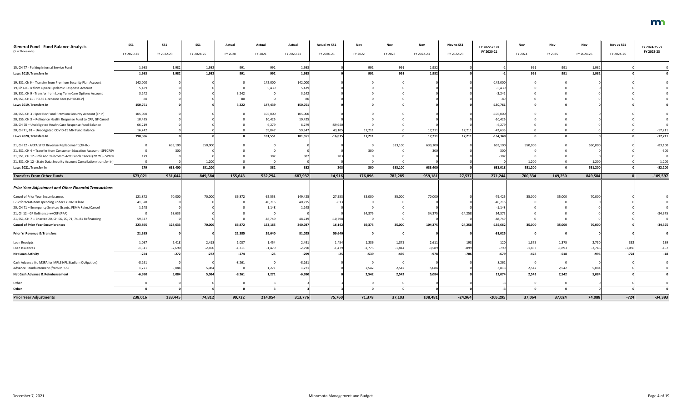| <b>General Fund - Fund Balance Analysis</b><br>(\$ in Thousands)        | SS1<br>FY 2020-21 | <b>SS1</b><br>FY 2022-23 | SS <sub>1</sub><br>FY 2024-25 | Actual<br>FY 2020 | Actual<br>FY 2021 | Actual<br>FY 2020-21 | <b>Actual vs SS1</b><br>FY 2020-21 | Nov<br>FY 2022 | FY 2023     | Nov<br>FY 2022-23 | Nov vs SS1<br>FY 2022-23 | FY 2022-23 vs<br>FY 2020-21 | Nov<br>FY 2024 | FY 2025     | FY 2024-25 | Nov vs SS1<br>FY 2024-25 | FY 2024-25 vs<br>FY 2022-23 |
|-------------------------------------------------------------------------|-------------------|--------------------------|-------------------------------|-------------------|-------------------|----------------------|------------------------------------|----------------|-------------|-------------------|--------------------------|-----------------------------|----------------|-------------|------------|--------------------------|-----------------------------|
|                                                                         |                   |                          |                               |                   |                   |                      |                                    |                |             |                   |                          |                             |                |             |            |                          |                             |
| 15, CH 77 - Parking Internal Service Fund                               | 1,983             | 1,982                    | 1,982                         | 991               | 992               | 1,983                |                                    | 991            | 991         | 1,982             |                          |                             | 991            | 991         | 1,982      |                          |                             |
| Laws 2015, Transfers In                                                 | 1,983             | 1,982                    | 1,982                         | 991               | 992               | 1,983                |                                    | 991            | 991         | 1,982             |                          |                             | 991            | 991         | 1,982      |                          |                             |
| 19, SS1, Ch 9 - Transfer from Premium Security Plan Account             | 142,000           |                          |                               |                   | 142,000           | 142,000              |                                    |                |             |                   |                          | $-142,000$                  |                |             |            |                          |                             |
| 19, Ch 60 - Tr from Opiate Epidemic Response Account                    | 5,439             |                          |                               |                   | 5,439             | 5,439                |                                    |                |             |                   |                          | $-5,439$                    |                |             |            |                          |                             |
| 19, SS1, CH 9 - Transfer from Long Term Care Options Account            | 3,242             |                          |                               | 3,242             |                   | 3,242                |                                    |                |             |                   |                          | $-3,242$                    |                |             |            |                          |                             |
| 19, SS1, CH11 - PELSB Licensure Fees (SPRECREV)                         |                   |                          |                               | 80                |                   |                      |                                    |                |             |                   |                          |                             |                |             |            |                          |                             |
| Laws 2019, Transfers In                                                 | 150,761           |                          |                               | 3,322             | 147,439           | 150,761              |                                    |                |             |                   |                          | $-150,761$                  |                |             |            |                          |                             |
| 20, SS5, CH 3 - Spec Rev Fund Premium Security Account (Tr In)          | 105,000           |                          |                               |                   | 105,000           | 105,000              |                                    |                |             |                   |                          | $-105,000$                  |                |             |            |                          |                             |
| 20, SS5, CH 3 - Refinance Health Response Fund to CRF, GF Cancel        | 10,425            |                          |                               |                   | 10,425            | 10,425               |                                    |                |             |                   |                          | $-10,425$                   |                |             |            |                          |                             |
| 20, CH 70 - Unobligated Health Care Response Fund Balance               | 66,219            |                          |                               |                   | 6,279             | 6,279                | $-59,940$                          |                |             |                   |                          | $-6,27$                     |                |             |            |                          |                             |
| 20, CH 71, 81 - Unobligated COVID-19 MN Fund Balance                    | 16,742            |                          |                               |                   | 59,847            | 59,847               | 43,105                             | 17,211         |             | 17,21             | 17,211                   | $-42,63$                    |                |             |            |                          | $-17,211$                   |
| Laws 2020, Transfers In                                                 | 198,386           |                          |                               |                   | 181,551           | 181,551              | $-16,835$                          | 17,211         | - 0         | 17,21             | 17,211                   | $-164,340$                  | 0              |             |            |                          | $-17,211$                   |
| 21, CH 12 - ARPA SFRF Revenue Replacement (TR-IN)                       |                   | 633,100                  | 550,000                       |                   |                   |                      |                                    |                | 633,100     | 633,100           |                          | 633,100                     | 550,000        |             | 550,000    |                          | $-83,100$                   |
| 21, SS1, CH 4 - Transfer from Consumer Education Account - SPECREV      |                   |                          |                               |                   |                   |                      |                                    | 300            |             |                   |                          |                             |                |             |            |                          | $-300$                      |
| 21, SS1, CH 12 - Info and Telecomm Acct Funds Cancel (TR IN) - SPECR    |                   |                          |                               |                   |                   |                      |                                    |                |             |                   |                          |                             |                |             |            |                          |                             |
| 21, SS1, CH 12 - State Data Security Account Cancellation (transfer in) |                   |                          | 1,200                         |                   |                   |                      |                                    |                |             |                   |                          |                             | 1,200          |             | 1,200      |                          | 1,200                       |
| Laws 2021, Transfer In                                                  | 179               | 633,400                  | 551,200                       |                   | 382               | 382                  | 203                                | 300            | 633,100     | 633,400           |                          | 633,018                     | 551,200        | $\Omega$    | 551,200    |                          | $-82,200$                   |
| <b>Transfers From Other Funds</b>                                       | 673,021           | 931,644                  | 849,584                       | 155,643           | 532,294           | 687,937              | 14,916                             | 176,896        | 782,285     | 959,181           | 27,537                   | 271,244                     | 700,334        | 149,250     | 849,584    |                          | $-109,597$                  |
|                                                                         |                   |                          |                               |                   |                   |                      |                                    |                |             |                   |                          |                             |                |             |            |                          |                             |
| <b>Prior Year Adjustment and Other Financial Transactions</b>           |                   |                          |                               |                   |                   |                      |                                    |                |             |                   |                          |                             |                |             |            |                          |                             |
| Cancel of Prior Year Encumbrances                                       | 121,872           | 70,000                   | 70,000                        | 86,872            | 62,553            | 149,425              | 27,553                             | 35,000         | 35,000      | 70,000            |                          | $-79,425$                   | 35,000         | 35,000      | 70,000     |                          |                             |
| E-12 forecast-item spending under FY 2020 Close                         | 41,328            |                          |                               |                   | 40,715            | 40,715               | $-613$                             |                |             |                   |                          | $-40,71$                    |                |             |            |                          |                             |
| 20, CH 71 - Emergency Services Grants, FEMA Reim./Cancel                | 1,148             |                          |                               |                   | 1,148             | 1,148                |                                    |                |             |                   |                          | $-1,148$                    |                |             |            |                          |                             |
| 21, Ch 12 - GF Refinance w/CRF (PPA)                                    |                   | 58,633                   |                               |                   |                   |                      |                                    | 34,375         |             | 34,375            | $-24,258$                | 34,375                      |                |             |            |                          | $-34,375$                   |
| 21, SS1, CH 7 -- Enacted 20, CH 66, 70, 71, 74, 81 Refinancing          | 59,547            |                          |                               |                   | 48,749            | 48,749               | -10,798                            |                |             |                   |                          | $-48,749$                   | - 0            | <b>U</b>    |            |                          |                             |
| <b>Cancel of Prior Year Encumbrances</b>                                | 223,895           | 128,633                  | 70,000                        | 86,872            | 153,165           | 240,037              | 16,142                             | 69,375         | 35,000      | 104,375           | $-24,258$                | $-135,662$                  | 35,000         | 35,000      | 70,000     |                          | $-34,375$                   |
| <b>Prior Yr Revenue &amp; Transfers</b>                                 | 21,385            |                          |                               | 21,385            | 59,640            | 81,025               | 59,640                             |                | $\mathbf 0$ |                   |                          | $-81,025$                   | $\mathbf 0$    | $\Omega$    |            |                          |                             |
| Loan Receipts                                                           | 1,037             | 2,418                    | 2,418                         | 1,037             | 1,454             | 2,491                | 1,454                              | 1,236          | 1,375       | 2,611             |                          | 120                         | 1,375          | 1,375       | 2,750      | 332                      | 139                         |
| Loan Issuances                                                          | $-1,311$          | $-2,690$                 | $-2,690$                      | $-1,311$          | $-1,479$          | $-2,790$             | $-1,479$                           | $-1,775$       | $-1,814$    | $-3,589$          | -899                     | $-799$                      | $-1,853$       | $-1,893$    | $-3,746$   | $-1,056$                 | $-157$                      |
| <b>Net Loan Activity</b>                                                | $-274$            | $-272$                   | $-272$                        | $-274$            | $-25$             | $-299$               |                                    | $-539$         | $-439$      | $-978$            | -706                     | $-679$                      | -478           | $-518$      | -996       | $-724$                   | $-18$                       |
| Cash Advance (to MSFA for MPLS NFL Stadium Obligation)                  | $-8,261$          |                          |                               | $-8,261$          |                   | $-8,261$             |                                    |                | - 0         |                   |                          | 8,261                       | $\overline{0}$ | $\Omega$    |            |                          |                             |
| Advance Reimbursement (from MPLS)                                       | 1,271             | 5,084                    | 5,084                         |                   | 1,271             | 1,271                |                                    | 2,542          | 2,542       | 5,084             |                          | 3,81                        | 2,542          | 2,542       | 5,084      |                          |                             |
| Net Cash Advance & Reimbursement                                        | $-6,990$          | 5,084                    | 5,084                         | $-8,261$          | 1,271             | $-6,990$             |                                    | 2,542          | 2,542       | 5,084             |                          | 12,074                      | 2,542          | 2,542       | 5,084      |                          |                             |
| Other                                                                   |                   |                          |                               |                   |                   |                      |                                    |                | $\Omega$    |                   |                          |                             | $\overline{0}$ | $\Omega$    |            |                          |                             |
| Other                                                                   |                   |                          |                               | $\mathbf{0}$      | -3                |                      |                                    | - 0            | $\Omega$    |                   |                          |                             | $\mathbf{0}$   | $\mathbf 0$ |            |                          |                             |
| <b>Prior Year Adjustments</b>                                           | 238,016           | 133,445                  | 74,812                        | 99,722            | 214,054           | 313,776              | 75,760                             | 71,378         | 37,103      | 108,481           | $-24,964$                | $-205,295$                  | 37,064         | 37,024      | 74,088     | $-724$                   | $-34,393$                   |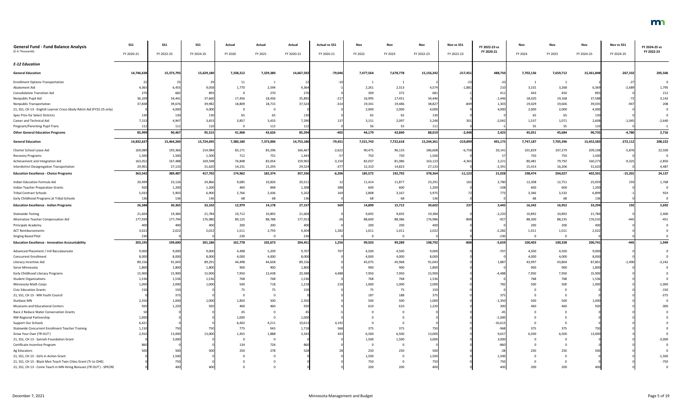| <b>General Fund - Fund Balance Analysis</b>                           | SS1        | <b>SS1</b>      | <b>SS1</b> | Actual    | Actual    | Actual     | <b>Actual vs SS1</b> | Nov       | Nov                     | Nov        | Nov vs SS1 | FY 2022-23 vs | Nov       | Nov       | Nov        | Nov vs SS1 | FY 2024-25 vs |
|-----------------------------------------------------------------------|------------|-----------------|------------|-----------|-----------|------------|----------------------|-----------|-------------------------|------------|------------|---------------|-----------|-----------|------------|------------|---------------|
| (\$ in Thousands)                                                     | FY 2020-21 | FY 2022-23      | FY 2024-25 | FY 2020   | FY 2021   | FY 2020-21 | FY 2020-21           | FY 2022   | FY 2023                 | FY 2022-23 | FY 2022-23 | FY 2020-21    | FY 2024   | FY 2025   | FY 2024-25 | FY 2024-25 | FY 2022-23    |
| <b>E-12 Education</b>                                                 |            |                 |            |           |           |            |                      |           |                         |            |            |               |           |           |            |            |               |
| <b>General Education</b>                                              | 14,746,638 | 15,373,793      | 15,629,18  | 7,338,212 | 7,329,380 | 14,667,592 | $-79,046$            | 7,477,564 | 7,678,778               | 15,156,342 | $-217,451$ | 488,750       | 7,702,136 | 7,659,712 | 15,361,848 | $-267,332$ | 205,506       |
| <b>Enrollment Options Transportation</b>                              |            |                 | - 29       | 11        |           |            |                      |           |                         |            | $-23$      |               |           |           |            | $-27$      |               |
| Abatement Aid                                                         | 4,365      | 6,45!           | 9,058      | 1,770     | 2,594     | 4,364      |                      | 2,261     | 2,313                   | 4,574      | $-1,881$   |               | 3,101     | 3,268     | 6,369      | $-2,689$   | 1,795         |
| <b>Consolidation Transition Aid</b>                                   | 270        | 682             | 893        |           | 270       | 270        |                      | 309       | 372                     | 681        |            |               | 443       | 450       | 893        |            | 212           |
| Nonpublic Pupil Aid                                                   | 36,109     | 34,441          | 37,660     | 17,456    | 18,436    | 35,892     | $-21$                | 16,995    | 17,451                  | 34,446     |            | $-1,446$      | 18,420    | 19,168    | 37,588     | $-72$      | 3,142         |
| Nonpublic Transportation                                              | 37,838     | 39,676          | 39,982     | 18,809    | 18,715    | 37,524     | $-314$               | 19,341    | 19,486                  | 38,82      |            | 1,303         | 19,429    | 19,606    | 39,035     | $-947$     | 208           |
| 21, SS1, CH 13 - English Learner Cross-Sbsdy Rdctn Aid (FY22-25 only) |            | 4,000           | 4,000      |           |           |            |                      | 2,000     | 2,000                   | 4,000      |            | 4,000         | 2,000     | 2,000     | 4,000      |            |               |
| Spec Prov for Select Districts                                        |            | 130             | 130        | 65        | 65        | 130        |                      | 65        | 65                      | 130        |            |               | 65        | 65        | 130        |            |               |
| Career and Technical Aid                                              | 7,153      | 4,947           | 3,653      | 3,857     | 3,433     | 7,290      |                      | 3,151     | 2,097                   | 5,248      |            | $-2,042$      | 1,537     | 1,071     | 2,608      | $-1,045$   | $-2,640$      |
| Pregnant/Parenting Pupil Trans                                        | 112        | 111             | 110        |           | 112       | 11         |                      | 56        | 55                      | 111        |            |               | 55        | 55        | 110        |            |               |
| <b>Other General Education Programs</b>                               | 85,999     | 90,467          | 95,515     | 41,968    | 43,626    | 85,594     | $-405$               | 44,179    | 43,840                  | 88,019     | $-2,448$   | 2,425         | 45,051    | 45,684    | 90,735     | $-4,780$   | 2,716         |
| <b>General Education</b>                                              | 14,832,637 | 15,464,260      | 15,724,695 | 7,380,180 | 7,373,006 | 14,753,186 | $-79,451$            | 7,521,743 | 7,722,618               | 15,244,361 | $-219,899$ | 491,175       | 7,747,187 | 7,705,396 | 15,452,583 | $-272,112$ | 208,222       |
| Charter School Lease Aid                                              | 169,089    | 193,366         | 214,984    | 83,171    | 83,296    | 166,467    | $-2,622$             | 90,475    | 96,133                  | 186,608    | $-6,758$   | 20,141        | 101,829   | 107,279   | 209,108    | $-5,876$   | 22,500        |
| Recovery Programs                                                     | 1,500      | 1,500           | 1,500      | 712       | 731       | 1,443      |                      | 750       | 750                     | 1,500      |            |               | 750       | 750       | 1,500      |            |               |
| Achievement and Integration Aid                                       | 163,052    | 167,488         | 169,598    | 76,848    | 83,054    | 159,902    | $-3,150$             | 82,037    | 81,086                  | 163,123    | $-4,365$   | 3,221         | 80,481    | 79,792    | 160,273    | $-9,325$   | $-2,850$      |
| Interdistrict Desegregation Transportation                            | 29,901     | 27,133          | 31,620     | 14,231    | 15,293    | 29,524     | $-377$               | 12,310    | 14,823                  | 27,13      |            | $-2,391$      | 15,414    | 16,206    | 31,620     |            | 4,487         |
| <b>Education Excellence - Choice Programs</b>                         | 363,542    | 389,487         | 417,702    | 174,962   | 182,374   | 357,336    | $-6,206$             | 185,572   | 192,792                 | 378,364    | $-11,123$  | 21,028        | 198,474   | 204,027   | 402,501    | $-15,201$  | 24,137        |
| Indian Education Formula Aid                                          | 20,499     | 23,126          | 24,866     | 9,685     | 10,826    | 20,511     |                      | 11,414    | 11,877                  | 23,29      |            | 2,780         | 12,308    | 12,751    | 25,059     | 193        | 1,768         |
| <b>Indian Teacher Preparation Grants</b>                              | 920        | 1,200           | 1,200      | 460       | 848       | 1,308      |                      | 600       | 600                     | 1,200      |            | $-108$        | 600       | 600       | 1,200      |            |               |
| <b>Tribal Contract Schools</b>                                        | 5,033      | 5,903           | 6,900      | 2,766     | 2,436     | 5,202      |                      | 2,808     | 3,167                   | 5,975      |            |               | 3,366     | 3,533     | 6,899      |            | 924           |
| Early Childhood Programs at Tribal Schools                            | 136        | 136             | 136        | 68        | 68        | 136        |                      | 68        | 68                      | 136        |            |               | 68        | 68        | 136        |            |               |
| <b>Education Excellence - Indian Programs</b>                         | 26,588     | 30,365          | 33,102     | 12,979    | 14,178    | 27,157     | 569                  | 14,890    | 15,712                  | 30,602     | 237        | 3,445         | 16,342    | 16,952    | 33,294     | 192        | 2,692         |
| <b>Statewide Testing</b>                                              | 21,604     | 19,384          | 21,784     | 10,712    | 10,892    | 21,604     |                      | 9,692     | 9,692                   | 19,384     |            | $-2,220$      | 10,892    | 10,892    | 21,784     |            | 2,400         |
| Alternative Teacher Compensation Aid                                  | 177,939    | 177,794         | 176,980    | 89,125    | 88,788    | 177,913    |                      | 88,600    | 88,386                  | 176,986    | $-808$     | -927          | 88,300    | 88,235    | 176,535    |            | $-451$        |
| Principals Academy                                                    | 400        | 40 <sub>C</sub> | 400        | 200       | 200       | 40         |                      | 200       | 200                     | 400        |            |               | 200       | 200       | 400        |            |               |
| <b>ACT Reimbursements</b>                                             | 3,022      | 2,022           | 2,022      | 1,511     | 2,793     | 4,304      | 1,282                | 1,011     | 1,011                   | 2,022      |            | $-2,282$      | 1,011     | 1,011     | 2,022      |            |               |
| <b>Singing Based Pilot</b>                                            | 230        |                 |            | 230       |           | 230        |                      | - 0       | $\overline{\mathbf{0}}$ |            |            | $-230$        | $\Omega$  | $\Omega$  |            |            |               |
| <b>Education Excellence - Innovation Accountability</b>               | 203,195    | 199,600         | 201,186    | 101,778   | 102,673   | 204,451    | 1,256                | 99,503    | 99,289                  | 198,792    | $-808$     | $-5,659$      | 100,403   | 100,338   | 200,741    | $-445$     | 1,949         |
| Advanced Placement / Intl Baccalaureate                               | 9,000      | 9,000           | 9,000      | 4,498     | 5,209     | 9,707      | 707                  | 4,500     | 4,500                   | 9,000      |            | $-707$        | 4,500     | 4,500     | 9,000      |            |               |
| <b>Concurrent Enrollment</b>                                          | 8,000      | 8,000           | 8,000      | 4,000     | 4,000     | 8,000      |                      | 4,000     | 4,000                   | 8,000      |            |               | 4,000     | 4,000     | 8,000      |            |               |
| Literacy Incentive Aid                                                | 89,156     | 91,043          | 89,291     | 44,498    | 44,658    | 89,156     |                      | 45,075    | 45,968                  | 91,043     |            | 1,887         | 43,997    | 43,804    | 87,801     | $-1,490$   | $-3,242$      |
| Serve Minnesota                                                       | 1,800      | 1,800           | 1,800      | 900       | 900       | 1,800      |                      | 900       | 900                     | 1,800      |            |               | 900       | 900       | 1,800      |            |               |
| Early Childhood Literacy Programs                                     | 15,900     | 15,900          | 15,900     | 7,950     | 12,438    | 20,388     | 4,488                | 7,950     | 7,950                   | 15,900     |            | $-4,488$      | 7,950     | 7,950     | 15,900     |            |               |
| <b>Student Organizations</b>                                          | 1,536      | 1,536           | 1,536      | 768       | 768       | 1,536      |                      | 768       | 768                     | 1,536      |            |               | 768       | 768       | 1,536      |            |               |
| Minnesota Math Corps                                                  | 1,000      | 2,000           | 1,000      | 500       | 718       | 1,218      |                      | 1,000     | 1,000                   | 2,000      |            | 78            | 500       | 500       | 1.000      |            | $-1,000$      |
| <b>Civic Education Grants</b>                                         |            | 15              |            | 75        | 75        |            |                      | 75        | 75                      |            |            |               |           |           |            |            | $-150$        |
| 21, SS1, CH 13 - MN Youth Council                                     |            | 375             |            |           |           |            |                      | 187       | 188                     | 375        |            |               |           |           |            |            | $-375$        |
| Starbase MN                                                           | 2,350      | 1,000           | 1,000      | 1,850     | 500       | 2,350      |                      | 500       | 500                     | 1,000      |            | $-1,35$       | 500       | 500       | 1,000      |            |               |
| Museums and Educational Centers                                       |            | 1,220           | 92         | 460       | 460       |            |                      | 610       | 610                     | 1,220      |            |               |           | 460       | 92(        |            |               |
| Race 2 Reduce Water Conservation Grants                               |            |                 |            | 45        |           |            |                      |           |                         |            |            |               |           |           |            |            |               |
| NW Regional Partnership                                               | 1,000      |                 |            | 1,000     |           | 1,00       |                      |           |                         |            |            | $-1,000$      |           |           |            |            |               |
| Support Our Schools                                                   | 6,421      |                 |            | 6,402     | 4,211     | 10,613     | 4,19                 |           |                         |            |            | $-10,61$      |           |           |            |            |               |
| Statewide Concurrent Enrollment Teacher Training                      | 1,150      | 750             | 750        | 775       | 943       | 1,718      | 568                  | 375       | 375                     | 750        |            | -968          | 375       | 375       | 750        |            |               |
| Grow Your Own (TR OUT)                                                | 2,910      | 13,000          | 13,000     | 1,455     | 1,888     | 3.343      |                      | 6,500     | 6,500                   | 13,000     |            | 9,65          | 6,500     | 6,500     | 13,000     |            |               |
| 21, SS1, CH 13 - Sanneh Foundation Grant                              |            | 3,000           |            |           |           |            |                      | 1,500     | 1,500                   | 3,000      |            | 3,000         |           |           |            |            | $-3,000$      |
| Certificate Incentive Program                                         |            |                 |            | 134       | 726       |            |                      |           | $\overline{0}$          |            |            | $-86$         |           |           |            |            |               |
| Ag Educators                                                          |            | 500             | 500        | 250       | 278       |            |                      | 250       | 250                     | 500        |            |               | 250       | 250       |            |            |               |
| 21, SS1, CH 13 - Girls in Action Grant                                |            | 1,500           |            |           |           |            |                      | 1,500     |                         | 1,500      |            | 1,500         |           |           |            |            | $-1,500$      |
| 21, SS1, CH 13 - Black Men Teach Twin Cities Grant (Tr to OHE)        |            | 750             |            |           |           |            |                      | 750       |                         | 750        |            | 75            |           |           |            |            | $-750$        |
| 21, SS1, CH 13 - Come Teach in MN Hiring Bonuses (TR OUT) - SPECRE    |            | 40 <sub>C</sub> | 400        |           |           |            |                      | 200       | 200                     | 400        |            | 400           | 200       | 200       | 400        |            |               |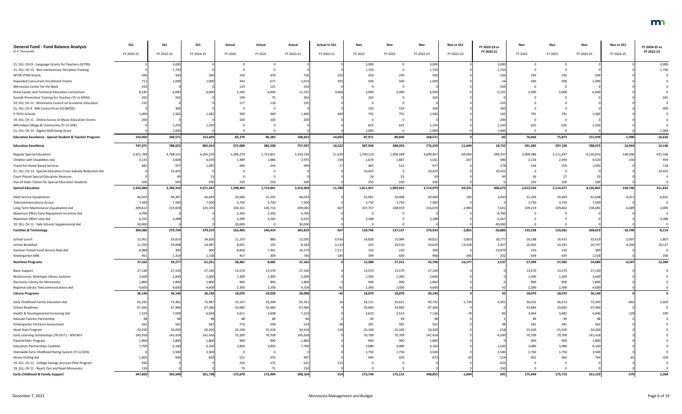| <b>General Fund - Fund Balance Analysis</b>                         | <b>SS1</b> | <b>SS1</b> | <b>SS1</b> | Actual    | Actual    | Actual     | <b>Actual vs SS1</b> | Nov       |           | Nov        | Nov vs SS1 | FY 2022-23 vs | Nov       | Nov       | Nov        | Nov vs SS1 | FY 2024-25 vs |
|---------------------------------------------------------------------|------------|------------|------------|-----------|-----------|------------|----------------------|-----------|-----------|------------|------------|---------------|-----------|-----------|------------|------------|---------------|
| (\$ in Thousands)                                                   | FY 2020-21 | FY 2022-23 | FY 2024-25 | FY 2020   | FY 2021   | FY 2020-21 | FY 2020-21           | FY 2022   | FY 2023   | FY 2022-23 | FY 2022-23 | FY 2020-21    | FY 2024   | FY 2025   | FY 2024-25 | FY 2024-25 | FY 2022-23    |
| 21, SS1, CH13 - Language Grants for Teachers (LETRS)                |            | 3,000      |            |           |           |            |                      | 3,000     |           | 3,000      |            | 3,000         |           |           |            |            | $-3,000$      |
| 21, SS1, CH 13 - Non-exclusionary Discipline Training               |            | 1,750      |            |           |           |            |                      | 1,750     | $\Omega$  | 1,750      |            | 1,750         |           |           |            |            | $-1,750$      |
| AP/IB STEM Grants                                                   |            | 500        | 500        | 250       |           |            |                      | 250       | 250       | 500        |            |               | 250       | 250       | 500        |            |               |
| <b>Expanded Concurrent Enrollment Grants</b>                        |            | 1,000      | 1,000      | 343       | 671       | 1,014      |                      | 500       | 500       | 1,000      |            |               | 500       | 500       | 1,000      |            |               |
| Minnesota Center for the Book                                       |            |            |            | 125       | 125       | 250        |                      |           | $\Omega$  |            |            |               |           |           |            |            |               |
| Rural Career and Technical Education Consortium                     | 8,18       | 6,000      | 6,000      | 5,185     | 6,006     | 11,191     | 3.006                | 3,000     | 3,000     | 6,000      |            | $-5,19$       | 3.000     | 3,000     | 6.000      |            |               |
| Suicide Prevention Training for Teachers (Tr to MDH)                |            | 265        |            | 190       | 75        | 265        |                      | 265       | $\cap$    | 265        |            |               |           |           |            |            |               |
| 19, SS1, CH 11 - Minnesota Council on Economic Education            |            |            |            | 117       |           |            |                      |           |           |            |            |               |           |           |            |            |               |
| 21, SS1, CH 4 - MN Council Econ Ed (MCEE)                           |            | 300        |            |           |           |            |                      | 150       | 150       | 300        |            |               |           |           |            |            |               |
| P-TECH Schools                                                      | 1,000      | 1,582      | 1,582      | 500       | 940       | 1.440      |                      | 791       | 791       | 1,582      |            |               |           | 791       | 1,582      |            |               |
| 19, SS1, CH 11 - Online Access to Music Education Grants            |            |            |            | 100       | 100       |            |                      |           | $\Omega$  |            |            |               |           |           |            |            |               |
| MN Indep College & Community (Tr to OHE)                            |            | 1,250      | 1,250      |           |           |            |                      | 625       | 625       | 1,250      |            | 1,250         | 625       | 625       | 1,250      |            |               |
| 21, SS1, CH 13 - Digital Well-being Grant                           |            | 1,000      |            |           |           |            |                      | 1,000     | $\Omega$  | 1,000      |            | 1,000         |           |           |            |            | $-1,000$      |
| <b>Education Excellence - Special Student &amp; Teacher Program</b> | 154,050    | 168,571    | 153,429    | 82,370    | 86,283    | 168,653    | 14,603               | 87,971    | 80,600    | 168,571    |            |               | 76,066    | 75,873    | 151,939    | $-1,490$   | $-16,632$     |
| <b>Education Excellence</b>                                         | 747,375    | 788,023    | 805,419    | 372,089   | 385,508   | 757,597    | 10,222               | 387,936   | 388,393   | 776,329    | $-11,694$  | 18,732        | 391,285   | 397,190   | 788,475    | $-16,944$  | 12,146        |
| <b>Regular Special Education</b>                                    | 3,321,769  | 3,768,531  | 4,265,229  | 1,596,279 | 1,713,851 | 3,310,130  | $-11,639$            | 1,799,119 | 1,900,348 | 3,699,467  | $-69,064$  | 389,337       | 2,009,386 | 2,111,247 | 4,120,633  | $-144,596$ | 421,166       |
| Children with Disabilities Aid                                      | 3,13       | 3,828      | 4,670      | 1,489     | 1,486     | 2,975      | $-158$               | 1,674     | 1,887     | 3,561      | $-267$     |               | 2,126     | 2,394     | 4,520      | $-150$     | 959           |
| Travel for Home Based Services                                      |            | 977        | 1.095      | 445       | 254       |            |                      | 465       | 512       | 977        |            |               | 536       | 559       | 1,095      |            | 118           |
| 21, SS1, CH 13 - Special Education Cross-Subsidy Reduction Aid      |            | 10,425     |            |           |           |            |                      | 10,425    | $\Omega$  | 10,425     |            | 10.425        |           |           |            |            | $-10,425$     |
| Court Placed Special Education Revenue                              |            |            |            |           |           |            |                      | 24        | 25        |            |            |               |           | 27        |            |            |               |
| Out-of-State Tuition for Special Education Students                 |            | 500        | 500        | 250       | 250       |            |                      | 250       | 250       | 500        |            |               | 250       | 250       |            |            |               |
| <b>Special Education</b>                                            | 3,326,084  | 3,784,310  | 4,271,547  | 1,598,463 | 1,715,841 | 3,314,304  | $-11,780$            | 1,811,957 | 1,903,022 | 3,714,979  | $-69,331$  | 400,675       | 2,012,324 | 2,114,477 | 4,126,801  | $-144,746$ | 411,822       |
|                                                                     |            |            |            |           |           |            |                      |           |           |            |            |               |           |           |            |            |               |
| Debt Service Equalization                                           | 46,019     | 49,287     | 46,649     | 20,684    | 25,335    | 46,019     |                      | 25,001    | 24,468    | 49,469     | 182        | 3,450         | 22,269    | 20,369    | 42,638     | $-4,011$   | $-6,831$      |
| <b>Telecommunications Access</b>                                    | 7,500      | 7,500      | 7,500      | 3,750     | 3,750     | 7,500      |                      | 3,750     | 3,750     | 7,500      |            |               | 3,750     | 3,750     | 7,500      |            |               |
| Long-Term Maintenance Equalization Aid                              | 209,612    | 219,659    | 225,370    | 103,331   | 105,714   | 209,045    | $-567$               | 107,757   | 108,919   | 216,676    | $-2,983$   | 7,631         | 109,219   | 109,462   | 218,681    | $-6,689$   | 2,005         |
| Maximum Effort Early Repayment Incentive Aid                        | 4,700      |            |            | 2,350     | 2,350     | 4,700      |                      |           | $\Omega$  |            |            | $-4,700$      |           |           |            |            |               |
| Maximum Effort Loan Aid                                             | 6,555      | 3,288      |            | 3,290     | 3,265     | 6,555      |                      | 3,288     |           | 3,288      |            | -3,267        |           |           |            |            | -3,288        |
| 19, SS1, CH 11 - Safe Schools Supplemental Aid                      | 30,000     |            |            | 30,000    |           | 30,000     |                      |           |           |            |            | $-30,000$     |           |           |            |            |               |
| <b>Facilities &amp; Technology</b>                                  | 304,386    | 279,734    | 279,519    | 163,405   | 140,414   | 303,819    | $-567$               | 139,796   | 137,137   | 276,933    | $-2,801$   | $-26,886$     | 135,238   | 133,581   | 268,819    | $-10,700$  | $-8,114$      |
| School Lunch                                                        | 15,951     | 33,615     | 34,626     | 11,155    | 880       | 12,035     | $-3,916$             | 14,828    | 15,984    | 30,812     | $-2,803$   | 18,777        | 16,188    | 16,431    | 32,619     | $-2,007$   | 1,807         |
| School Breakfast                                                    | 11,293     | 24,048     | 24,987     | 8,051     | 132       | 8,183      | $-3,110$             | 101       | 10,519    | 10,620     | $-13,428$  | 2,437         | 10,402    | 10,345    | 20,747     | $-4,240$   | 10,127        |
| Summer School Food Service Repl Aid                                 | 8,968      | 300        | 300        | 8,818     | 7,361     | 16,179     | 7,211                | 150       | 150       | 300        |            | $-15,879$     | 150       | 150       | 30         |            |               |
| Kindergarten Milk                                                   | 951        | 1,314      | 1,318      | 457       | 309       | 766        | $-185$               | 309       | 659       | 968        |            |               | 659       | 659       | 1,318      |            | 350           |
| <b>Nutrition Programs</b>                                           | 37,163     | 59,277     | 61,231     | 28,481    | 8,682     | 37,163     |                      | 15,388    | 27,312    | 42,700     | $-16,577$  | 5,537         | 27,399    | 27,585    | 54,984     | $-6,247$   | 12,284        |
| <b>Basic Support</b>                                                | 27,140     | 27,140     | 27,140     | 13,570    | 13,570    | 27,140     |                      | 13,570    | 13,570    | 27,140     |            |               | 13,570    | 13,570    | 27,140     |            |               |
| Multicounty, Multitype Library Systems                              | 2,600      | 2,600      | 2,600      | 1,300     | 1,300     | 2,600      |                      | 1,300     | 1,300     | 2,600      |            |               | 1,300     | 1,300     | 2,600      |            |               |
| Electronic Library for Minnesota                                    | 1,800      | 1,800      | 1,800      | 900       | 900       | 1,800      |                      | 900       | 900       | 1,800      |            |               | 900       | 900       | 1,800      |            |               |
| Regional Library Telecommunications Aid                             | 4,600      | 4,600      | 4,600      | 2,300     | 2,258     | 4,558      |                      | 2,300     | 2,300     | 4,600      |            |               | 2,300     | 2,300     | 4,600      |            |               |
| <b>Library Programs</b>                                             | 36,140     | 36,140     | 36,140     | 18,070    | 18,028    | 36,098     |                      | 18,070    | 18,070    | 36,140     |            |               | 18,070    | 18,070    | 36,140     |            |               |
| Early Childhood Family Education Aid                                | 65,335     | 71,481     | 72,987     | 32,147    | 33,204    | 65,351     |                      | 34,121    | 35,621    | 69,742     | $-1,739$   | 4,391         | 36,032    | 36,313    | 72,345     | $-642$     | 2,603         |
| <b>School Readiness</b>                                             | 67,366     | 67,366     | 67,366     | 33,683    | 33,683    | 67,366     |                      | 33,683    | 33,683    | 67,366     |            |               | 33,683    | 33,683    | 67,366     |            |               |
| Health & Developmental Screening Aid                                | 7,219      | 7,058      | 6,818      | 3,611     | 3,608     | 7,219      |                      | 3,623     | 3,513     | 7,136      |            |               | 3,464     | 3,482     | 6,946      |            | $-190$        |
| <b>Educate Parents Partnership</b>                                  |            |            |            | 48        | 48        |            |                      | -49       | 49        | 98         |            |               | 49        | -49       |            |            |               |
| Kindergarten Entrance Assessment                                    |            | 562        | 562        | 276       | 248       | 524        |                      | 281       | 281       | 562        |            |               | 281       | 281       | 562        |            |               |
| <b>Head Start Program</b>                                           | 50,200     | 50,200     | 50,200     | 25,100    | 25,318    | 50,418     |                      | 25,100    | 25,100    | 50,200     |            |               | 25,100    | 25,100    | 50,200     |            |               |
| Early Learning Scholarships (TR OUT) - SPECREV                      | 145,918    | 141,418    | 141,418    | 75,209    | 70,709    | 145,918    |                      | 70,709    | 70,709    | 141,418    |            | $-4,500$      | 70,709    | 70,709    | 141,418    |            |               |
| ParentChild+ Program                                                | 1,800      | 1,800      | 1,800      | 900       | 900       | 1,800      |                      | 900       | 900       | 1,800      |            |               | 900       | 900       | 1,800      |            |               |
| <b>Education Partnerships Coalition</b>                             | 7,700      | 6,160      | 6,160      | 3,850     | 3,850     | 7,700      |                      | 3,080     | 3,080     | 6,160      |            | $-1,540$      | 3,080     | 3,080     | 6,160      |            |               |
| Statewide Early Childhood Rating System (Tr to DHS)                 |            | 3,500      | 3,500      |           |           |            |                      | 1,750     | 1,750     | 3,500      |            | 3,500         | 1,750     | 1,750     | 3,500      |            |               |
| Home Visiting Aid                                                   | 1,002      | 906        |            | 521       | 476       |            |                      | 444       | 429       | 873        |            | $-124$        | 401       | 363       | 764        |            |               |
| 19, SS1, CH 11 - College Savings Account Pilot Program              | 500        |            |            | 250       | 375       |            |                      |           | $\Omega$  |            |            |               |           |           |            |            |               |
| 19, SS1, CH 11 - Reach Out and Read Minnesota                       |            |            |            | 75        | 75        | 150        |                      |           |           |            |            | $-150$        |           |           |            |            |               |
| <b>Early Childhood &amp; Family Support</b>                         | 347,850    | 350,549    | 351,738    | 175,670   | 172,494   | 348,164    | 314                  | 173,740   | 175,115   | 348,855    | $-1,694$   | 691           | 175,449   | 175,710   | 351,159    | $-579$     | 2,304         |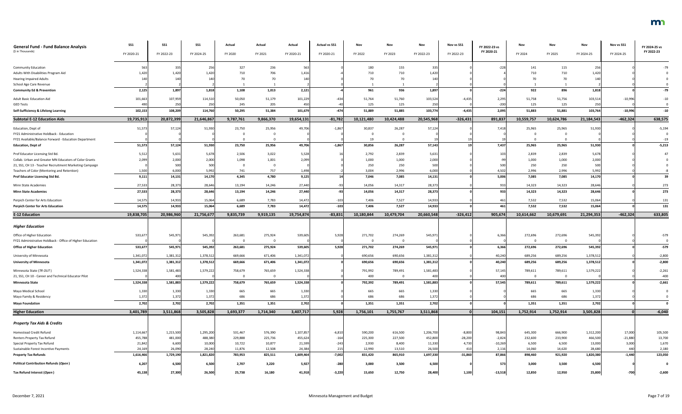| <b>General Fund - Fund Balance Analysis</b>               | SS1               | <b>SS1</b>       | SS <sub>1</sub> | Actual    | Actual    | Actual     | <b>Actual vs SS1</b> | Nov        | Nov        | Nov        | Nov vs SS1 | FY 2022-23 vs | Nov        | Nov            | Nov        | Nov vs SS1 | FY 2024-25 vs |
|-----------------------------------------------------------|-------------------|------------------|-----------------|-----------|-----------|------------|----------------------|------------|------------|------------|------------|---------------|------------|----------------|------------|------------|---------------|
| (\$ in Thousands)                                         | FY 2020-21        | FY 2022-23       | FY 2024-25      | FY 2020   | FY 2021   | FY 2020-21 | FY 2020-21           | FY 2022    | FY 2023    | FY 2022-23 | FY 2022-23 | FY 2020-21    | FY 2024    | FY 2025        | FY 2024-25 | FY 2024-25 | FY 2022-23    |
| <b>Community Education</b>                                | 563               | 335              | 256             | 327       | 236       | 56         |                      | 180        | 155        | 335        |            | $-228$        | 141        | 115            | 256        |            |               |
| Adults With Disabilities Program Aid                      | 1,420             | 1,420            | 1,420           | 710       | 706       | 1,416      |                      | 710        | 710        | 1,420      |            |               | 710        | 710            | 1.420      |            |               |
| <b>Hearing Impaired Adults</b>                            |                   | 140              | 14(             | 70        | 70        |            |                      |            | 70         | 140        |            |               | 70         | 70             |            |            |               |
| School Age Care Revenue                                   |                   |                  |                 |           |           |            |                      |            |            |            |            |               |            |                |            |            |               |
| <b>Community Ed &amp; Prevention</b>                      | 2,125             | 1,897            | 1,818           | 1,108     | 1,013     | 2,121      |                      | 961        | 936        | 1,897      |            | $-224$        | 922        | 896            | 1,818      |            | $-79$         |
| <b>Adult Basic Education Aid</b>                          | 101,663           | 107,959          | 114,510         | 50,050    | 51,179    | 101,229    | $-434$               | 51,764     | 51,760     | 103,524    | $-4,435$   | 2,295         | 51,758     | 51,756         | 103,514    | $-10,996$  | $-10$         |
| <b>GED Tests</b>                                          |                   | 250              | 250             | 245       | 205       |            |                      | 125        | 125        | 250        |            | $-200$        | 125        | 125            | 250        |            |               |
| Self-Sufficiency & Lifelong Learning                      | 102,153           | 108,209          | 114,760         | 50,295    | 51,384    | 101,679    | $-474$               | 51,889     | 51,885     | 103,774    | $-4,435$   | 2,095         | 51,883     | 51,881         | 103,764    | $-10,996$  | $-10$         |
| <b>Subtotal E-12 Education Aids</b>                       | 19,735,913        | 20,872,399       | 21,646,867      | 9,787,761 | 9,866,370 | 19,654,131 | $-81,782$            | 10,121,480 | 10,424,488 | 20,545,968 | $-326,431$ | 891,837       | 10,559,757 | 10,624,786     | 21,184,543 | $-462,324$ | 638,575       |
| Education, Dept of                                        | 51,573            | 57,124           | 51,930          | 23,750    | 25,956    | 49,706     | $-1,867$             | 30,837     | 26,287     | 57,124     |            | 7,418         | 25,965     | 25,965         | 51,930     |            | $-5,194$      |
| FY21 Administrative Holdback - Education                  |                   |                  |                 |           |           |            |                      |            |            |            |            |               |            |                |            |            |               |
| FY21 Available/Balance Forward - Education Department     |                   |                  |                 |           |           |            |                      | 19         |            |            |            |               |            |                |            |            | $-19$         |
| <b>Education, Dept of</b>                                 | 51,573            | 57,124           | 51,930          | 23,750    | 25,956    | 49,706     | $-1,867$             | 30,856     | 26,287     | 57,143     |            | 7,437         | 25,965     | 25,965         | 51,930     |            | $-5,213$      |
| Prof Educator Licensing Std Bd.                           | 5,512             | 5,631            | 5,678           | 2,506     | 3,022     | 5,528      |                      | 2,792      | 2,839      | 5,631      |            |               | 2,839      | 2,839          | 5,678      |            |               |
| Collab. Urban and Greater MN Educators of Color Grants    | 2,099             | 2,000            | 2,000           | 1,098     | 1,001     | 2,099      |                      | 1,000      | 1,000      | 2,000      |            |               | 1,000      | 1,000          | 2,000      |            |               |
| 21, SS1, CH 13 - Teacher Recruitment Marketing Campaign   |                   | 500              | 500             |           |           |            |                      | 250        | 250        | 500        |            | 500           | 250        | 250            | 500        |            |               |
| Teachers of Color (Mentoring and Retention)               | 1,500             | 6,000            | 5,992           | 741       | 757       | 1,498      |                      | 3,004      | 2,996      | 6,000      |            | 4,502         | 2,996      | 2,996          | 5,992      |            |               |
| Prof Educator Licensing Std Bd.                           | 9,111             | 14,131           | 14,170          | 4,345     | 4,780     | 9,125      |                      | 7,046      | 7,085      | 14,131     |            | 5,006         | 7,085      | 7,085          | 14,170     |            | 39            |
| Minn State Academies                                      | 27,533            | 28,373           | 28,646          | 13,194    | 14,246    | 27,440     |                      | 14,056     | 14,317     | 28,373     |            | -933          | 14,323     | 14,323         | 28,646     |            | 273           |
| <b>Minn State Academies</b>                               | 27,533            | 28,373           | 28,646          | 13,194    | 14,246    | 27,440     |                      | 14,056     | 14,317     | 28,373     |            | 933           | 14,323     | 14,323         | 28,646     |            | 273           |
| Perpich Center for Arts Education                         | 14,575            | 14,933           | 15,064          | 6,689     | 7,783     | 14,472     | $-103$               | 7,406      | 7,527      | 14,933     |            | 461           | 7,532      | 7,532          | 15,064     |            | 131           |
| <b>Perpich Center for Arts Education</b>                  | 14,575            | 14,933           | 15,064          | 6,689     | 7,783     | 14,472     | $-103$               | 7,406      | 7,527      | 14,933     |            | 461           | 7,532      | 7,532          | 15,064     |            | 131           |
| <b>E-12 Education</b>                                     | 19,838,705        | 20,986,960       | 21,756,677      | 9,835,739 | 9,919,135 | 19,754,874 | $-83,831$            | 10,180,844 | 10,479,704 | 20,660,548 | $-326,412$ | 905,674       | 10,614,662 | 10,679,691     | 21,294,353 | $-462,324$ | 633,805       |
| <b>Higher Education</b>                                   |                   |                  |                 |           |           |            |                      |            |            |            |            |               |            |                |            |            |               |
| Office of Higher Education                                | 533,67            | 545,97           | 545,392         | 263,681   | 275,924   | 539,605    | 5,92                 | 271,702    | 274,269    | 545,97     |            | 6,366         | 272,696    | 272,696        | 545,392    |            | $-579$        |
| FY21 Administrative Holdback - Office of Higher Education |                   |                  |                 |           |           |            |                      |            |            |            |            |               | $\Omega$   | $\Omega$       |            |            |               |
| <b>Office of Higher Education</b>                         | 533,677           | 545,971          | 545,392         | 263,681   | 275,924   | 539,605    | 5,928                | 271,702    | 274,269    | 545,971    |            | 6,366         | 272,696    | 272,696        | 545,392    |            | $-579$        |
| University of Minnesota                                   | 1,341,072         | 1,381,31         | 1,378,51        | 669,666   | 671,406   | 1,341,072  |                      | 690,656    | 690,656    | 1,381,31   |            | 40,240        | 689,256    | 689,256        | 1,378,512  |            | $-2,800$      |
| <b>University of Minnesota</b>                            | 1,341,072         | 1,381,312        | 1,378,512       | 669,666   | 671,406   | 1,341,072  |                      | 690,656    | 690,656    | 1,381,312  |            | 40,240        | 689,256    | 689,256        | 1,378,512  |            | $-2,800$      |
|                                                           |                   |                  |                 |           |           |            |                      |            |            |            |            |               |            |                |            |            |               |
| Minnesota State (TR OUT)                                  | 1,524,338         | 1,581,483        | 1,579,222       | 758,679   | 765,659   | 1,524,338  |                      | 791,992    | 789,491    | 1,581,483  |            | 57,145        | 789,611    | 789,611        | 1,579,222  |            | $-2,261$      |
| 21, SS1, CH 10 - Career and Technical Educator Pilot      |                   | 400              |                 |           |           |            |                      | 400        | - 0        | 400        |            | 400           | $\Omega$   | $\overline{0}$ |            |            | $-400$        |
| <b>Minnesota State</b>                                    | 1,524,338         | 1,581,883        | 1,579,222       | 758,679   | 765,659   | 1,524,338  |                      | 792,392    | 789,491    | 1,581,883  |            | 57,545        | 789,611    | 789,611        | 1,579,222  |            | $-2,661$      |
| Mayo Medical School                                       | 1,330             | 1,330            | 1,330           | 665       | 665       | 1,330      |                      | 665        | 665        | 1,330      |            |               | 665        | 665            | 1,330      |            |               |
| Mayo Family & Residency                                   | 1,372             | 1,372            | 1,372           | 686       | 686       | 1,372      |                      | 686        | 686        | 1,372      |            |               | 686        | 686            | 1,372      |            |               |
| <b>Mayo Foundation</b>                                    | 2,702             | 2,702            | 2,702           | 1,351     | 1,351     | 2,702      |                      | 1,351      | 1,351      | 2,702      |            |               | 1,351      | 1,351          | 2,702      |            |               |
| <b>Higher Education</b>                                   | 3,401,789         | 3,511,868        | 3,505,828       | 1,693,377 | 1,714,340 | 3,407,717  | 5,928                | 1,756,101  | 1,755,767  | 3,511,868  | -ol        | 104,151       | 1,752,914  | 1,752,914      | 3,505,828  |            | $-6,040$      |
| <b>Property Tax Aids &amp; Credits</b>                    |                   |                  |                 |           |           |            |                      |            |            |            |            |               |            |                |            |            |               |
| Homestead Credit Refund                                   | 1,114,667         | 1,215,500        | 1,295,200       | 531,467   | 576,390   | 1,107,857  | $-6,810$             | 590,200    | 616,500    | 1,206,700  | $-8,800$   | 98,843        | 645,300    | 666,900        | 1,312,200  | 17,000     | 105,500       |
|                                                           |                   |                  | 488,380         | 229,888   | 225,736   | 455,624    | $-164$               | 225,300    | 227,500    | 452,800    | $-28,200$  | $-2,824$      | 232,600    | 233,900        | 466,500    | $-21,880$  | 13,700        |
| Renters Property Tax Refund                               |                   |                  |                 |           |           |            |                      |            |            |            |            |               |            |                |            |            |               |
| Special Property Tax Refund                               | 455,788<br>21,842 | 481,000<br>6,600 | 10,000          | 10,722    | 10,877    | 21,599     | $-243$               | 2,930      | 8,400      | 11,330     | 4,730      | $-10,269$     | 6,500      | 6,500          | 13,000     | 3,000      | 1,670         |
| Sustainable Forest Incentive Payments                     | 24,169            | 26,090           | 28,240          | 11,876    | 12,508    | 24,384     | 215                  | 12,990     | 13,510     | 26,500     | 410        | 2,116         | 14,060     | 14,620         | 28,680     | 440        | 2,180         |
| <b>Property Tax Refunds</b>                               | 1,616,466         | 1,729,190        | 1,821,820       | 783,953   | 825,511   | 1,609,464  | $-7,002$             | 831,420    | 865,910    | 1,697,330  | $-31,860$  | 87,866        | 898,460    | 921,920        | 1,820,380  | $-1,440$   | 123,050       |
| <b>Political Contribution Refunds (Open)</b>              | 6,207             | 6,500            | 6,500           | 2,707     | 3,220     | 5,927      | $-280$               | 3,000      | 3,500      | 6,500      |            | 573           | 3,000      | 3,500          | 6,500      |            |               |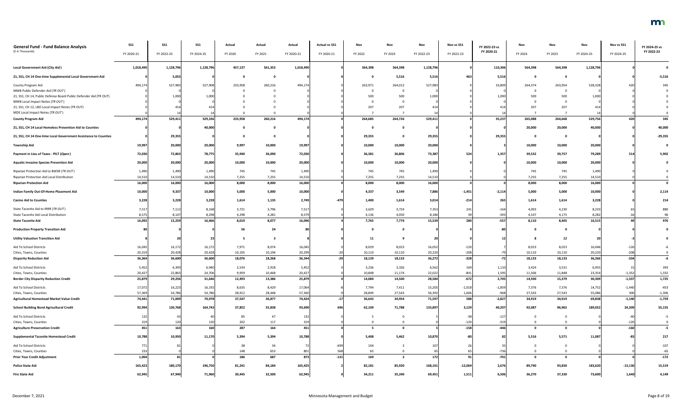| <b>General Fund - Fund Balance Analysis</b>                                                   | <b>SS1</b>       | <b>SS1</b>        | <b>SS1</b>        | Actual           | Actual           | Actual           | <b>Actual vs SS1</b> | Nov              |                  | Nov               | Nov vs SS1   | FY 2022-23 vs      | Nov              | Nov              | Nov               | Nov vs SS1         | FY 2024-25 vs      |
|-----------------------------------------------------------------------------------------------|------------------|-------------------|-------------------|------------------|------------------|------------------|----------------------|------------------|------------------|-------------------|--------------|--------------------|------------------|------------------|-------------------|--------------------|--------------------|
| (\$ in Thousands)                                                                             | FY 2020-21       | FY 2022-23        | FY 2024-25        | FY 2020          | FY 2021          | FY 2020-21       | FY 2020-21           | FY 2022          | FY 2023          | FY 2022-23        | FY 2022-23   | FY 2020-21         | FY 2024          | FY 2025          | FY 2024-25        | FY 2024-25         | FY 2022-23         |
| <b>Local Government Aid (City Aid)</b>                                                        | 1,018,490        | 1,128,796         | 1,128,796         | 457,137          | 561,353          | 1,018,490        |                      | 564,398          | 564,398          | 1,128,796         |              | 110,306            | 564,398          | 564,398          | 1,128,796         |                    |                    |
| 21, SS1, CH 14 One-time Supplemental Local Government Aid                                     |                  | 5,053             |                   |                  |                  |                  |                      |                  | 5,516            | 5,516             | 463          | 5,516              | - 0              | - 0              |                   |                    | $-5,516$           |
| County Program Aid                                                                            | 494,174          | 527,983           | 527,908           | 233,958          | 260,216          | 494,174          |                      | 263,971          | 264,012          | 527,983           |              | 33,809             | 264,374          | 263,954          | 528,328           |                    | 345                |
| MMB Public Defender Aid (TR OUT)                                                              |                  |                   |                   |                  |                  |                  |                      |                  | 0                |                   |              |                    |                  |                  |                   |                    |                    |
| 21, SS1, CH 14, Public Defense Board Public Defender Aid (TR OUT)                             |                  | 1,000             | 1.000             |                  |                  |                  |                      | 500              | 500              | 1,000             |              | 1,000              | 500              | 500              | 1.000             |                    |                    |
| MMB Local Impact Notes (TR OUT)<br>21, SS1, CH 12, LBO Local Impact Notes (TR OUT)            |                  |                   | 414               |                  |                  |                  |                      | 207              | $\Omega$<br>207  | 414               |              |                    | 207              | 207              | 41 <sub>4</sub>   |                    |                    |
| MDE Local Impact Notes (TR OUT)                                                               |                  |                   |                   |                  |                  |                  |                      |                  |                  |                   |              |                    |                  |                  |                   |                    |                    |
| <b>County Program Aid</b>                                                                     | 494,174          | 529,411           | 529,336           | 233,958          | 260,216          | 494,174          |                      | 264,685          | 264,726          | 529,41            |              | 35,237             | 265,088          | 264,668          | 529,756           | 420                | 345                |
| 21, SS1, CH 14 Local Homeless Prevention Aid to Counties                                      |                  |                   | 40,000            |                  |                  |                  |                      |                  | $\mathbf{0}$     |                   |              |                    | 20,000           | 20,000           | 40,000            |                    | 40,000             |
| 21, SS1, CH 14 One-time Local Government Assistance to Counties                               |                  | 29,355            |                   |                  |                  |                  |                      | 29,355           | $\mathbf 0$      | 29,355            |              | 29,355             |                  | - 0              |                   |                    | $-29,355$          |
| <b>Township Aid</b>                                                                           | 19,997           | 20,000            | 20,000            | 9,997            | 10,000           | 19,997           |                      | 10,000           | 10,000           | 20,000            |              |                    | 10,000           | 10,000           | 20,000            |                    |                    |
| Payment in Lieu of Taxes - PILT (Open)                                                        | 72,030           | 72,863            | 78,775            | 35,940           | 36,090           | 72,030           |                      | 36,581           | 36,806           | 73,387            | 524          | 1,357              | 39,532           | 39,757           | 79,289            | 514                | 5,902              |
| <b>Aquatic Invasive Species Prevention Aid</b>                                                | 20,000           | 20,000            | 20,000            | 10,000           | 10,000           | 20,000           |                      | 10,000           | 10,000           | 20,000            |              |                    | 10,000           | 10,000           | 20,000            |                    |                    |
| Riparian Protection Aid to BWSR (TR OUT)                                                      | 1,490            | 1,490             | 1,490             | 745              | 745              | 1,490            |                      | 745              | 745              | 1,490             |              |                    | 745              | 745              | 1,490             |                    |                    |
| Riparian Protection Aid Local Distribution                                                    | 14,510           | 14,510            | 14,510            | 7,255            | 7,255            | 14,510           |                      | 7,255            | 7,255            | 14,510            |              |                    | 7,255            | 7,255            | 14,510            |                    |                    |
| <b>Riparian Protection Aid</b>                                                                | 16,000           | 16,000            | 16,000            | 8,000            | 8,000            | 16,000           |                      | 8,000            | 8,000            | 16,000            |              |                    | 8,000            | 8,000            | 16,000            |                    |                    |
| Indian Family Out-Of-Home Placement Aid                                                       | 10,000           | 9,337             | 10,000            | 5,000            | 5,000            | 10,000           |                      | 4,337            | 3,549            | 7,886             | $-1,451$     | $-2,114$           | 5,000            | 5,000            | 10,000            |                    | 2,114              |
| <b>Casino Aid to Counties</b>                                                                 | 3,228            | 3,228             | 3,228             | 1,614            | 1,135            | 2,749            |                      | 1,400            | 1,614            | 3,014             | $-214$       |                    | 1,614            | 1,614            | 3,228             |                    | 214                |
| State Taconite Aid to IRRR (TR OUT)                                                           | 7,517            | 7,112             | 8,168             | 3,721            | 3,796            | 7,517            |                      | 3,629            | 3,724            | 7,353             | 241          |                    | 4,003            | 4,230            | 8,233             |                    | 880                |
| State Taconite Aid Local Distribution                                                         | 8,575            | 8,147             | 8,298             | 4,298            | 4,281            | 8,579            |                      | 4,136            | 4,050            | 8,186             |              |                    | 4,107            | 4,175            | 8,282             |                    | 96                 |
| <b>State Taconite Aid</b>                                                                     | 16,092           | 15,259            | 16,466            | 8,019            | 8,077            | 16,096           |                      | 7,765            | 7,774            | 15,539            | <b>280</b>   | $-557$             | 8,110            | 8,405            | 16,515            |                    | 976                |
| <b>Production Property Transition Aid</b>                                                     |                  |                   |                   | 56               | 24               |                  |                      |                  | $\mathbf{0}$     |                   |              |                    |                  |                  |                   |                    |                    |
| <b>Utility Valuation Transition Aid</b>                                                       |                  |                   |                   | - 5              |                  |                  |                      | 11               |                  | 20                |              |                    |                  | 12               |                   |                    |                    |
| Aid To School Districts                                                                       | 16,045           | 16,172            | 16,172            | 7,971            | 8,074            | 16,045           |                      | 8,029            | 8,023            | 16,052            | $-120$       |                    | 8,023            | 8,023            | 16,046            |                    |                    |
| Cities, Towns, Counties                                                                       | 20,319           | 20,428            | 20,428            | 10,105           | 10,194           | 20,299           |                      | 10,110           | 10,110           | 20,220            | $-208$       |                    | 10,110           | 10,110           | 20,220            | $-208$             |                    |
| <b>Disparity Reduction Aid</b>                                                                | 36,364           | 36,600            | 36,600            | 18,076           | 18,268           | 36,344           |                      | 18,139           | 18,133           | 36,272            | $-328$       | $-72$              | 18,133           | 18,133           | 36,266            | $-334$             | -6                 |
| Aid To School Districts                                                                       | 5,452            | 6,393             | 6,940             | 2,534            | 2,918            | 5,452            |                      | 3,236            | 3,326            | 6,562             | 169          | 1,110              | 3,424            | 3,531            | 6,955             |                    | 393                |
| Cities, Towns, Counties                                                                       | 20,427           | 22,863            | 24,706            | 9,959            | 10,468           | 20,427           |                      | 10,848           | 11,174           | 22,022            | $-841$       | 1,595              | 11,506           | 11,848           | 23,354            | $-1,352$           | 1,332              |
| <b>Border City Disparity Reduction Credit</b>                                                 | 25,879           | 29,256            | 31,646            | 12,493           | 13,386           | 25,879           |                      | 14,084           | 14,500           | 28,584            | $-672$       | 2,705              | 14,930           | 15,379           | 30,309            | $-1,337$           | 1,725              |
| Aid To School Districts                                                                       | 17,072           | 16,223            | 16,192            | 8,635            | 8,429            | 17,064           |                      | 7,794            | 7,411            | 15,205            | $-1,018$     | $-1,859$           | 7,376            | 7,376            | 14,752            | $-1,440$           | $-453$             |
| Cities, Towns, Counties                                                                       | 57,369           | 54,786            | 54,786            | 28,912           | 28,448           | 57,360           |                      | 28,849           | 27,543           | 56,392            | 1,606        | $-968$             | 27,543           | 27,543           | 55,086            | 300                | $-1,306$           |
| Agricultural Homestead Market Value Credit<br><b>School Building Bond Agricultural Credit</b> | 74,441<br>92,994 | 71,009<br>130,768 | 70,978<br>164,743 | 37,547<br>37,852 | 36,877<br>55,838 | 74,424<br>93,690 | 696                  | 36,643<br>62,109 | 34,954<br>71,788 | 71,597<br>133,897 | 588<br>3,129 | $-2,827$<br>40,207 | 34,919<br>92,087 | 34,919<br>96,965 | 69,838<br>189,052 | $-1,140$<br>24,309 | $-1,759$<br>55,155 |
|                                                                                               |                  |                   |                   |                  |                  |                  |                      |                  |                  |                   |              |                    |                  |                  |                   |                    |                    |
| Aid To School Districts<br>Cities, Towns, Counties                                            | 132<br>319       | 120               | 120               | 85<br>202        | 47<br>$117\,$    | 132<br>319       |                      |                  | $\Omega$         |                   | $-120$       | $-12$<br>$-319$    |                  |                  |                   |                    |                    |
| <b>Agriculture Preservation Credit</b>                                                        | 451              | 163               | 160               | 287              | 164              | 451              |                      |                  | $\mathbf 0$      |                   | $-158$       | $-446$             |                  | $\mathbf{0}$     |                   | $-120$<br>$-160$   | $-5$               |
| <b>Supplemental Taconite Homestead Credit</b>                                                 | 10,788           | 10,950            | 11,170            | 5,394            | 5,394            | 10,788           |                      | 5,408            | 5,462            | 10,870            |              |                    | 5,516            | 5,571            | 11,087            |                    | 217                |
| Aid To School Districts                                                                       | 771              |                   |                   | 38               | 34               |                  | $-699$               | 104              |                  | 107               |              |                    |                  |                  |                   |                    | $-107$             |
| Cities, Towns, Counties                                                                       | 233              |                   |                   | 148              | 653              | 801              | 568                  | 65               | $\overline{0}$   | 65                | 65           | $-736$             |                  | $\Omega$         |                   |                    | $-65$              |
| <b>Prior Year Credit Adjustment</b>                                                           | 1,004            | 81                |                   | 186              | 687              | 873              | $-131$               | 169              | - 3              | 172               | 91           | $-701$             | - 0              | $\Omega$         |                   |                    | $-172$             |
| <b>Police State Aid</b>                                                                       | 165,423          | 180,170           | 196,750           | 81,241           | 84,184           | 165,425          |                      | 82,181           | 85,920           | 168,101           | $-12,069$    | 2,676              | 89,790           | 93,830           | 183,620           | $-13,130$          | 15,519             |
| <b>Fire State Aid</b>                                                                         | 62,945           | 67,940            | 71,960            | 30,445           | 32,500           | 62,945           |                      | 34,211           | 35,240           | 69,451            | 1,511        | 6,506              | 36,270           | 37,330           | 73,600            | 1,640              | 4,149              |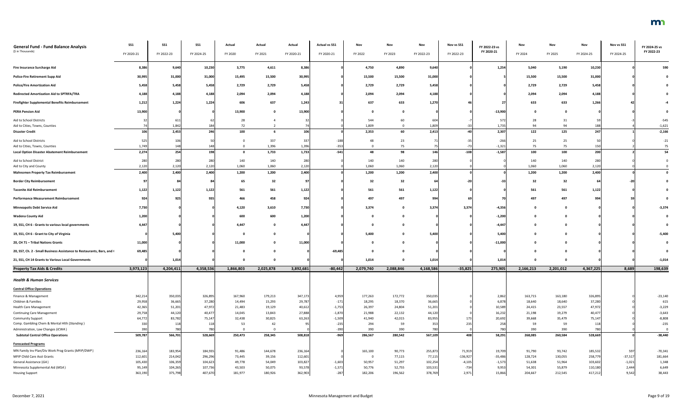| <b>General Fund - Fund Balance Analysis</b>                                     | <b>SS1</b>         | <b>SS1</b>         | <b>SS1</b>         | Actual           | Actual           | Actual             | <b>Actual vs SS1</b> | Nov            | Nov              | Nov               | Nov vs SS1             | FY 2022-23 vs         | Nov               | Nov               | Nov                | Nov vs SS1            | FY 2024-25 vs    |
|---------------------------------------------------------------------------------|--------------------|--------------------|--------------------|------------------|------------------|--------------------|----------------------|----------------|------------------|-------------------|------------------------|-----------------------|-------------------|-------------------|--------------------|-----------------------|------------------|
| (\$ in Thousands)                                                               | FY 2020-21         | FY 2022-23         | FY 2024-25         | FY 2020          | FY 2021          | FY 2020-21         | FY 2020-21           | FY 2022        | FY 2023          | FY 2022-23        | FY 2022-23             | FY 2020-21            | FY 2024           | FY 2025           | FY 2024-25         | FY 2024-25            | FY 2022-23       |
| <b>Fire Insurance Surcharge Aid</b>                                             | 8,386              | 9,640              | 10,230             | 3,775            | 4,611            | 8,386              |                      | 4,750          | 4,890            | 9,640             |                        | 1,254                 | 5,040             | 5,190             | 10,230             |                       | 590              |
| <b>Police-Fire Retirement Supp Aid</b>                                          | 30,995             | 31,000             | 31,000             | 15,495           | 15,500           | 30,995             |                      | 15,500         | 15,500           | 31,000            |                        |                       | 15,500            | 15,500            | 31,000             |                       |                  |
| <b>Police/Fire Amortization Aid</b>                                             | 5,458              | 5,458              | 5,458              | 2,729            | 2,729            | 5,458              |                      | 2,729          | 2,729            | 5,458             |                        |                       | 2,729             | 2,729             | 5,458              |                       |                  |
| Redirected Amortization Aid to SPTRFA/TRA                                       | 4,188              | 4,188              | 4,188              | 2,094            | 2,094            | 4,188              |                      | 2,094          | 2,094            | 4,188             |                        |                       | 2,094             | 2,094             | 4,188              |                       |                  |
| <b>Firefighter Supplemental Benefits Reimbursement</b>                          | 1,212              | 1,224              | 1,224              | 606              | 637              | 1,243              |                      | 637            | 633              | 1,270             |                        |                       | 633               | 633               | 1,266              |                       |                  |
| <b>PERA Pension Aid</b>                                                         | 13,900             |                    |                    | 13,900           |                  | 13,900             |                      |                |                  |                   |                        | $-13,900$             |                   |                   |                    |                       |                  |
| Aid to School Districts                                                         |                    | 611                |                    | 28               |                  |                    |                      | 544            | 60               | 604               |                        | 572                   | 28                |                   |                    |                       | $-545$           |
| Aid to Cities, Towns, Counties                                                  |                    | 1,842              | 184                | 72               |                  |                    |                      | 1,809          |                  | 1,809             |                        | 1,735                 | 94                | 94                |                    |                       | $-1,621$         |
| <b>Disaster Credit</b>                                                          | 106                | 2,453              | 246                | 100              |                  | 106                |                      | 2,353          | 60               | 2,413             |                        | 2,307                 | 122               | 125               | 247                |                       | $-2,166$         |
| Aid to School Districts                                                         | 525                | 106                |                    |                  | 337              | 337                | $-188$               | 48             | 23               |                   |                        | $-266$                | 25                | 25                |                    |                       | $-21$            |
| Aid to Cities, Towns, Counties                                                  | 1,749              | 148                | 148                |                  | 1,396            | 1,396              | $-353$               |                | 75               |                   |                        | $-1,321$              | 75                | 75                |                    |                       |                  |
| <b>Local Option Disaster Abatement Reimbursement</b>                            | 2,274              | 254                | 198                | $\mathbf{0}$     | 1,733            | 1,733              | $-541$               | 48             | 98               | 146               | -108 l                 | $-1,587$              | 100               | 100               | 200                |                       | 54               |
| Aid to School District                                                          | 280                | 280                | 280                | 140              | 140              | 280                |                      | 140            | 140              | 280               |                        |                       | 140               | 140               | 280                |                       |                  |
| Aid to City and County                                                          | 2,120              | 2,120              | 2,120              | 1,060            | 1,060            | 2,120              |                      | 1,060          | 1,060            | 2,120             |                        |                       | 1,060             | 1,060             | 2,120              |                       |                  |
| <b>Mahnomen Property Tax Reimbursement</b>                                      | 2,400              | 2,400              | 2,400              | 1,200            | 1,200            | 2,400              |                      | 1,200          | 1,200            | 2,400             |                        |                       | 1,200             | 1,200             | 2,400              |                       |                  |
| <b>Border City Reimbursement</b>                                                |                    |                    |                    | 65               | 32               |                    |                      | 32             | 32               | 64                |                        |                       | 32                | 32                |                    |                       |                  |
| <b>Taconite Aid Reimbursement</b>                                               | 1,122              | 1,122              | 1,122              | 561              | 561              | 1,122              |                      | 561            | 561              | 1,122             |                        |                       | 561               | 561               | 1,122              |                       |                  |
| <b>Performance Measurement Reimbursement</b>                                    | 924                | 925                | 935                | 466              | 458              | 924                |                      | 497            | 497              | 994               |                        |                       | 497               | 497               |                    |                       |                  |
| <b>Minneapolis Debt Service Aid</b>                                             | 7,730              |                    |                    | 4,120            | 3,610            | 7,730              |                      | 3,374          |                  | 3,374             | 3,374                  | $-4,356$              | $\Omega$          |                   |                    |                       | $-3,374$         |
| <b>Wadena County Aid</b>                                                        | 1,200              |                    |                    | 600              | 600              | 1,200              |                      |                |                  |                   |                        | $-1,200$              |                   |                   |                    |                       |                  |
| 19, SS1, CH 6 - Grants to various local governments                             | 4,447              |                    |                    | 4,447            |                  | 4,447              |                      |                |                  |                   |                        | $-4,44$               | $\mathbf 0$       | 0                 |                    |                       |                  |
| 19, SS1, CH 6 - Grant to City of Virginia                                       |                    | 5,400              |                    |                  |                  |                    |                      | 5,400          |                  | 5,400             |                        | 5,400                 | $\mathbf 0$       | 0                 |                    |                       | $-5,400$         |
| 20, CH 71 - Tribal Nations Grants                                               | 11,000             |                    |                    | 11,000           |                  | 11,000             |                      |                |                  |                   |                        | $-11,000$             | $\mathbf 0$       |                   |                    |                       |                  |
| 20, SS7, Ch. 2 - Small Business Assistance to Restaurants, Bars, and (          | 69,485             |                    |                    |                  |                  |                    | $-69,485$            |                |                  |                   |                        |                       | - 0               |                   |                    |                       |                  |
| 21, SS1, CH 14 Grants to Various Local Governments                              |                    | 1,014              |                    |                  |                  |                    |                      | 1,014          |                  | 1,014             |                        | 1,014                 | 0                 | 0                 |                    |                       | $-1,014$         |
| <b>Property Tax Aids &amp; Credits</b>                                          | 3,973,123          | 4,204,411          | 4,358,536          | 1,866,803        | 2,025,878        | 3,892,681          | $-80,442$            | 2,079,740      | 2,088,846        | 4,168,586         | $-35,825$              | 275,905               | 2,166,213         | 2,201,012         | 4,367,225          | 8,689                 | 198,639          |
| <b>Health &amp; Human Services</b>                                              |                    |                    |                    |                  |                  |                    |                      |                |                  |                   |                        |                       |                   |                   |                    |                       |                  |
| <b>Central Office Operations</b>                                                |                    |                    |                    |                  |                  |                    |                      |                |                  |                   |                        |                       |                   |                   |                    |                       |                  |
| Finance & Management                                                            | 342,214            | 350,035            | 326,895            | 167,960          | 179,213          | 347,173            | 4,959                | 177,263        | 172,772          | 350,035           |                        | 2,862                 | 163,715           | 163,180           | 326,895            |                       | $-23,140$        |
| Children & Families                                                             | 29,958             | 36,665             | 37,280             | 14,494           | 15,293           | 29,787             | $-171$               | 18,295         | 18,370           | 36,665            |                        | 6,878                 | 18,640            | 18,640            | 37,280             |                       | 615              |
| Health Care Management                                                          | 42,365             | 51,201             | 47,972             | 21,483           | 19,129           | 40,612             | $-1,753$             | 26,397         | 24,804           | 51,201            |                        | 10,589                | 24,415            | 23,557            | 47,972             |                       | $-3,229$         |
| <b>Continuing Care Management</b>                                               | 29,758             | 44,120             | 40,477             | 14,045           | 13,843           | 27,888             | $-1,870$             | 21,988         | 22,132           | 44,12             |                        | 16,232                | 21,198            | 19,279            | 40,477             |                       | $-3,643$         |
| <b>Community Support</b>                                                        | 64,772             | 83,782             | 75,147             | 32,438           | 30,825           | 63,263             | $-1,509$             | 41,940         | 42,015           | 83,955            |                        | 20,692                | 39,668            | 35,479            | 75,147             |                       | $-8,808$         |
| Comp. Gambling Chem & Mental Hlth (Standing)                                    | 330                | 118                | 118                | 53               | -42              |                    | $-235$               | 294            | 59               | 353               | 235                    | 258                   | 59                | 59                | 118                |                       | $-235$           |
| Administration, Law Changes (ICWA)<br><b>Subtotal Central Office Operations</b> | 390<br>509,787     | 78<br>566,701      | 780<br>528,669     | 250,473          | 258,345          | 508,818            | $-390$<br>$-969$     | 390<br>286,567 | 390<br>280,542   | 780<br>567,109    | 408                    | 780<br>58,291         | 390<br>268,085    | 390<br>260,584    | 780<br>528,669     |                       | $-38,440$        |
|                                                                                 |                    |                    |                    |                  |                  |                    |                      |                |                  |                   |                        |                       |                   |                   |                    |                       |                  |
| <b>Forecasted Programs</b>                                                      |                    |                    |                    |                  |                  |                    |                      |                |                  |                   |                        |                       |                   |                   |                    |                       |                  |
| MN Family Inv Plan/Div Work Prog Grants (MFIP/DWP)                              | 236,164            | 183,954            | 184,935            | 91,486           | 144,678          | 236,164            |                      | 165,100        | 90,773           | 255,873           | 71,919                 | 19,709                | 91,790            | 93,742            | 185,532            | 597                   | $-70,341$        |
| MFIP Child Care Asst Grants<br>General Assistance (GA)                          | 112,601<br>105,430 | 214,042<br>106,359 | 296,296<br>104,623 | 73,445<br>49,778 | 39,156<br>54,049 | 112,601<br>103,827 | $-1,603$             | - 0<br>50,957  | 77,115<br>51,297 | 77,115<br>102,254 | $-136,927$<br>$-4,105$ | $-35,486$<br>$-1,573$ | 128,724<br>51,638 | 130,055<br>51,964 | 258,779<br>103,602 | $-37,517$<br>$-1,021$ | 181,664<br>1,348 |
| Minnesota Supplemental Aid (MSA)                                                | 95,149             | 104,265            | 107,736            | 43,503           | 50,075           | 93,578             | $-1,571$             | 50,776         | 52,755           | 103,531           | $-734$                 | 9,953                 | 54,301            | 55,879            | 110,180            | 2,444                 | 6,649            |
| <b>Housing Support</b>                                                          | 363,190            | 375,798            | 407,670            | 181,977          | 180,926          | 362,903            | $-287$               | 182,206        | 196,562          | 378,769           | 2,971                  | 15,866                | 204,667           | 212,545           | 417,212            | 9,542                 | 38,443           |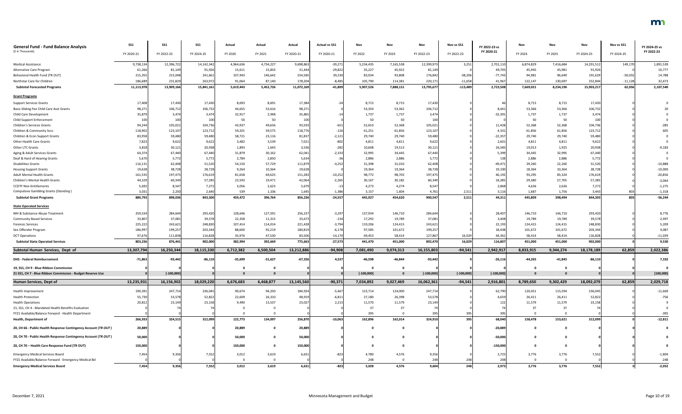| <b>General Fund - Fund Balance Analysis</b><br>(\$ in Thousands) | SS1<br>FY 2020-21  | SS <sub>1</sub><br>FY 2022-23 | <b>SS1</b><br>FY 2024-25 | Actual<br>FY 2020 | Actual<br>FY 2021 | Actual<br>FY 2020-21 | <b>Actual vs SS1</b><br>FY 2020-21 | Nov<br>FY 2022    | Nov<br>FY 2023          | Nov<br>FY 2022-23  | Nov vs SS1<br>FY 2022-23 | FY 2022-23 vs<br>FY 2020-21 | Nov<br>FY 2024    | Nov<br>FY 2025    | Nov<br>FY 2024-25  | Nov vs SS1<br>FY 2024-25 | FY 2024-25 vs<br>FY 2022-23 |
|------------------------------------------------------------------|--------------------|-------------------------------|--------------------------|-------------------|-------------------|----------------------|------------------------------------|-------------------|-------------------------|--------------------|--------------------------|-----------------------------|-------------------|-------------------|--------------------|--------------------------|-----------------------------|
|                                                                  |                    |                               |                          |                   |                   |                      |                                    |                   |                         |                    |                          |                             |                   |                   |                    |                          |                             |
| <b>Medical Assistance</b>                                        | 9,738,134          | 12,396,722                    | 14,142,342               | 4,964,636         | 4,734,227         | 9,698,863            | $-39,271$                          | 5,234,435         | 7,165,538               | 12,399,973         | 3,251                    | 2,701,110                   | 6,874,829         | 7,416,684         | 14,291,512         | 149,170                  | 1,891,539                   |
| Alternative Care Program                                         | 61,266             | 81,149                        | 91,926                   | 15,611            | 15,833            | 31,444               | $-29,822$                          | 35,227            | 45,922                  | 81,14              |                          | 49,705                      | 45,945            | 45,981            | 91,926             |                          | 10,777                      |
| Behavioral Health Fund (TR OUT)                                  | 215,355            | 215,048                       | 241,661                  | 107,943           | 146,642           | 254,585              | 39,230                             | 83,034            | 93,808                  | 176,842            | $-38,206$                | $-77,743$                   | 94,981            | 96,649            | 191,62             | $-50,032$                | 14,788                      |
| Northstar Care for Children                                      | 186,689            | 231,829                       | 263,972                  | 91,064            | 87,140            | 178,204              | $-8,485$                           | 105,790           | 114,381                 | 220,171            | $-11,658$                | 41,967                      | 122,147           | 130,697           | 252,844            | $-11,128$                | 32,673                      |
| <b>Subtotal Forecasted Programs</b>                              | 11,113,978         | 13,909,166                    | 15,841,161               | 5,619,443         | 5,452,726         | 11,072,169           | $-41,809$                          | 5,907,526         | 7,888,151               | 13,795,677         | $-113,489$               | 2,723,508                   | 7,669,021         | 8,234,196         | 15,903,217         | 62,056                   | 2,107,540                   |
| <b>Grant Programs</b>                                            |                    |                               |                          |                   |                   |                      |                                    |                   |                         |                    |                          |                             |                   |                   |                    |                          |                             |
| <b>Support Services Grants</b>                                   | 17,408             | 17,430                        | 17,430                   | 8,693             | 8,691             | 17,384               |                                    | 8,715             | 8,715                   | 17,430             |                          |                             | 8,715             | 8,715             | 17,430             |                          |                             |
| Basic Sliding Fee Child Care Asst Grants                         | 98,27              | 106,712                       | 106,732                  | 44,655            | 53,616            | 98,271               |                                    | 53,350            | 53,362                  | 106,71             |                          | 8,44                        | 53,366            | 53,366            | 106,732            |                          |                             |
| Child Care Development                                           | 35,879             | 3,474                         | 3,474                    | 32,917            | 2,948             | 35,865               |                                    | 1,737             | 1,737                   | 3,474              |                          | $-32,39$                    | 1,737             | 1,737             | 3,474              |                          |                             |
| <b>Child Support Enforcement</b>                                 | 100                | 100                           | 100                      | 50                | 50                | 100                  |                                    | 50                | 50                      | 100                |                          |                             | 50                | 50                | 10                 |                          |                             |
| <b>Children's Services Grants</b>                                | 94,244             | 105,021                       | 104,736                  | 43,937            | 49,656            | 93,593               | $-651$                             | 52,653            | 52,368                  | 105,021            |                          | 11,428                      | 52,368            | 52,368            | 104,736            |                          | $-285$                      |
| Children & Community Svcs                                        | 118,902            | 123,107                       | 123,712                  | 59,201            | 59,575            | 118,776              | $-126$                             | 61,251            | 61,856                  | 123,107            |                          | 4,331                       | 61,856            | 61,856            | 123,712            |                          | 605                         |
| Children & Econ Support Grants                                   | 83,958             | 59,480                        | 59,480                   | 58,721            | 23,116            | 81,837               | $-2,121$                           | 29,740            | 29,740                  | 59,480             |                          | $-22,35$                    | 29,740            | 29,740            | 59,480             |                          |                             |
| Other Health Care Grants                                         | 7,823              | 9,622                         | 9,622                    | 3,482             | 3,539             | 7,021                | $-802$                             | 4,811             | 4,811                   | 9,622              |                          | 2,601                       | 4,811             | 4,811             | 9,622              |                          |                             |
| Other LTC Grants                                                 | 3,818              | 30,121                        | 20,938                   | 1,893             | 1,643             | 3,536                | $-282$                             | 10,608            | 19,513                  | 30,121             |                          | 26,585                      | 19,013            | 1,925             | 20,938             |                          | $-9,183$                    |
| Aging & Adult Services Grants                                    | 64,374             | 67,440                        | 67,440                   | 31,879            | 30,162            | 62,041               | $-2,333$                           | 32,995            | 34,445                  | 67,440             |                          | 5,399                       | 34,445            | 32,995            | 67,440             |                          |                             |
| Deaf & Hard of Hearing Grants                                    | 5,670              | 5,772                         | 5,772                    | 2,784             | 2,850             | 5,634                |                                    | 2,886             | 2,886                   | 5,772              |                          | 138                         | 2,886             | 2,886             | 5,772              |                          |                             |
| <b>Disabilities Grants</b>                                       | 116,131            | 62,408                        | 51,520                   | 54,150            | 57,729            | 111,879              | $-4,252$                           | 31,398            | 31,010                  | 62,408             |                          | $-49,47$                    | 29,260            | 22,260            | 51,520             |                          | $-10,888$                   |
| <b>Housing Support Grants</b>                                    | 19,628             | 38,728                        | 28,728                   | 9,264             | 10,364            | 19,628               |                                    | 19,364            | 19,364                  | 38,728             |                          | 19,100                      | 18,364            | 10,364            | 28,728             |                          | $-10,000$                   |
| <b>Adult Mental Health Grants</b>                                | 161,535            | 197,475                       | 176,619                  | 81,658            | 69,625            | 151,283              | $-10,252$                          | 98,772            | 98,703                  | 197,475            |                          | 46,192                      | 93,295            | 83,324            | 176,619            |                          | $-20,856$                   |
| Children's Mental Health Grants                                  | 44,329             | 60,349                        | 57,285                   | 22,593            | 19,471            | 42,064               | $-2,265$                           | 30,167            | 30,182                  | 60,349             |                          | 18,285                      | 29,580            | 27,705            | 57,285             |                          | $-3,064$                    |
| <b>CCDTF Non-Entitlements</b>                                    | 5,692              | 8,547                         | 7,272                    | 3,056             | 2,623             | 5,679                |                                    | 4,273             | 4,274                   | 8,547              |                          | 2,868                       | 4,636             | 2,636             | 7,272              |                          | $-1,275$                    |
| <b>Compulsive Gambling Grants (Standing)</b>                     | 3,031              | 2,250                         | 2,640                    | 539               | 1,106             | 1,645                | $-1,386$                           | 3,157             | 1,604                   | 4,761              | 2,511                    | 3,11                        | 1,687             | 1,756             | 3,443              | 803                      | $-1,318$                    |
| <b>Subtotal Grant Programs</b>                                   | 880,79             | 898,036                       | 843,500                  | 459,472           | 396,764           | 856,236              | $-24,557$                          | 445,927           | 454,620                 | 900,547            | 2,511                    | 44,31                       | 445,809           | 398,494           | 844,303            | 803                      | $-56,244$                   |
| <b>State Operated Services</b>                                   |                    |                               |                          |                   |                   |                      |                                    |                   |                         |                    |                          |                             |                   |                   |                    |                          |                             |
|                                                                  |                    |                               |                          |                   |                   |                      |                                    |                   |                         |                    |                          |                             |                   |                   |                    |                          |                             |
| MH & Substance Abuse Treatment                                   | 259,534            | 284,644                       | 293,420                  | 128,646           | 127,591           | 256,237              | $-3,297$                           | 137,934           | 146,710                 | 284,644            |                          | 28,407                      | 146,710           | 146,710           | 293,420            |                          | 8,776                       |
| <b>Community Based Services</b>                                  | 33,80              | 37,081                        | 39,578<br>248,830        | 22,358<br>107,414 | 11,315<br>114,014 | 33,673               | $-134$<br>$-3,794$                 | 17,292<br>119,206 | 19,789                  | 37,081             |                          | 3,408                       | 19,789<br>124,415 | 19,789<br>124,415 | 39,578             |                          | 2,497                       |
| <b>Forensic Services</b><br>Sex Offender Program                 | 225,222<br>186,997 | 243,621<br>199,257            | 203,344                  | 88,600            | 92,219            | 221,428<br>180,819   | $-6,178$                           | 97,585            | 124,415<br>101,672      | 243,621<br>199,257 |                          | 22,193<br>18,438            | 101,672           | 101,672           | 248,830<br>203,344 |                          | 5,209<br>4,087              |
| <b>DCT Operations</b>                                            |                    | 111,838                       | 116,828                  | 35,976            | 47,530            | 83,506               | $-14,170$                          | 69,453            | 58,414                  | 127,867            | 16,029                   |                             |                   | 58,414            | 116,828            |                          | $-11,039$                   |
| <b>Subtotal State Operated Services</b>                          | 97,676<br>803,236  | 876,441                       | 902,000                  | 382,994           | 392,669           | 775,663              | $-27,573$                          | 441,470           | 451,000                 | 892,470            | 16,029                   | 44,36<br>116,807            | 58,414<br>451,000 | 451,000           | 902,000            |                          | 9,530                       |
|                                                                  |                    |                               |                          |                   |                   |                      |                                    |                   |                         |                    |                          |                             |                   |                   |                    |                          |                             |
| Subtotal Human Services, Dept of                                 | 13,307,794         | 16,250,344                    | 18,115,330               | 6,712,382         | 6,500,504         | 13,212,886           | $-94,908$                          | 7,081,490         | 9,074,313               | 16,155,803         | $-94,541$                | 2,942,917                   | 8,833,915         | 9,344,274         | 18,178,189         | 62,859                   | 2,022,386                   |
| <b>DHS - Federal Reimbursement</b>                               | $-71,863$          | $-93,442$                     | $-86,110$                | $-35,699$         | $-31,627$         | $-67,326$            | 4,537                              | $-46,598$         | $-46,844$               | $-93,442$          |                          | $-26,116$                   | $-44,265$         | $-41,845$         | $-86,110$          |                          | 7,332                       |
| 19, SS1, CH 9 - Blue Ribbon Commission                           |                    |                               |                          |                   |                   |                      |                                    |                   | $\mathbf 0$             |                    |                          |                             |                   |                   |                    |                          |                             |
| 21 SS1, CH 7 - Blue Ribbon Commission - Budget Reserve Use       |                    | $[-100,000]$                  |                          | $\mathbf{0}$      |                   |                      |                                    | $[-100,000]$      | $\mathbf{0}$            | $[-100,000]$       | $[-100,000]$             | $[-100,000]$                |                   |                   |                    |                          | [100,000]                   |
| <b>Human Services, Dept of</b>                                   | 13,235,931         | 16,156,902                    | 18,029,220               | 6,676,683         | 6,468,877         | 13,145,560           | $-90,371$                          | 7,034,892         | 9,027,469               | 16,062,361         | $-94,541$                | 2,916,801                   | 8,789,650         | 9,302,429         | 18,092,079         | 62,859                   | 2,029,718                   |
| Health Improvement                                               | 190,391            | 247,714                       | 236,045                  | 90,674            | 94,250            | 184,924              | $-5,467$                           | 123,714           | 124,000                 | 247,714            |                          | 62,790                      | 120,451           | 115,594           | 236,045            |                          | $-11,669$                   |
| <b>Health Protection</b>                                         | 55,730             | 53,578                        | 52,822                   | 22,609            | 26,310            | 48,919               | $-6,811$                           | 27,180            | 26,398                  | 53,578             |                          | 4,659                       | 26,411            | 26,411            | 52,822             |                          | $-756$                      |
| <b>Health Operations</b>                                         | 20,812             | 23,149                        | 23,158                   | 9,490             | 13,537            | 23,027               | 2,215                              | 11,570            | 11,579                  | 23,149             |                          |                             | 11,579            | 11,579            | 23,158             |                          |                             |
| 21, SS1, CH 4 - Mandated Health Benefits Evaluation              |                    |                               |                          |                   |                   |                      |                                    | 37                | 37                      |                    |                          |                             | -37               | 37                |                    |                          |                             |
| FY21 Available/Balance Forward - Health Department               |                    |                               |                          |                   |                   |                      |                                    | 395               | $\Omega$                | 395                | 395                      |                             |                   |                   |                    |                          | $-395$                      |
| <b>Health, Department of</b>                                     | 266,933            | 324,515                       | 312,099                  | 122,773           | 134,097           | 256,870              | $-10,063$                          | 162,896           | 162,014                 | 324,910            | 395                      | 68,040                      | 158,478           | 153,621           | 312,099            |                          | $-12,811$                   |
|                                                                  |                    |                               |                          |                   |                   |                      |                                    |                   |                         |                    |                          |                             |                   |                   |                    |                          |                             |
| 20, CH 66 - Public Health Response Contingency Account (TR OUT)  | 20,889             |                               |                          | 20,889            |                   | 20,889               |                                    |                   | 0                       |                    |                          | $-20,889$                   |                   |                   |                    |                          |                             |
| 20, CH 70 - Public Health Response Contingency Account (TR OUT)  | 50,000             |                               |                          | 50,000            |                   | 50,000               |                                    |                   | 0                       |                    |                          | $-50,000$                   |                   |                   |                    |                          |                             |
| 20, CH 70 - Health Care Response Fund (TR OUT)                   | 150,000            |                               |                          | 150,000           |                   | 150,000              |                                    |                   | 0                       |                    |                          | $-150,000$                  |                   |                   |                    |                          |                             |
| <b>Emergency Medical Services Board</b>                          | 7,454              | 9,356                         | 7,552                    | 3,012             | 3,619             | 6,631                | $-823$                             | 4,780             | 4,576                   | 9,356              |                          | 2,725                       | 3,776             | 3,776             | 7,552              |                          | $-1,804$                    |
| FY21 Available/Balance Forward - Emergency Medical Bd            |                    |                               |                          |                   |                   |                      |                                    | 248               | $\overline{\mathbf{0}}$ | 248                | 248                      | 248                         |                   |                   |                    |                          | $-248$                      |
| <b>Emergency Medical Services Board</b>                          | 7,454              | 9,356                         | 7,552                    | 3,012             | 3,619             | 6,631                | $-823$                             | 5,028             | 4,576                   | 9,604              | 248                      | 2,973                       | 3,776             | 3,776             | 7,552              |                          | $-2,052$                    |
|                                                                  |                    |                               |                          |                   |                   |                      |                                    |                   |                         |                    |                          |                             |                   |                   |                    |                          |                             |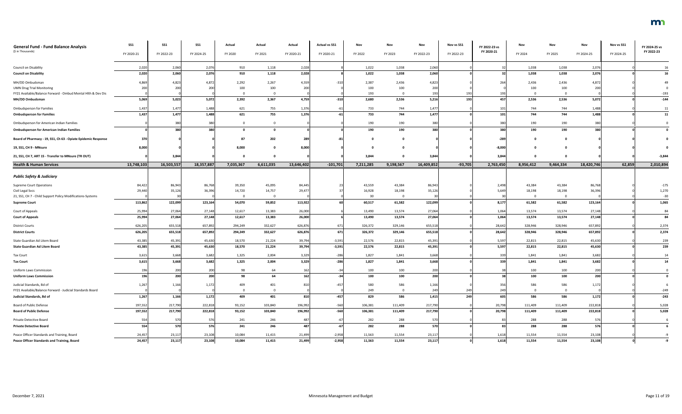| <b>General Fund - Fund Balance Analysis</b><br>(\$ in Thousands) | SS1        | <b>SS1</b> | SS <sub>1</sub> | Actual    | Actual    | Actual     | <b>Actual vs SS1</b> | Nov       | Nov         | Nov        | Nov vs SS1 | FY 2022-23 vs<br>FY 2020-21 | Nov       | Nov         | Nov        | Nov vs SS1 | FY 2024-25 vs<br>FY 2022-23 |
|------------------------------------------------------------------|------------|------------|-----------------|-----------|-----------|------------|----------------------|-----------|-------------|------------|------------|-----------------------------|-----------|-------------|------------|------------|-----------------------------|
|                                                                  | FY 2020-21 | FY 2022-23 | FY 2024-25      | FY 2020   | FY 2021   | FY 2020-21 | FY 2020-21           | FY 2022   | FY 2023     | FY 2022-23 | FY 2022-23 |                             | FY 2024   | FY 2025     | FY 2024-25 | FY 2024-25 |                             |
| Council on Disability                                            | 2,020      | 2,06       | 2,076           | 910       | 1,118     | 2,028      |                      | 1,022     | 1,038       | 2,060      |            |                             | 1,038     | 1,038       | 2,076      |            |                             |
| <b>Council on Disability</b>                                     | 2,020      | 2,060      | 2,076           | 910       | 1,118     | 2,028      |                      | 1,022     | 1,038       | 2,060      |            |                             | 1,038     | 1,038       | 2,076      |            | 16                          |
| MH/DD Ombudsman                                                  | 4,869      | 4,82       | 4,872           | 2,292     | 2,267     | 4,559      |                      | 2,387     | 2,436       | 4,823      |            |                             | 2,436     | 2,436       | 4,872      |            |                             |
| <b>UMN Drug Trial Monitoring</b>                                 | 200        | 200        | 200             | 100       | 100       | 200        |                      | 100       | 100         | 200        |            |                             | 100       | 100         | 200        |            |                             |
| FY21 Available/Balance Forward - Ombud Mental Hlth & Dev Dis     |            |            |                 |           |           |            |                      | 193       |             | 193        |            |                             |           |             |            |            | $-193$                      |
| MH/DD Ombudsman                                                  | 5,069      | 5,023      | 5,072           | 2,392     | 2,367     | 4,759      | $-310$               | 2,680     | 2,536       | 5,216      | <b>193</b> | 457                         | 2,536     | 2,536       | 5,072      |            | $-144$                      |
| <b>Ombudsperson for Families</b>                                 | 1,437      | 1,477      | 1,488           | 621       | 755       | 1,376      |                      | 733       | 744         | 1,477      |            | 101                         | 744       | 744         | 1,488      |            | 11                          |
| <b>Ombudsperson for Families</b>                                 | 1,437      | 1,477      | 1,488           | 621       | 755       | 1,376      |                      | 733       | 744         | 1,477      |            | 101                         | 744       | 744         | 1,488      |            | 11                          |
| Ombudsperson for American Indian Families                        |            | 38         | 380             |           |           |            |                      | 190       | 190         | 380        |            |                             | 190       | 190         | 380        |            |                             |
| <b>Ombudsperson for American Indian Families</b>                 |            | 380        | 380             |           |           |            |                      | 190       | 190         | 380        |            | 380                         | 190       | 190         | 380        |            |                             |
| Board of Pharmacy - 19, SS1, Ch 63 - Opiate Epidemic Response    | 370        |            |                 |           | 202       |            |                      |           |             |            |            | $-28$                       |           |             |            |            |                             |
| 19, SS1, CH 9 - MNsure                                           | 8,000      |            |                 | 8,000     |           | 8,000      |                      |           |             |            |            | $-8,000$                    |           |             |            |            |                             |
| 21, SS1, CH 7, ART 15 - Transfer to MNsure (TR OUT)              |            | 3,844      |                 |           |           |            |                      | 3,844     |             | 3,844      |            | 3,844                       |           |             |            |            | $-3,844$                    |
| <b>Health &amp; Human Services</b>                               | 13,748,103 | 16,503,557 | 18,357,887      | 7,035,367 | 6,611,035 | 13,646,402 | $-101,701$           | 7,211,285 | 9,198,567   | 16,409,852 | $-93,705$  | 2,763,450                   | 8,956,412 | 9,464,334   | 18,420,746 | 62,859     | 2,010,894                   |
|                                                                  |            |            |                 |           |           |            |                      |           |             |            |            |                             |           |             |            |            |                             |
| <b>Public Safety &amp; Judiciary</b>                             |            |            |                 |           |           |            |                      |           |             |            |            |                             |           |             |            |            |                             |
| <b>Supreme Court Operations</b>                                  | 84,422     | 86,943     | 86,768          | 39,350    | 45,095    | 84,445     |                      | 43,559    | 43,384      | 86,943     |            | 2,498                       | 43,384    | 43,384      | 86,768     |            | $-175$                      |
| Civil Legal Svcs                                                 | 29,440     | 35,126     | 36,396          | 14,720    | 14,757    | 29,477     |                      | 16,928    | 18,198      | 35,126     |            | 5,649                       | 18,198    | 18,198      | 36,396     |            | 1,270                       |
| 21, SS1, CH 7 - Child Support Policy Modifications-Systems       |            |            |                 |           |           |            |                      | 30        | 0           |            |            |                             |           |             |            |            | $-30$                       |
| <b>Supreme Court</b>                                             | 113,862    | 122,099    | 123,164         | 54,070    | 59,852    | 113,922    |                      | 60,517    | 61,582      | 122,099    |            | 8,177                       | 61,582    | 61,582      | 123,164    |            | 1,065                       |
| Court of Appeals                                                 | 25,994     | 27,064     | 27,148          | 12,617    | 13,383    | 26,000     |                      | 13,490    | 13,574      | 27,064     |            | 1,064                       | 13,574    | 13,574      | 27,148     |            | 84                          |
| <b>Court of Appeals</b>                                          | 25,994     | 27,064     | 27,148          | 12,617    | 13,383    | 26,000     |                      | 13,490    | 13,574      | 27,064     |            | 1,064                       | 13,574    | 13,574      | 27,148     |            | 84                          |
| <b>District Courts</b>                                           | 626,205    | 655,518    | 657,892         | 294,249   | 332,627   | 626,876    | 671                  | 326,372   | 329,146     | 655,518    |            | 28,642                      | 328,946   | 328,946     | 657,892    |            | 2,374                       |
| <b>District Courts</b>                                           | 626,205    | 655,518    | 657,892         | 294,249   | 332,627   | 626,876    | 671                  | 326,372   | 329,146     | 655,518    |            | 28,642                      | 328,946   | 328,946     | 657,892    |            | 2,374                       |
| State Guardian Ad Litem Board                                    | 43,385     | 45,391     | 45,630          | 18,570    | 21,224    | 39,794     | $-3,591$             | 22,576    | 22,815      | 45,391     |            | 5,597                       | 22,815    | 22,815      | 45,630     |            | 239                         |
| <b>State Guardian Ad Litem Board</b>                             | 43,385     | 45,391     | 45,630          | 18,570    | 21,224    | 39,794     | $-3,591$             | 22,576    | 22,815      | 45,391     |            | 5,597                       | 22,815    | 22,815      | 45,630     |            | 239                         |
| <b>Tax Court</b>                                                 | 3,615      | 3,668      | 3,682           | 1,325     | 2,004     | 3,329      | $-286$               | 1,827     | 1,841       | 3,668      |            | 339                         | 1,841     | 1,841       | 3,682      |            | 14                          |
| <b>Tax Court</b>                                                 | 3,615      | 3,668      | 3,682           | 1,325     | 2,004     | 3,329      | $-286$               | 1,827     | 1,841       | 3,668      |            | 339                         | 1,841     | 1,841       | 3,682      |            | 14                          |
| Uniform Laws Commission                                          | 196        | 200        | 200             | 98        | 64        | 162        | $-34$                | 100       | 100         | 200        |            |                             | 100       | 100         | 200        |            |                             |
| <b>Uniform Laws Commission</b>                                   | 196        | 200        | 200             | 98        | 64        | 162        |                      | 100       | 100         | 200        |            |                             | 100       | 100         | 200        |            |                             |
| Judicial Standards, Bd of                                        | 1,267      | 1,166      | 1,172           | 409       | 401       |            | $-45$                | 580       | 586         | 1,166      |            | 356                         | 586       | 586         | 1,172      |            |                             |
| FY21 Available/Balance Forward - Judicial Standards Board        |            |            |                 |           |           |            |                      | 249       | $\mathbf 0$ | 249        | 249        | 249                         | $\Omega$  | $\mathbf 0$ |            |            | $-249$                      |
| Judicial Standards, Bd of                                        | 1,267      | 1,166      | 1,172           | 409       | 401       | 810        | $-457$               | 829       | 586         | 1,415      | 249        | 605                         | 586       | 586         | 1,172      |            | $-243$                      |
| Board of Public Defense                                          | 197,552    | 217,790    | 222,818         | 93,152    | 103,840   | 196,992    | $-560$               | 106,381   | 111,409     | 217,790    |            | 20,798                      | 111,409   | 111,409     | 222,818    |            | 5,028                       |
| <b>Board of Public Defense</b>                                   | 197,552    | 217,790    | 222,818         | 93,152    | 103,840   | 196,992    | $-560$               | 106,381   | 111,409     | 217,790    |            | 20,798                      | 111,409   | 111,409     | 222,818    |            | 5,028                       |
| Private Detective Board                                          | 554        | 570        | 576             | 241       | 246       | 487        |                      | 282       | 288         | 570        |            |                             | 288       | 288         | 576        |            |                             |
| <b>Private Detective Board</b>                                   | 554        | 570        | 576             | 241       | 246       | 487        | -67                  | 282       | 288         | 570        |            |                             | 288       | 288         | 576        |            |                             |
| Peace Officer Standards and Training, Board                      | 24,457     | 23,11      | 23,108          | 10,084    | 11,415    | 21,499     | $-2,958$             | 11,563    | 11,554      | 23,11      |            | 1,618                       | 11,554    | 11,554      | 23,108     |            |                             |
| Peace Officer Standards and Training, Board                      | 24,457     | 23,117     | 23,108          | 10,084    | 11,415    | 21,499     | $-2,958$             | 11,563    | 11,554      | 23,11      |            | 1,618                       | 11,554    | 11,554      | 23,108     |            | $-9$                        |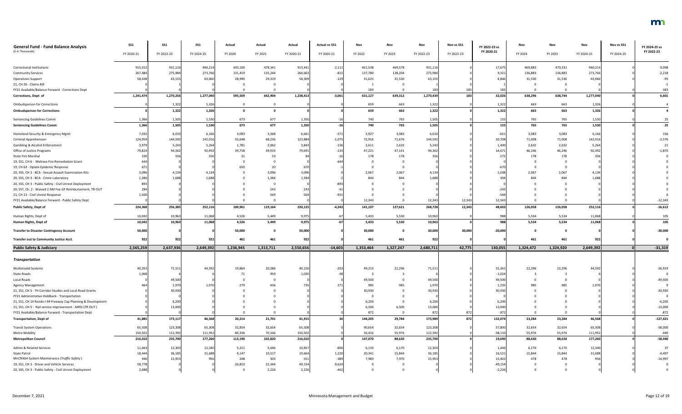| <b>General Fund - Fund Balance Analysis</b>                  | SS1        | <b>SS1</b> | <b>SS1</b>      | Actual    | Actual    | Actual       | <b>Actual vs SS1</b> | Nov       | Nov            | Nov        | Nov vs SS1 | FY 2022-23 vs | Nov       | Nov       | Nov        | Nov vs SS1 | FY 2024-25 vs |
|--------------------------------------------------------------|------------|------------|-----------------|-----------|-----------|--------------|----------------------|-----------|----------------|------------|------------|---------------|-----------|-----------|------------|------------|---------------|
| (\$ in Thousands)                                            | FY 2020-21 | FY 2022-23 | FY 2024-25      | FY 2020   | FY 2021   | FY 2020-21   | FY 2020-21           | FY 2022   | FY 2023        | FY 2022-23 | FY 2022-23 | FY 2020-21    | FY 2024   | FY 2025   | FY 2024-25 | FY 2024-25 | FY 2022-23    |
|                                                              |            |            |                 |           |           |              |                      |           |                |            |            |               |           |           |            |            |               |
| <b>Correctional Institutions</b>                             | 915,552    | 931,116    | 940,214         | 435,100   | 478,341   | 913,441      | $-2,111$             | 461,538   | 469,578        | 931,116    |            | 17,675        | 469,883   | 470,331   | 940,214    |            | 9,098         |
| <b>Community Services</b>                                    | 267,484    | 275,984    | 273,766         | 131,419   | 135,244   | 266,663      | $-821$               | 137,780   | 138,204        | 275,984    |            | 9,321         | 136,883   | 136,883   | 273,766    |            | $-2,218$      |
| <b>Operations Support</b>                                    | 58,438     | 63,155     | 63,060          | 28,990    | 29,319    | 58,309       | $-129$               | 31,625    | 31,530         | 63,15      |            | 4.846         | 31,530    | 31,530    | 63,060     |            | $-95$         |
| 21, CH 26 - Claims Bill                                      |            |            |                 |           |           |              |                      |           |                |            |            |               |           |           |            |            |               |
| FY21 Available/Balance Forward - Corrections Dept            |            |            |                 |           |           |              |                      | 183       | $\Omega$       |            |            | 18            |           |           |            |            | $-183$        |
| Corrections, Dept of                                         | 1,241,474  | 1,270,256  | 1,277,040       | 595,509   | 642,904   | 1,238,413    | $-3,061$             | 631,127   | 639,312        | 1,270,439  | 183        | 32,026        | 638,296   | 638,744   | 1,277,040  |            | 6,601         |
| <b>Ombudsperson for Corrections</b>                          |            | 1,32       | 1,326           |           |           |              |                      | 659       | 663            | 1,322      |            | 1,322         | 663       | 663       | 1,326      |            |               |
| <b>Ombudsperson for Corrections</b>                          |            | 1,322      | 1,326           | $\Omega$  |           |              |                      | 659       | 663            | 1,322      |            | 1,322         | 663       | 663       | 1,326      |            |               |
| Sentencing Guidelines Comm                                   | 1,366      | 1,505      | 1,530           | 673       | 677       | 1,350        |                      | 740       | 765            | 1,505      |            | 155           | 765       | 765       | 1,530      |            | 25            |
| <b>Sentencing Guidelines Comm</b>                            | 1,366      | 1,505      | 1,530           | 673       | 677       | 1,350        |                      | 740       | 765            | 1,505      |            | 155           | 765       | 765       | 1,530      |            | 25            |
| Homeland Security & Emergency Mgmt                           | 7,032      | 6,010      | 6,166           | 3,093     | 3,568     | 6,661        | $-371$               | 2,927     | 3,083          | 6,010      |            | $-651$        | 3,083     | 3,083     | 6,166      |            | 156           |
| <b>Criminal Apprehension</b>                                 | 124,959    | 144,592    | 142,016         | 55,648    | 68,236    | 123,884      | $-1,075$             | 72,916    | 71,676         | 144,592    |            | 20,708        | 71,008    | 71,008    | 142,016    |            | $-2,576$      |
| Gambling & Alcohol Enforcement                               | 3,979      | 5,243      | 5,264           | 1,781     | 2,062     | 3,843        | $-136$               | 2,611     | 2,632          | 5,243      |            | 1,400         | 2,632     | 2,632     | 5,264      |            | 21            |
| Office of Justice Programs                                   | 79,824     | 94,362     | 92,492          | 39,758    | 39,933    | 79,69        | $-133$               | 47,221    | 47,141         | 94,362     |            | 14,671        | 46,246    | 46,246    | 92,492     |            | $-1,870$      |
| <b>State Fire Marshal</b>                                    |            | 356        | 35 <sub>6</sub> | 31        | 53        |              |                      | 178       | 178            | 356        |            | 27            | 178       | 178       | 356        |            |               |
| 19, SS1, CH 6 - Melrose Fire Remediation Grant               |            |            |                 |           |           |              |                      |           |                |            |            |               |           |           |            |            |               |
| 19, CH 63 - Opiate Epidemic Response                         | 671        |            |                 | 650       | 20        |              |                      |           |                |            |            |               |           |           |            |            |               |
| 20, SS5, CH 3 - BCA - Sexual Assault Examination Kits        | 3,096      | 4,134      | 4,134           |           | 3,096     | 3,096        |                      | 2,067     | 2,067          | 4,134      |            | 1,038         | 2,067     | 2,067     | 4,134      |            |               |
| 20, SS5, CH 3 - BCA - Crime Laboratory                       | 1,386      | 1.688      | 1.688           |           | 1,384     | 1.384        |                      | 844       | 844            | 1,688      |            |               | 844       | 844       | 1.688      |            |               |
| 20, SS5, CH 3 - Public Safety - Civil Unrest Deployment      |            |            |                 |           |           |              |                      |           |                |            |            |               |           |           |            |            |               |
| 20, SS7, Ch. 2 - Waived 2 AM Fee GF Reimbursement, TR-OUT    | 284        |            |                 |           | 243       |              |                      |           |                |            |            | $-243$        |           |           |            |            |               |
| 21, CH 13 - Civil Unrest Response                            | 1,500      |            |                 |           | 569       |              | $-931$               |           |                |            |            | $-569$        |           |           |            |            |               |
| FY21 Available/Balance Forward - Public Safety Dept          |            |            |                 |           |           |              |                      | 12,343    |                | 12,343     | 12,343     | 12,34         |           |           |            |            | $-12,343$     |
| Public Safety, Dept of                                       | 224,368    | 256,385    | 252,116         | 100,961   | 119,164   | 220,125      | $-4,243$             | 141,107   | 127,621        | 268,728    | 12,343     | 48,603        | 126,058   | 126,058   | 252,116    |            | $-16,612$     |
|                                                              |            |            |                 |           |           |              |                      |           |                |            |            |               |           |           |            |            |               |
| Human Rights, Dept of                                        | 10,042     | 10,963     | 11,068          | 4,526     | 5,449     | 9,975        |                      | 5,433     | 5,530          | 10,963     |            | 988           | 5,534     | 5,534     | 11,068     |            | 105           |
| Human Rights, Dept of                                        | 10,042     | 10,963     | 11,068          | 4,526     | 5,449     | 9,975        |                      | 5,433     | 5,530          | 10,963     |            | 988           | 5,534     | 5,534     | 11,068     |            | 105           |
| <b>Transfer to Disaster Contingency Account</b>              | 50,000     |            |                 | 50,000    |           | 50,000       |                      | 30,000    | $\Omega$       | 30,000     | 30,000     | $-20,000$     | $\Omega$  |           |            |            | $-30,000$     |
| <b>Transfer out to Community Justice Acct.</b>               | 922        | 922        | 922             | 461       | 461       | $92^{\circ}$ |                      | 461       | 461            | 922        |            |               | 461       | 461       | 922        |            |               |
| <b>Public Safety &amp; Judiciary</b>                         | 2,565,259  | 2,637,936  | 2,649,392       | 1,236,945 | 1,313,711 | 2,550,656    | $-14,603$            | 1,353,464 | 1,327,247      | 2,680,711  | 42,775     | 130,055       | 1,324,472 | 1,324,920 | 2,649,392  |            | $-31,319$     |
|                                                              |            |            |                 |           |           |              |                      |           |                |            |            |               |           |           |            |            |               |
| <b>Transportation</b>                                        |            |            |                 |           |           |              |                      |           |                |            |            |               |           |           |            |            |               |
| <b>Multimodal Systems</b>                                    | 40,353     | 71,51      | 44,592          | 19,864    | 20,286    | 40,150       | $-203$               | 49,215    | 22,296         | 71,51      |            | 31,361        | 22,296    | 22,296    | 44,592     |            | $-26,919$     |
| <b>State Roads</b>                                           | 1,068      |            |                 | 71        | 959       | 1,030        |                      |           |                |            |            | $-1,024$      |           |           |            |            |               |
| Local Roads                                                  |            | 49,50      |                 |           |           |              |                      | 49,500    | - 0            | 49,500     |            | 49,500        |           |           |            |            | $-49,500$     |
| Agency Management                                            |            | 1,970      | 1,970           | 279       | 456       |              |                      | 985       | 985            | 1,970      |            | 1,23          | 985       | 985       | 1,970      |            |               |
| 21, SS1, CH 5 - TH Corridor Studies and Local Road Grants    |            | 30,930     |                 |           |           |              |                      | 30,930    |                | 30,930     |            | 30,930        |           |           |            |            | $-30,930$     |
| FY21 Administrative Holdback - Transportation                |            |            |                 |           |           |              |                      |           |                |            |            |               |           |           |            |            |               |
| 21, SS1, CH 14 Rondo I-94 Freeway Cap Planning & Development |            | 6,200      |                 |           |           |              |                      | 6,200     |                | 6,200      |            | 6,200         |           |           |            |            | $-6,200$      |
| 21, SS1, CH 5 - Rail service improvement - MRSI (TR OUT)     |            | 13,000     |                 |           |           |              |                      | 6,500     | 6,500          | 13,000     |            | 13,000        |           |           |            |            | $-13,000$     |
| FY21 Available/Balance Forward - Transportation Dept         |            |            |                 |           |           |              |                      | 872       | $\overline{0}$ | 872        | 872        | 87            |           |           |            |            | $-872$        |
| <b>Transportation, Dept of</b>                               | 41,885     | 173,11     | 46,568          | 20,214    | 21,701    | 41,915       |                      | 144,205   | 29,784         | 173,989    | 872        | 132,074       | 23,284    | 23,284    | 46,568     |            | $-127,421$    |
| <b>Transit System Operations</b>                             | 65,508     | 123,308    | 65,308          | 32,854    | 32,654    | 65,508       |                      | 90,654    | 32,654         | 123,308    |            | 57,800        | 32,654    | 32,654    | 65,308     |            | $-58,000$     |
| Metro Mobility                                               | 150,502    | 112,392    | 111,952         | 80,336    | 70,166    | 150,502      |                      | 56,416    | 55,976         | 112,392    |            | $-38,110$     | 55,976    | 55,976    | 111,952    |            | -440          |
| <b>Metropolitan Council</b>                                  | 216,010    | 235,700    | 177,260         | 113,190   | 102,820   | 216,010      |                      | 147,070   | 88,630         | 235,700    |            | 19,690        | 88,630    | 88,630    | 177,260    |            | $-58,440$     |
| Admin & Related Services                                     | 11,663     | 12,303     | 12,340          | 5,211     | 5,646     | 10,857       | $-806$               | 6,133     | 6,170          | 12,303     |            | 1,446         | 6,170     | 6,170     | 12,340     |            | 37            |
| <b>State Patrol</b>                                          | 18,444     | 36,18      | 31,688          | 9,147     | 10,517    | 19,664       | 1,220                | 20,341    | 15,844         | 36,18      |            | 16,521        | 15,844    | 15,844    | 31,688     |            | $-4,497$      |
| MnCRASH System Maintenance (Traffic Safety)                  | 940        | 15,953     | 956             | 248       | 303       | 551          | $-389$               | 7,983     | 7,970          | 15,953     |            | 15,402        | 478       | 478       | 956        |            | $-14,997$     |
| 19, SS1, CH 3 - Driver and Vehicle Services                  | 58,778     |            |                 | 26,810    | 22,344    | 49,154       | $-9,624$             |           |                |            |            | $-49,154$     |           |           |            |            |               |
| 20, SS5, CH 3 - Public Safety - Civil Unrest Deployment      | 2,688      |            |                 |           | 2,226     | 2,226        | $-462$               |           |                |            |            | $-2,226$      |           |           |            |            |               |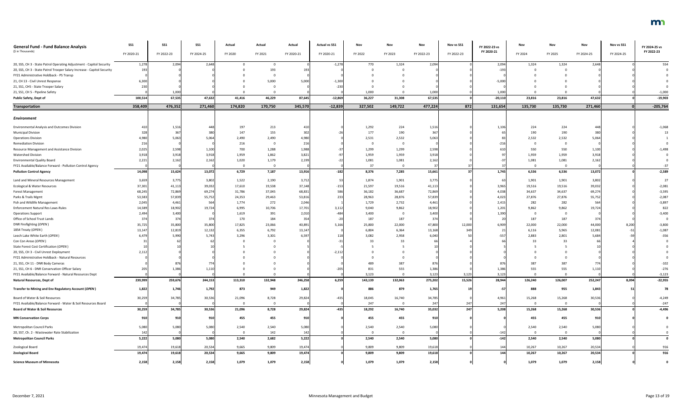| <b>General Fund - Fund Balance Analysis</b>                             | <b>SS1</b> | <b>SS1</b> | <b>SS1</b> | Actual  | Actual  | Actual     | <b>Actual vs SS1</b> | Nov      | Nov         | Nov        | Nov vs SS1 | FY 2022-23 vs | Nov     | Nov          | Nov             | Nov vs SS1 | FY 2024-25 vs |
|-------------------------------------------------------------------------|------------|------------|------------|---------|---------|------------|----------------------|----------|-------------|------------|------------|---------------|---------|--------------|-----------------|------------|---------------|
| (\$ in Thousands)                                                       | FY 2020-21 | FY 2022-23 | FY 2024-25 | FY 2020 | FY 2021 | FY 2020-21 | FY 2020-21           | FY 2022  | FY 2023     | FY 2022-23 | FY 2022-23 | FY 2020-21    | FY 2024 | FY 2025      | FY 2024-25      | FY 2024-25 | FY 2022-23    |
| 20, SS5, CH 3 - State Patrol Operating Adjustment - Capitol Security    | 1,278      | 2,094      | 2,648      |         |         |            | $-1,278$             | 770      | 1,324       | 2,094      |            | 2,094         | 1,324   | 1,324        | 2,648           |            | 554           |
| 20, SS5, CH 3 - State Patrol Trooper Salary Increase - Capitol Security | 193        |            |            |         | 193     |            |                      |          |             |            |            | $-193$        |         |              |                 |            |               |
| FY21 Administrative Holdback - PS Transp                                |            |            |            |         |         |            |                      |          |             |            |            |               |         |              |                 |            |               |
| 21, CH 13 - Civil Unrest Response                                       | 6,300      |            |            |         | 5,000   | 5,000      | $-1,300$             |          |             |            |            | $-5,000$      |         |              |                 |            |               |
| 21, SS1, CH5 - State Trooper Salary                                     | 230        |            |            |         |         |            | $-230$               |          |             |            |            |               |         |              |                 |            |               |
| 21, SS1, CH 5 - Pipeline Safety                                         |            | 1,000      |            |         |         |            |                      | 1,000    |             | 1,000      |            | 1,000         |         |              |                 |            | $-1,000$      |
| Public Safety, Dept of                                                  | 100,514    | 67,535     | 47,632     | 41,416  | 46,229  | 87,645     | $-12,869$            | 36,227   | 31,308      | 67,535     |            | $-20,110$     | 23,816  | 23,816       | 47,632          |            | $-19,903$     |
| <b>Transportation</b>                                                   | 358,409    | 476,352    | 271,460    | 174,820 | 170,750 | 345,570    | $-12,839$            | 327,502  | 149,722     | 477,224    | 872        | 131,654       | 135,730 | 135,730      | 271,460         |            | $-205,764$    |
| Environment                                                             |            |            |            |         |         |            |                      |          |             |            |            |               |         |              |                 |            |               |
| <b>Environmental Analysis and Outcomes Division</b>                     |            | 1,516      | 448        | 197     | 213     |            |                      | 1,292    | 224         | 1,516      |            | 1,106         | 224     | 224          | 448             |            | $-1,068$      |
| <b>Municipal Division</b>                                               |            | 367        | 380        | 147     | 155     | 302        |                      | 177      | 190         | 367        |            |               | 190     | 190          | 380             |            |               |
| <b>Operations Division</b>                                              | 4,980      | 5,063      | 5,064      | 2,490   | 2,490   | 4.980      |                      | 2,531    | 2,532       | 5,063      |            |               | 2,532   | 2,532        | 5,064           |            |               |
| <b>Remediation Division</b>                                             |            |            |            | 216     |         | 216        |                      | $\Omega$ | $\Omega$    |            |            |               | - 0     | - 0          |                 |            |               |
| Resource Management and Assistance Division                             | 2,025      | 2,598      | 1,100      | 700     | 1,288   | 1,988      |                      | 1,299    | 1,299       | 2,598      |            |               | 550     | 550          | 1,100           |            | $-1,498$      |
| <b>Watershed Division</b>                                               | 3,918      | 3,918      | 3,918      | 1,959   | 1,862   | 3,821      |                      | 1,959    | 1,959       | 3,918      |            |               | 1,959   | 1,959        | 3,918           |            |               |
| <b>Environmental Quality Board</b>                                      | 2,22       | 2,162      | 2,162      | 1,020   | 1,179   | 2,199      |                      | 1,081    | 1,081       | 2,162      |            |               | 1,081   | 1,081        | 2,162           |            |               |
| FY21 Available/Balance Forward - Pollution Control Agency               |            |            |            |         |         |            |                      | 37       | 0           |            |            |               |         | $\mathbf{0}$ |                 |            | $-37$         |
| <b>Pollution Control Agency</b>                                         | 14,098     | 15,624     | 13,072     | 6,729   | 7,187   | 13,916     | $-182$               | 8,376    | 7,285       | 15,661     |            | 1,745         | 6,536   | 6,536        | 13,072          |            | $-2,589$      |
| Land and Mineral Resources Management                                   | 3,659      | 3,775      | 3,802      | 1,522   | 2,190   | 3,712      |                      | 1,874    | 1,901       | 3,775      |            |               | 1,901   | 1,901        | 3,802           |            | 27            |
| Ecological & Water Resources                                            | 37,301     | 41,113     | 39,032     | 17,610  | 19,538  | 37,148     | $-153$               | 21,597   | 19,516      | 41,11      |            | 3,965         | 19,516  | 19,516       | 39,032          |            | $-2,081$      |
| <b>Forest Management</b>                                                | 68,245     | 72,869     | 69,274     | 31,786  | 37,045  | 68,831     | 586                  | 36,182   | 36,687      | 72,869     |            | 4,038         | 34,637  | 34,637       | 69,274          |            | $-3,595$      |
| Parks & Trails Mgmt                                                     | 53,583     | 57,839     | 55,752     | 24,353  | 29,463  | 53,816     | 233                  | 28,963   | 28,876      | 57,839     |            | 4,023         | 27,876  | 27,876       | 55,752          |            | $-2,087$      |
| Fish and Wildlife Management                                            | 2,045      | 4,461      | 564        | 1,774   | 272     | 2,046      |                      | 1,729    | 2,732       | 4,46       |            | 2,41!         | 282     | 282          | 564             |            | $-3,897$      |
| <b>Enforcement Natural Res Laws-Rules</b>                               | 14,589     | 18,902     | 19,724     | 6,995   | 10,706  | 17,701     | 3,112                | 9,040    | 9,862       | 18,902     |            | 1,20          | 9,862   | 9,862        | 19,724          |            | 822           |
| <b>Operations Support</b>                                               | 2,494      | 3,400      |            | 1,619   | 391     | 2,010      | $-484$               | 3,400    | $\mathbf 0$ | 3,400      |            | 1,390         |         |              |                 |            | $-3,400$      |
| Office of School Trust Lands                                            |            |            | 374        | 170     | 184     | 354        |                      | 187      | 187         | 374        |            |               | 187     | 187          |                 |            |               |
| DNR Firefighting (OPEN)                                                 | 35,725     | 35,800     | 35,800     | 17,825  | 23,066  | 40,891     | 5,166                | 25,800   | 22,000      | 47,800     | 12,000     | 6,909         | 22,000  | 22,000       | 44,000          | 8,200      | $-3,800$      |
| 1854 Treaty (OPEN)                                                      | 13,147     | 12,819     | 12,132     | 6,355   | 6,792   | 13,147     |                      | 6,804    | 6,364       | 13,168     | 349        |               | 6,116   | 5,965        | 12,081          |            | $-1,087$      |
| Leech Lake White Earth (OPEN)                                           | 6,479      | 5,990      | 5,743      | 3,296   | 3,301   | 6,597      |                      | 3,082    | 2,958       | 6,040      |            |               | 2,883   | 2,801        | 5,684           |            | $-356$        |
| Con Con Areas (OPEN)                                                    |            |            |            |         |         |            |                      | -33      | 33          |            |            |               |         |              |                 |            |               |
| State Forest Cost Certification (OPEN)                                  |            |            |            |         |         |            |                      |          |             |            |            |               |         |              |                 |            |               |
| 20, SS5, CH 3 - Civil Unrest Deployment                                 | 2,112      |            |            |         |         |            | $-2,112$             |          |             |            |            |               |         |              |                 |            |               |
| FY21 Administrative Holdback - Natural Resources                        |            |            |            |         |         |            |                      |          |             |            |            |               |         |              |                 |            |               |
| 21, SS1, CH 11 - DNR Body Cameras                                       |            | 876        | 774        |         |         |            |                      | 489      | 387         | 876        |            |               | 387     | 387          | 77 <sub>4</sub> |            | $-102$        |
| 21, SS1, CH 6 - DNR Conservation Officer Salary                         |            | 1,386      | 1,110      |         |         |            | $-20$                | 831      | 555         | 1,386      |            | 1,386         | 555     | 555          | 1,110           |            | $-276$        |
| FY21 Available/Balance Forward - Natural Resources Dept                 |            |            |            |         |         |            |                      | 3,123    | $\mathbf 0$ | 3,123      | 3,123      | 3,125         |         |              |                 |            | $-3,123$      |
| <b>Natural Resources, Dept of</b>                                       | 239,999    | 259,676    | 244,153    | 113,310 | 132,948 | 246,258    | 6,259                | 143,139  | 132,063     | 275,202    | 15,526     | 28,944        | 126,240 | 126,007      | 252,247         | 8,094      | $-22,955$     |
| Transfer to Mining and Env Regulatory Account (OPEN)                    | 1,822      | 1,746      | 1,792      | 873     | 949     | 1,822      |                      | 886      | 879         | 1,765      |            |               | 888     | 955          | 1,843           |            | 78            |
| Board of Water & Soil Resources                                         | 30,259     | 34,785     | 30,536     | 21,096  | 8,728   | 29,824     | $-435$               | 18,045   | 16,740      | 34,785     |            | 4,961         | 15,268  | 15,268       | 30,536          |            | $-4,249$      |
| FY21 Available/Balance Forward - Water & Soil Resources Board           |            |            |            |         |         |            |                      | 247      | $\mathbf 0$ | 247        | 247        |               |         | $\Omega$     |                 |            | $-247$        |
| <b>Board of Water &amp; Soil Resources</b>                              | 30,259     | 34,785     | 30,536     | 21,096  | 8,728   | 29,824     | $-435$               | 18,292   | 16,740      | 35,032     | 247        | 5,208         | 15,268  | 15,268       | 30,536          |            | $-4,496$      |
| <b>MN Conservation Corps</b>                                            |            | 910        | 910        | 455     | 455     | 910        |                      | 455      | 455         | 910        |            |               | 455     | 455          | 910             |            |               |
|                                                                         |            |            |            |         |         |            |                      |          |             |            |            |               |         |              |                 |            |               |
| Metropolitan Council Parks                                              | 5,080      | 5,080      | 5,080      | 2,540   | 2,540   | 5,080      |                      | 2,540    | 2,540       | 5,080      |            |               | 2,540   | 2,540        | 5,080           |            |               |
| 20, SS7, Ch. 2 - Wastewater Rate Stabilization                          |            |            |            |         | 142     | 142        |                      | $\Omega$ | 0           |            |            |               |         | $\Omega$     |                 |            |               |
| <b>Metropolitan Council Parks</b>                                       | 5,222      | 5,080      | 5,080      | 2,540   | 2,682   | 5,222      |                      | 2,540    | 2,540       | 5,080      |            | $-142$        | 2,540   | 2,540        | 5,080           |            |               |
| Zoological Board                                                        | 19,474     | 19,618     | 20,534     | 9,665   | 9,809   | 19,474     |                      | 9,809    | 9,809       | 19,618     |            |               | 10,267  | 10,267       | 20,534          |            | 916           |
| <b>Zoological Board</b>                                                 | 19,474     | 19,618     | 20,534     | 9,665   | 9,809   | 19,474     |                      | 9,809    | 9,809       | 19,618     |            |               | 10,267  | 10,267       | 20,534          |            | 916           |
| <b>Science Museum of Minnesota</b>                                      | 2,158      | 2,158      | 2,158      | 1,079   | 1,079   | 2,158      |                      | 1,079    | 1,079       | 2,158      |            |               | 1,079   | 1,079        | 2,158           |            |               |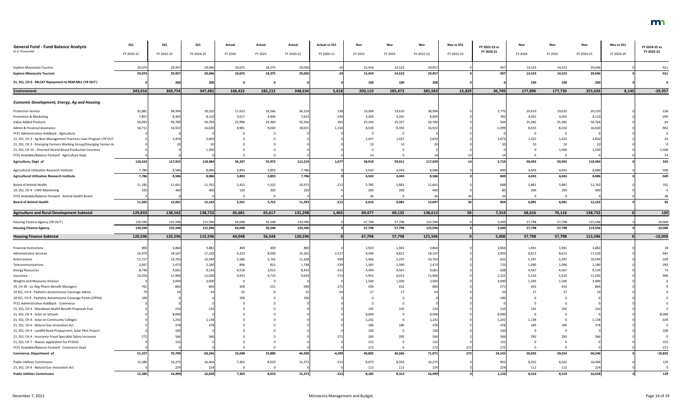| <b>General Fund - Fund Balance Analysis</b>                       | SS1             | <b>SS1</b>      | <b>SS1</b>      | Actual         | Actual         | Actual         | <b>Actual vs SS1</b> | Nov            | Nov                     | Nov             | Nov vs SS1 | FY 2022-23 vs | Nov            | Nov            | Nov             | Nov vs SS1 | FY 2024-25 vs |
|-------------------------------------------------------------------|-----------------|-----------------|-----------------|----------------|----------------|----------------|----------------------|----------------|-------------------------|-----------------|------------|---------------|----------------|----------------|-----------------|------------|---------------|
| (\$ in Thousands)                                                 | FY 2020-21      | FY 2022-23      | FY 2024-25      | FY 2020        | FY 2021        | FY 2020-21     | FY 2020-21           | FY 2022        | FY 2023                 | FY 2022-23      | FY 2022-23 | FY 2020-21    | FY 2024        | FY 2025        | FY 2024-25      | FY 2024-25 | FY 2022-23    |
| Explore Minnesota Tourism                                         | 29,074          | 29,957          | 29,046          | 10,675         | 18,375         | 29,050         |                      | 15,434         | 14,523                  | 29,957          |            | 907           | 14,523         | 14,523         | 29,046          |            | $-911$        |
| <b>Explore Minnesota Tourism</b>                                  | 29,074          | 29,957          | 29,046          | 10,675         | 18,375         | 29,050         | $-24$                | 15,434         | 14,523                  | 29,957          |            | 907           | 14,523         | 14,523         | 29,046          |            | $-911$        |
| 21, SS1, CH 6 - MLCAT Repayment to REM-MLC (TR OUT)               |                 | 200             | 200             |                |                |                |                      | 100            | 100                     | 200             |            |               | 100            | 100            | 200             |            |               |
| <b>Environment</b>                                                | 343,016         | 369,754         | 347,481         | 166,422        | 182,212        | 348,634        | 5,618                | 200,110        | 185,473                 | 385,583         | 15,829     | 36,749        | 177,896        | 177,730        | 355,626         | 8,145      | $-29,957$     |
|                                                                   |                 |                 |                 |                |                |                |                      |                |                         |                 |            |               |                |                |                 |            |               |
| <b>Economic Development, Energy, Ag and Housing</b>               |                 |                 |                 |                |                |                |                      |                |                         |                 |            |               |                |                |                 |            |               |
| <b>Protection Service</b>                                         | 35,883          | 38,994          | 39,220          | 17,653         | 18,566         | 36,219         | 338                  | 19,384         | 19,610                  | 38,994          |            | 2,775         | 19,610         | 19,610         | 39,220          |            | 226           |
| Promotion & Marketing                                             | 7,857           | 8,405           | 8,110           | 3,617          | 4,006          | 7,623          | $-234$               | 4,200          | 4,205                   | 8,405           |            | 782           | 4,055          | 4,055          | 8,110           |            | $-295$        |
| Value-Added Products                                              | 50,093          | 50,700          | 50,764          | 25,996         | 24,360         | 50,356         | 263                  | 25,343         | 25,357                  | 50,700          |            | 34            | 25,382         | 25,382         | 50,764          |            |               |
| Admin & Financial Assistance                                      | 16,71           | 16,922          | 16,020          | 8,981          | 9,040          | 18,021         | 1,310                | 8,530          | 8,392                   | 16,922          |            | $-1,099$      | 8,010          | 8,010          | 16,020          |            | $-902$        |
| FY21 Administrative Holdback - Agriculture                        |                 |                 |                 |                |                |                |                      |                | $\overline{\mathbf{0}}$ |                 |            |               |                |                |                 |            |               |
| 21, SS1, CH 3 - Ag Best Management Practices Loan Program (TR OUT |                 | 2,874           | 2,850           |                |                |                |                      | 1,437          | 1,437                   | 2,874           |            | 2,87          | 1,425          | 1,425          | 2,850           |            |               |
| 21, SS1, CH 3 - Emerging Farmers Working Group/Emerging Farmer Ac |                 |                 | 2C              |                |                |                |                      | 10             | 10                      | $\overline{2}$  |            |               |                | 10             | $\overline{2}$  |            |               |
| 21, SS1, CH 14 - Oriented Strand Board Production Incentive       |                 |                 | 1,500           |                |                |                |                      |                |                         |                 |            |               |                | 1,500          | 1,500           |            | 1,500         |
| FY21 Available/Balance Forward - Agriculture Dept                 |                 |                 |                 |                |                |                |                      | 14             |                         |                 |            |               |                |                |                 |            | $-14$         |
| Agriculture, Dept of                                              | 110,542         | 117,915         | 118,484         | 56,247         | 55,972         | 112,219        | 1,677                | 58,918         | 59,011                  | 117,929         |            | 5,710         | 58,492         | 59,992         | 118,484         |            | 555           |
| Agricultural Utilization Research Institute                       | 7,786           | 8,586           | 8,086           | 3,893          | 3,893          | 7,786          |                      | 4,543          | 4,043                   | 8,586           |            | 800           | 4,043          | 4,043          | 8,086           |            | $-500$        |
| <b>Agricultural Utilization Research Institute</b>                | 7,786           | 8,586           | 8,086           | 3,893          | 3,893          | 7,786          |                      | 4,543          | 4,043                   | 8,586           |            | 800           | 4,043          | 4,043          | 8,086           |            | $-500$        |
| <b>Board of Animal Health</b>                                     | 11,185          | 11,661          | 11,762          | 5,421          | 5,552          | 10,973         | $-212$               | 5,780          | 5,881                   | 11,661          |            | 688           | 5,881          | 5,881          | 11,762          |            | 101           |
| 19, SS1, CH 4 - CWD Monitoring                                    |                 |                 | 400             | 120            | 200            | 320            |                      | 200            | 200                     | 400             |            |               | 200            | 200            | 400             |            |               |
| FY21 Available/Balance Forward - Animal Health Board              |                 |                 |                 |                |                |                |                      | 36             | $\Omega$                |                 |            |               |                |                |                 |            |               |
| <b>Board of Animal Health</b>                                     | 11,505          | 12,061          | 12,162          | 5,541          | 5,752          | 11,293         | $-212$               | 6,016          | 6,081                   | 12,097          |            | 804           | 6,081          | 6,081          | 12,162          |            | 65            |
| <b>Agriculture and Rural Development Subtotal</b>                 | 129,833         | 138,562         | 138,732         | 65,681         | 65,617         | 131,298        | 1,465                | 69,477         | 69,135                  | 138,612         | 50         | 7,314         | 68,616         | 70,116         | 138,732         |            | 120           |
| Housing Finance Agency (TR OUT)                                   | 120,596         | 125,596         | 115,596         | 64,048         | 56,548         | 120,596        |                      | 67,798         | 57,798                  | 125,596         |            | 5,000         | 57,798         | 57,798         | 115,596         |            | $-10,000$     |
| <b>Housing Finance Agency</b>                                     | 120,596         | 125,596         | 115,596         | 64,048         | 56,548         | 120,596        |                      | 67,798         | 57,798                  | 125,596         |            | 5,000         | 57,798         | 57,798         | 115,596         |            | $-10,000$     |
| <b>Housing Finance Subtotal</b>                                   | 120,596         | 125,596         | 115,596         | 64,048         | 56,548         | 120,596        |                      | 67,798         | 57,798                  | 125,596         |            | 5,000         | 57,798         | 57,798         | 115,596         |            | $-10,000$     |
|                                                                   |                 |                 |                 |                |                |                |                      |                |                         |                 |            |               |                |                |                 |            |               |
| <b>Financial Institutions</b>                                     | 800             | 3,864           | 3,882           | 400            | 400            | 800            |                      | 1,923          | 1,941                   | 3,864           |            | 3,064         | 1,941          | 1,941          | 3,882           |            |               |
| <b>Administrative Services</b>                                    | 16,479          | 18,167          | 17,226          | 6,232          | 8,030          | 14,262         | $-2,21$              | 9,346          | 8,821                   | 18,16           |            | 3,905         | 8,613          | 8,613          | 17,226          |            |               |
| Enforcement                                                       | 11,727          | 10,703          | 10,594          | 5,586          | 5,742          | 11,328         | $-399$               | 5,406          | 5,297                   | 10,703          |            | $-625$        | 5,297          | 5,297          | 10,594          |            | $-109$        |
| Telecommunications                                                | 2,007           | 2,473           | 2,180           | 896            | 852            | 1,748          | $-259$               | 1,383          | 1,090                   | 2,473           |            | 725           | 1,090          | 1,090          | 2,180           |            | $-293$        |
| <b>Energy Resources</b>                                           | 8,746<br>10,356 | 9,061<br>11,966 | 9,134<br>11,020 | 4,518<br>4,933 | 3,915<br>4,710 | 8,433<br>9,643 | $-313$<br>$-713$     | 4,494<br>5,952 | 4,567<br>6,014          | 9,061           |            | 628<br>2,323  | 4,567<br>5,510 | 4,567<br>5,510 | 9,134<br>11,020 |            | $-946$        |
| Insurance<br>Weights and Measures Division                        |                 | 3,000           | 3,000           |                |                |                |                      | 1,500          | 1,500                   | 11,966<br>3,000 |            | 3,000         | 1,500          | 1,500          | 3,000           |            |               |
| 19, CH 39 - Lic Reg Pharm Benefit Managers                        |                 | 860             | 864             | 358            | 231            |                | $-172$               | 428            | 432                     | 860             |            | 271           | 432            | 432            | 864             |            |               |
| 19 SS1, CH 9 - Pediatric Autoimmune Coverage Admin                |                 |                 |                 | 25             |                |                |                      |                | 27                      |                 |            |               |                |                |                 |            |               |
| 19 SS1, CH 9 - Pediatric Autoimmune Coverage Pymts (OPEN)         |                 |                 |                 | 100            |                |                |                      |                |                         |                 |            |               |                |                |                 |            |               |
| FY21 Administrative Holdback - Commerce                           |                 |                 |                 |                |                |                |                      |                |                         |                 |            |               |                |                |                 |            |               |
| 21, SS1, CH 4 - Mandated Health Benefit Proposals Eval            |                 | 210             |                 |                |                |                |                      | 105            | 105                     | 210             |            | 210           | 105            | 105            |                 |            |               |
| 21, SS1, CH 4 - Solar on Schools                                  |                 | 8,000           |                 |                |                |                |                      | 8,000          |                         | 8,000           |            | 8,000         |                |                |                 |            | $-8,000$      |
| 21, SS1, CH 4 - Solar on Community Colleges                       |                 | 1,242           | 1,138           |                |                |                |                      | 1,242          |                         | 1,242           |            | 1,24          | 1,138          |                | 1,138           |            | $-104$        |
| 21, SS1, CH 4 - Natural Gas Innovation Act                        |                 | 378             | 378             |                |                |                |                      | 189            | 189                     | 378             |            | 378           | 189            | 189            | 378             |            |               |
| 21, SS1, CH 4 - Landfill Bond Prepayment; Solar Pilot Project     |                 | 100             |                 |                |                |                |                      | 100            |                         | 100             |            | 10            |                |                |                 |            | $-100$        |
| 21, SS1, CH 4 - Insurance Fraud Specialist Salary Increases       |                 | 566             | 566             |                |                |                |                      | 283            | 283                     | 566             |            | 56            | 283            | 283            |                 |            |               |
| 21, SS1, CH 7 - Waiver Application for PY2023                     |                 | 155             |                 |                |                |                |                      | 155            |                         |                 |            | 15!           |                |                |                 |            | $-155$        |
| FY21 Available/Balance Forward - Commerce Dept                    |                 |                 |                 |                |                |                |                      | 272            |                         | 272             | 272        | 27            |                |                |                 |            | $-272$        |
| Commerce, Department of                                           | 51,327          | 70,799          | 60,246          | 23,048         | 23,880         | 46,928         | $-4,399$             | 40,805         | 30,266                  | 71,071          | 272        | 24,143        | 30,692         | 29,554         | 60,246          |            | $-10,825$     |
| <b>Public Utilities Commission</b>                                | 15,586          | 16,275          | 16,404          | 7,363          | 8,010          | 15,373         | $-213$               | 8,073          | 8,202                   | 16,27           |            | 902           | 8,202          | 8,202          | 16,404          |            | 129           |
| 21, SS1, CH 4 - Natural Gas Innovation Act                        |                 | 224             | 224             |                |                |                |                      | 112            | 112                     | 224             |            | 224           | 112            | 112            | 224             |            |               |
| <b>Public Utilities Commission</b>                                | 15,586          | 16,499          | 16,628          | 7,363          | 8,010          | 15,373         | $-213$               | 8,185          | 8,314                   | 16,499          |            | 1,126         | 8,314          | 8,314          | 16,628          |            | 129           |

## m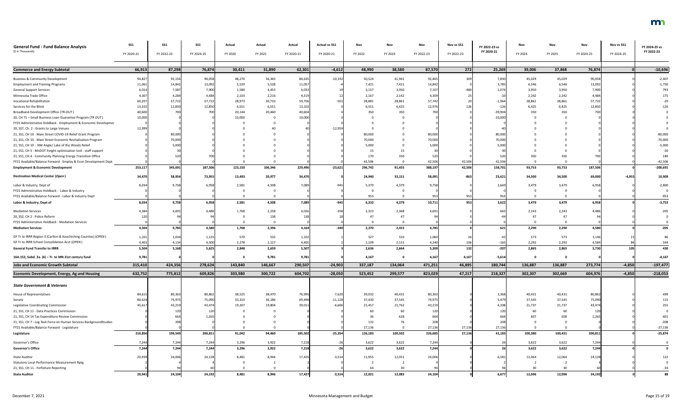| <b>General Fund - Fund Balance Analysis</b>                        | SS1        | <b>SS1</b> | <b>SS1</b> | Actual  | Actual  | Actual     | <b>Actual vs SS1</b> | Nov     | Nov            | Nov             | Nov vs SS1 | FY 2022-23 vs | Nov         | Nov     | Nov        | Nov vs SS1 | FY 2024-25 vs |
|--------------------------------------------------------------------|------------|------------|------------|---------|---------|------------|----------------------|---------|----------------|-----------------|------------|---------------|-------------|---------|------------|------------|---------------|
| (\$ in Thousands)                                                  | FY 2020-21 | FY 2022-23 | FY 2024-25 | FY 2020 | FY 2021 | FY 2020-21 | FY 2020-21           | FY 2022 | FY 2023        | FY 2022-23      | FY 2022-23 | FY 2020-21    | FY 2024     | FY 2025 | FY 2024-25 | FY 2024-25 | FY 2022-23    |
|                                                                    |            |            |            |         |         |            |                      |         |                |                 |            |               |             |         |            |            |               |
| <b>Commerce and Energy Subtotal</b>                                | 66,913     | 87,298     | 76,874     | 30,411  | 31,890  | 62,301     | $-4,612$             | 48,990  | 38,580         | 87,570          | 272        | 25,269        | 39,006      | 37,868  | 76,874     |            | $-10,696$     |
| <b>Business &amp; Community Development</b>                        | 94,827     | 92,156     | 90,058     | 48,270  | 36,365  | 84,635     | $-10,192$            | 50,524  | 41,941         | 92,465          | 309        | 7,830         | 45,029      | 45,029  | 90,058     |            | $-2,407$      |
| <b>Employment and Training Programs</b>                            | 11,061     | 14,842     | 13,092     | 5,529   | 5,528   | 11,057     |                      | 7,421   | 7,421          | 14,84           |            | 3,785         | 6,546       | 6,546   | 13,092     |            | $-1,750$      |
| <b>General Support Services</b>                                    | 6,014      | 7,587      | 7,900      | 1,580   | 4,453   | 6,033      |                      | 3,157   | 3,950          | 7,107           |            | 1,074         | 3,950       | 3,950   | 7,900      |            | 793           |
| Minnesota Trade Office                                             | 4,307      | 4,284      | 4,484      | 2,103   | 2,216   | 4,319      |                      | 2,167   | 2,142          | 4,309           |            |               | 2,242       | 2,242   | 4,484      |            | 175           |
| <b>Vocational Rehabilitation</b>                                   | 60,207     | 57,722     | 57,722     | 28,973  | 30,733  | 59,706     | $-50.$               | 28,881  | 28,861         | 57,74           |            | $-1,964$      | 28,861      | 28,861  | 57,722     |            | $-20$         |
| Services for the Blind                                             | 13,102     | 12,850     | 12,850     | 6,551   | 6,551   | 13,102     |                      | 6,551   | 6,425          | 12,976          |            | $-126$        | 6,425       | 6,425   | 12,850     |            | $-126$        |
| Broadband Development Office (TR-OUT)                              | 40,600     | 70         | 700        | 20,144  | 20,460  | 40,604     |                      | 350     | 350            | 700             |            | $-39,904$     | 350         | 350     |            |            |               |
| 20, CH 71 - Small Business Loan Guarantee Program (TR OUT)         | 10,000     |            |            | 10,000  |         | 10,000     |                      |         |                |                 |            | $-10,000$     |             |         |            |            |               |
| FY21 Administrative Holdback - Employment & Economic Developmer    |            |            |            |         |         |            |                      |         |                |                 |            |               |             |         |            |            |               |
| 20, SS7, Ch. 2 - Grants to Large Venues                            | 12,999     |            |            |         |         |            | $-12,959$            |         |                |                 |            |               |             |         |            |            |               |
| 21, SS1, CH 10 - Main Street COVID-19 Relief Grant Program         |            | 80,000     |            |         |         |            |                      | 80,000  |                | 80,000          |            | 80,000        |             |         |            |            | $-80,000$     |
| 21, SS1, CH 10 - Main Street Economic Revitalization Program       |            | 70,000     |            |         |         |            |                      | 70,000  |                | 70,000          |            | 70,000        |             |         |            |            | $-70,000$     |
| 21, SS1, CH 10 - NW Angle/ Lake of the Woods Relief                |            | 5,00       |            |         |         |            |                      | 5,000   |                | 5,000           |            | 5.000         |             |         |            |            | $-5,000$      |
| 21, SS1, CH 5 - MnDOT freight optimization tool - staff support    |            |            |            |         |         |            |                      | -15     | 15             |                 |            |               |             |         |            |            | $-30$         |
| 21, SS1, CH 4 - Community Planning Energy Transition Office        |            | 520        | 700        |         |         |            |                      | 170     | 350            | 520             |            | 520           | 350         | 350     |            |            | 180           |
| FY21 Available/Balance Forward - Employ & Econ Development Dept    |            |            |            |         |         |            |                      | 42,506  |                | 42,506          | 42,506     | 42,506        |             |         |            |            | $-42,506$     |
| <b>Employment &amp; Economic Development</b>                       | 253,117    | 345,691    | 187,506    | 123,150 | 106,346 | 229,496    | $-23,621$            | 296,742 | 91,455         | 388,197         | 42,506     | 158,701       | 93,753      | 93,753  | 187,506    |            | $-200,691$    |
| <b>Destination Medical Center (Open)</b>                           | 34,470     | 58,954     | 73,955     | 13,493  | 20,977  | 34,470     |                      | 24,940  | 33,151         | 58,091          | $-863$     | 23,621        | 34,500      | 34,500  | 69,000     | $-4,955$   | 10,909        |
| Labor & Industry, Dept of                                          | 8,034      | 9,75       | 6,958      | 2,581   | 4,508   | 7,089      | $-94$                | 5,379   | 4,379          | 9,758           |            | 2,669         | 3,479       | 3,479   | 6,958      |            | $-2,800$      |
| FY21 Administrative Holdback - Labor & Industry                    |            |            |            |         |         |            |                      |         |                |                 |            |               |             |         |            |            |               |
| FY21 Available/Balance Forward - Labor & Industry Dept             |            |            |            |         |         |            |                      | 953     |                | 953             |            |               |             |         |            |            | $-953$        |
| Labor & Industry, Dept of                                          | 8,034      | 9,758      | 6,958      | 2,581   | 4,508   | 7,089      | $-945$               | 6,332   | 4,379          | 10,711          | 953        | 3,622         | 3,479       | 3,479   | 6,958      |            | $-3,753$      |
| <b>Mediation Services</b>                                          | 4,384      | 4,691      | 4,486      | 1,768   | 2,258   | 4,026      | $-358$               | 2,323   | 2,368          | 4,691           |            | 665           | 2,243       | 2,243   | 4,486      |            | $-205$        |
| 20, SS2, CH 2 - Police Reform                                      | 120        |            |            |         | 138     | 138        |                      | 47      | 47             |                 |            |               | 47          | 47      |            |            |               |
| FY21 Administrative Holdback - Mediation Services                  |            |            |            |         |         |            |                      |         |                |                 |            |               | $\Omega$    |         |            |            |               |
| <b>Mediation Services</b>                                          | 4,504      | 4,785      | 4,580      | 1,768   | 2,396   | 4,164      | $-340$               | 2,370   | 2,415          | 4,785           |            | 621           | 2,290       | 2,290   | 4,580      |            | $-205$        |
| GF Tr to IRRR Region 3 (Carlton & Koochiching Counties) (OPEN)     | 1,101      | 1,034      | 1,125      | 570     | 532     | 1,102      |                      | 527     | 533            | 1,060           |            |               | 573         | 573     | 1,146      |            | 86            |
| GF Tr to IRRR School Consolidation Acct (OPEN)                     | 4,403      | 4,134      | 4,500      | 2,278   | 2,127   | 4,405      |                      | 2,109   | 2,131          | 4,240           | 106        | $-165$        | 2,292       | 2,292   | 4,584      |            | 344           |
| <b>General Fund Transfer to IRRR</b>                               | 5,504      | 5,168      | 5,625      | 2,848   | 2,659   | 5,507      |                      | 2,636   | 2,664          | 5,300           | 132        | $-207$        | 2,865       | 2,865   | 5,730      | 105        | 430           |
| 16A.152, Subd. 2a. (6) - Tr. to MN 21st century fund               | 9,781      |            |            |         | 9,781   | 9,781      |                      | 4,167   | - 0            | 4,167           | 4,167      | $-5,614$      | $\mathbf 0$ | 0       |            |            | $-4,167$      |
| <b>Jobs and Economic Growth Subtotal</b>                           | 315,410    | 424,356    | 278,624    | 143,840 | 146,667 | 290,507    | $-24,903$            | 337,187 | 134,064        | 471,251         | 46,895     | 180,744       | 136,887     | 136,887 | 273,774    | $-4,850$   | $-197,477$    |
| <b>Economic Development, Energy, Ag and Housing</b>                | 632,752    | 775,812    | 609,826    | 303,980 | 300,722 | 604,702    | $-28,050$            | 523,452 | 299,577        | 823,029         | 47,217     | 218,327       | 302,307     | 302,669 | 604,976    | $-4,850$   | $-218,053$    |
|                                                                    |            |            |            |         |         |            |                      |         |                |                 |            |               |             |         |            |            |               |
| <b>State Government &amp; Veterans</b>                             |            |            |            |         |         |            |                      |         |                |                 |            |               |             |         |            |            |               |
| House of Representatives                                           | 84,615     | 80,363     | 80,862     | 38,525  | 38,470  | 76,995     | $-7,620$             | 39,932  | 40,431         | 80,36           |            | 3,368         | 40,431      | 40,431  | 80,862     |            | 499           |
| Senate                                                             | 80,624     | 74,975     | 75,090     | 33,310  | 36,186  | 69,496     | $-11,128$            | 37,430  | 37,545         | 74,975          |            | 5,479         | 37,545      | 37,545  | 75,090     |            | 115           |
| Legislative Coordinating Commission                                | 45,61      | 43,21      | 43,474     | 19,207  | 19,804  | 39,011     | $-6,606$             | 21,457  | 21,762         | 43,21           |            | 4,208         | 21,737      | 21,737  | 43,474     |            | 255           |
| 21, SS1, CH 11 - Data Practices Commission                         |            |            |            |         |         |            |                      | 60      | 60             | 12 <sub>C</sub> |            |               | -60         | 60      |            |            |               |
| 21, SS1, CH 14 Tax Expenditure Review Commission                   |            | 664        | 1,265      |         |         |            |                      |         | 628            | 664             |            | 664           | 607         | 658     | 1,265      |            | 60            |
| 21, SS1, CH 7 - Leg Task Force on Human Services BackgroundStudies |            | 208        |            |         |         |            |                      | 132     | 76             | 208             |            |               |             |         |            |            | $-208$        |
| FY21 Available/Balance Forward - Legislature                       |            |            |            |         |         |            |                      | 27,136  | $\overline{0}$ | 27,136          | 27,136     | 27,136        |             |         |            |            | $-27,136$     |
| Legislature                                                        | 210,856    | 199,54     | 200,811    | 91,042  | 94,460  | 185,502    | $-25,354$            | 126,183 | 100,502        | 226,685         | 27,136     | 41,183        | 100,380     | 100,431 | 200,811    |            | $-25,874$     |
| Governor's Office                                                  | 7,244      | 7,244      | 7,244      | 3,296   | 3,922   | 7,218      |                      | 3,622   | 3,622          | 7,244           |            |               | 3,622       | 3,622   | 7,244      |            |               |
| <b>Governor's Office</b>                                           | 7,244      | 7,244      | 7,244      | 3,296   | 3,922   | 7,218      |                      | 3,622   | 3,622          | 7,244           |            |               | 3,622       | 3,622   | 7,244      |            |               |
| <b>State Auditor</b>                                               | 20,939     | 24,006     | 24,128     | 8,481   | 8,944   | 17,425     | $-3,514$             | 11,955  | 12,051         | 24,006          |            | 6,581         | 12,064      | 12,064  | 24,128     |            | 122           |
| <b>Statutory Local Performance Measurement Rptg</b>                |            |            |            |         |         |            |                      |         |                |                 |            |               |             |         |            |            |               |
| 21, SS1, CH 11 - Forfeiture Reporting                              |            |            |            |         |         |            |                      | 64      | 30             |                 |            |               |             |         |            |            |               |
| <b>State Auditor</b>                                               | 20,941     | 24,104     | 24,192     | 8,481   | 8,946   | 17,427     | $-3,514$             | 12,021  | 12,083         | 24,104          |            | 6,677         | 12,096      | 12,096  | 24,192     |            | 88            |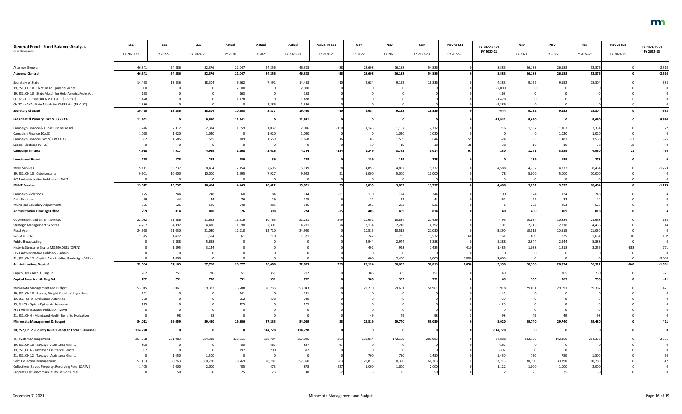| <b>General Fund - Fund Balance Analysis</b><br>(\$ in Thousands) | <b>SS1</b> | <b>SS1</b> | <b>SS1</b> | Actual  | Actual  | Actual          | <b>Actual vs SS1</b> | Nov     | Nov      | Nov        | Nov vs SS1 | FY 2022-23 vs<br>FY 2020-21 | Nov      | Nov      | Nov        | Nov vs SS1 | FY 2024-25 vs<br>FY 2022-23 |
|------------------------------------------------------------------|------------|------------|------------|---------|---------|-----------------|----------------------|---------|----------|------------|------------|-----------------------------|----------|----------|------------|------------|-----------------------------|
|                                                                  | FY 2020-21 | FY 2022-23 | FY 2024-25 | FY 2020 | FY 2021 | FY 2020-21      | FY 2020-21           | FY 2022 | FY 2023  | FY 2022-23 | FY 2022-23 |                             | FY 2024  | FY 2025  | FY 2024-25 | FY 2024-25 |                             |
| <b>Attorney General</b>                                          | 46,341     | 54,886     | 52,376     | 22,047  | 24,256  | 46,303          |                      | 28,698  | 26,188   | 54,886     |            | 8,583                       | 26,188   | 26,188   | 52,376     |            | $-2,510$                    |
| <b>Attorney General</b>                                          | 46,341     | 54,886     | 52,376     | 22,047  | 24,256  | 46,303          |                      | 28,698  | 26,188   | 54,886     |            | 8,583                       | 26,188   | 26,188   | 52,376     |            | $-2,510$                    |
|                                                                  |            |            |            |         |         |                 |                      |         |          |            |            |                             |          |          |            |            |                             |
| Secretary of State                                               | 14,463     | 18,836     | 18,304     | 6,962   | 7,491   | 14,453          |                      | 9,684   | 9,152    | 18,836     |            | 4,383                       | 9,152    | 9,152    | 18,304     |            | $-532$                      |
| 19, SS1, CH 10 - Election Equipment Grants                       | 2,000      |            |            | 2,000   |         | 2,000           |                      |         |          |            |            | $-2,000$                    |          |          |            |            |                             |
| 19, SS1, CH 10 - State Match for Help America Vote Act           | 163        |            |            | 163     |         | 16 <sup>3</sup> |                      |         |          |            |            | $-163$                      |          |          |            |            |                             |
| CH 77 - HELP AMERICA VOTE ACT (TR OUT)                           | 1,478      |            |            | 1,478   |         | 1,478           |                      |         |          |            |            | $-1,47$                     |          |          |            |            |                             |
| CH 77 - HAVA, State Match for CARES Act (TR OUT)                 | 1,386      |            |            |         | 1,386   | 1,386           |                      |         |          |            |            | $-1,38$                     |          |          |            |            |                             |
| <b>Secretary of State</b>                                        | 19,490     | 18,836     | 18,304     | 10,603  | 8,877   | 19,480          |                      | 9,684   | 9,152    | 18,836     |            | $-644$                      | 9,152    | 9,152    | 18,304     |            | $-532$                      |
| Presidential Primary (OPEN) (TR OUT)                             | 11,941     |            | 9,690      | 11,941  |         | 11,941          |                      |         |          |            |            | $-11,941$                   | 9,690    |          | 9,690      |            | 9,690                       |
| Campaign Finance & Public Disclosure Bd                          | 2,246      | 2,312      | 2,334      | 1,059   | 1,037   | 2,096           | $-150$               | 1,145   | 1,167    | 2,312      |            | 216                         | 1,167    | 1,167    | 2,334      |            |                             |
| Campaign Finance 10A.31                                          | 1,020      | 1,020      | 1,020      |         | 1,020   | 1,020           |                      |         | 1,020    | 1,020      |            |                             |          | 1,020    | 1,020      |            |                             |
| Campaign Finance (OPEN) (TR OUT)                                 | 1,652      | 1,585      | 1,585      | 109     | 1,559   | 1,668           |                      | 85      | 1,559    | 1,644      |            |                             |          | 1,483    | 1,568      |            |                             |
| <b>Special Elections (OPEN)</b>                                  |            |            |            |         |         |                 |                      | 19      | 19       |            |            |                             |          | 19       |            |            |                             |
| <b>Campaign Finance</b>                                          | 4,918      | 4,917      | 4,939      | 1,168   | 3,616   | 4,784           | $-134$               | 1,249   | 3,765    | 5,014      |            | 230                         | 1,271    | 3,689    | 4,960      |            | $-54$                       |
| <b>Investment Board</b>                                          | 278        | 278        | 278        | 139     | 139     | 278             |                      | 139     | 139      | 278        |            |                             | 139      | 139      | 278        |            |                             |
| <b>MNIT Services</b>                                             | 5,111      | 9,73       | 8,464      | 2,454   | 2,695   | 5,149           |                      | 4,855   | 4,882    | 9,73       |            | 4,588                       | 4,232    | 4,232    | 8,464      |            | $-1,273$                    |
| 19, SS1, CH 10 - Cybersecurity                                   | 9,901      | 10,000     | 10,000     | 1,995   | 7,927   | 9,922           |                      | 5,000   | 5,000    | 10,000     |            |                             | 5,000    | 5,000    | 10,000     |            |                             |
| FY21 Administrative Holdback - MN-IT                             |            |            |            |         |         |                 |                      |         | $\Omega$ |            |            |                             | $\Omega$ | $\Omega$ |            |            |                             |
| <b>MN-IT Services</b>                                            | 15,012     | 19,737     | 18,464     | 4,449   | 10,622  | 15,071          |                      | 9,855   | 9,882    | 19,737     |            | 4,666                       | 9,232    | 9,232    | 18,464     |            | $-1,273$                    |
|                                                                  |            |            |            |         |         |                 |                      |         |          |            |            |                             |          |          |            |            |                             |
| <b>Campaign Violations</b>                                       |            | 244        | 248        | 60      | 84      | 144             |                      | 120     | 124      | 244        |            | 100                         | 124      | 124      | 748        |            |                             |
| <b>Data Practices</b>                                            |            |            | 44         | 76      | 29      |                 |                      | 22      | 22       | 44         |            |                             | 22       | 22       |            |            |                             |
| Municipal Boundary Adjustments                                   | 525        | 526        | 526        | 240     | 285     |                 |                      | 263     | 263      | 526        |            |                             | 263      | 263      | 526        |            |                             |
| <b>Administrative Hearings Office</b>                            | 799        | 814        | 818        | 376     | 398     | 774             |                      | 405     | 409      | 814        |            |                             | 409      | 409      | 818        |            |                             |
| Government and Citizen Services                                  | 22,032     | 21,486     | 21,668     | 11,516  | 10,765  | 22,281          | 249                  | 10,652  | 10,834   | 21,486     |            | $-795$                      | 10,834   | 10,834   | 21,668     |            |                             |
| <b>Strategic Management Services</b>                             | 4,267      | 4,392      | 4,436      | 1,990   | 2,301   | 4,291           |                      | 2,174   | 2,218    | 4,392      |            | 101                         | 2,218    | 2,218    | 4,436      |            |                             |
| <b>Fiscal Agent</b>                                              | 24,920     | 21,030     | 21,030     | 12,210  | 12,710  | 24,920          |                      | 10,515  | 10,515   | 21,030     |            | $-3,890$                    | 10,515   | 10,515   | 21,030     |            |                             |
| WCRA (OPEN)                                                      | 1,345      | 1,472      | 1,594      | 661     | 710     | 1,371           |                      | 747     | 785      | 1,532      |            | 161                         | 809      | 825      | 1,634      |            |                             |
| <b>Public Broadcasting</b>                                       |            | 5,888      | 5,888      |         |         |                 |                      | 2,944   | 2,944    | 5,888      |            | 5,888                       | 2,944    | 2,944    | 5,888      |            |                             |
| Historic Structure Grants MS 290.0681 (OPEN)                     |            | 1,89       | 3,14       |         |         |                 |                      | 492     | 993      | 1,485      |            | 1,485                       | 1,038    | 1,218    | 2,256      |            | 771                         |
| FY21 Administrative Holdback - Admin                             |            |            |            |         |         |                 |                      |         | - 0      |            |            |                             |          |          |            |            |                             |
| 21, SS1, CH 12 - Capital Area Building Predesign (OPEN)          |            | 1,000      |            |         |         |                 |                      | 600     | 2,400    | 3,000      | 2,000      | 3,000                       |          |          |            |            | $-3,000$                    |
| <b>Administration, Dept of</b>                                   | 52,564     | 57,163     | 57,760     | 26,377  | 26,486  | 52,863          | 299                  | 28,124  | 30,689   | 58,813     | 1,650      | 5,950                       | 28,358   | 28,554   | 56,912     | $-848$     | $-1,901$                    |
| Capitol Area Arch & Plng Bd                                      | 702        | 751        | 730        | 351     | 351     | 702             |                      | 386     | 365      | 751        |            |                             | 365      | 365      | 730        |            | $-21$                       |
| Capitol Area Arch & Plng Bd                                      | 702        | 751        | 730        | 351     | 351     | 702             |                      | 386     | 365      | 751        |            |                             | 365      | 365      | 730        |            | $-21$                       |
| Minnesota Management and Budget                                  | 53,015     | 58,961     | 59,382     | 26,288  | 26,755  | 53,043          |                      | 29,270  | 29,691   | 58,961     |            | 5,918                       | 29,691   | 29,691   | 59,382     |            | 421                         |
| 19, SS1, CH 10 - Becker, Wright Counties' Legal Fees             | 141        |            |            | 141     |         | 14 <sup>°</sup> |                      |         |          |            |            | $-141$                      |          |          |            |            |                             |
| 19, SS1, CH 9 - Evaluation Activities                            |            |            |            | 252     | 478     |                 |                      |         |          |            |            | $-730$                      |          |          |            |            |                             |
| 19, CH 63 - Opiate Epidemic Response                             |            |            |            | 125     |         |                 |                      |         |          |            |            |                             |          |          |            |            |                             |
| FY21 Administrative Holdback - MMB                               |            |            |            |         |         |                 |                      |         |          |            |            |                             |          |          |            |            |                             |
| 21, SS1, CH 4 - Mandated Health Benefits Evaluation              |            |            |            |         |         |                 |                      |         | 49       |            |            |                             |          |          |            |            |                             |
| Minnesota Management & Budget                                    | 54,011     | 59,059     | 59,480     | 26,806  | 27,233  | 54,039          |                      | 29,319  | 29,740   | 59,059     |            | 5,020                       | 29,740   | 29,740   | 59,480     |            | 421                         |
| 20, SS7, Ch. 2 - County Relief Grants to Local Businesses        | 114,728    |            |            |         | 114,728 | 114,728         |                      |         |          |            |            | $-114,728$                  |          |          |            |            |                             |
|                                                                  |            |            |            |         |         |                 |                      |         |          |            |            |                             |          |          |            |            |                             |
| Tax System Management                                            | 257,358    | 281,983    | 284,338    | 128,311 | 128,784 | 257,095         | $-263$               | 139,814 | 142,169  | 281,983    |            | 24,888                      | 142,169  | 142,169  | 284,338    |            | 2,355                       |
| 19, SS1, CH 10 - Taxpayer Assistance Grants                      | 800        |            |            | 400     | 467     |                 |                      |         |          |            |            | $-86$                       |          |          |            |            |                             |
| 19, SS1, CH 6 - Taxpayer Assistance Grants                       |            |            |            | 197     | 200     |                 |                      |         |          |            |            | $-39$                       |          |          |            |            |                             |
| 21, SS1, CH 12 - Taxpayer Assistance Grants                      |            | 1,450      | 1,500      |         |         |                 |                      | 700     | 750      | 1,450      |            | 1,450                       | 750      | 750      | 1,500      |            |                             |
| <b>Debt Collection Management</b>                                | 57,133     | 60,263     | 60,780     | 28,769  | 28,281  | 57,050          |                      | 29,873  | 30,390   | 60,263     |            | 3,213                       | 30,390   | 30,390   | 60,780     |            |                             |
| Collections, Seized Property, Recording Fees (OPEN)              | 1,405      | 2,000      | 2,000      | 405     | 473     |                 | $-527$               | 1,000   | 1,000    | 2,000      |            | 1,122                       | 1,000    | 1,000    | 2,000      |            |                             |
| Property Tax Benchmark Study MS 270C.991                         | 50         |            | 50         | 25      | 23      |                 |                      | 25      | 25       | 50         |            |                             | 25       | 25       |            |            |                             |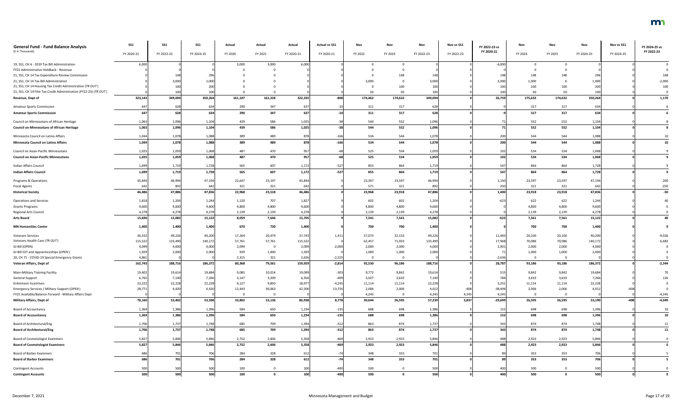| <b>General Fund - Fund Balance Analysis</b>                                                            | SS1        | <b>SS1</b>     | <b>SS1</b> | Actual      | Actual  | Actual     | <b>Actual vs SS1</b> | Nov            | Nov                     | Nov            | Nov vs SS1      | FY 2022-23 vs      | Nov           | Nov           | Nov        | Nov vs SS1 | FY 2024-25 vs |
|--------------------------------------------------------------------------------------------------------|------------|----------------|------------|-------------|---------|------------|----------------------|----------------|-------------------------|----------------|-----------------|--------------------|---------------|---------------|------------|------------|---------------|
| (\$ in Thousands)                                                                                      | FY 2020-21 | FY 2022-23     | FY 2024-25 | FY 2020     | FY 2021 | FY 2020-21 | FY 2020-21           | FY 2022        | FY 2023                 | FY 2022-23     | FY 2022-23      | FY 2020-21         | FY 2024       | FY 2025       | FY 2024-25 | FY 2024-25 | FY 2022-23    |
| 19, SS1, CH 6 - 2019 Tax Bill Administration                                                           | 6,000      |                |            | 3,000       | 3,000   | 6,000      |                      |                |                         |                |                 | $-6,000$           |               |               |            |            |               |
| FY21 Administrative Holdback - Revenue                                                                 |            |                |            |             |         |            |                      |                |                         |                |                 |                    |               |               |            |            |               |
| 21, SS1, CH 14 Tax Expenditure Review Commission                                                       |            | 148            |            |             |         |            |                      |                | 148                     |                |                 |                    | 148           | 148           |            |            | 148           |
| 21, SS1, CH 14 Tax Bill Administration                                                                 |            | 3,000          | 1.000      |             |         |            |                      | 3,000          |                         | 3,000          |                 | 3,000              | 1,000         |               | 1,000      |            | $-2,000$      |
| 21, SS1, CH 14 Housing Tax Credit Administration (TR OUT)                                              |            | 100            | 200        |             |         |            |                      |                | 100                     | 100            |                 | 100                | 100           | 100           | 200        |            | 100           |
| 21, SS1, CH 14 Film Tax Credit Administration (FY22-25) (TR OUT)<br>Revenue, Dept of                   | 323,143    | 100<br>349,094 | 350,264    | 161,107     | 161,228 | 322,335    | $-808$               | 50<br>174,462  | 50<br>174,632           | 100<br>349,094 |                 | 26,759             | 50<br>175,632 | 50<br>174,632 | 350,264    |            | 1,170         |
| <b>Amateur Sports Commission</b>                                                                       |            | 628            | 634        | 290         | 347     | 637        |                      | 311            | 317                     | 628            |                 |                    | 317           | 317           | 63         |            |               |
| <b>Amateur Sports Commission</b>                                                                       | 647        | 628            | 634        | 290         | 347     | 637        |                      | 311            | 317                     | 628            |                 |                    | 317           | 317           | 634        |            |               |
| Council on Minnesotans of African Heritage                                                             | 1,063      | 1,096          | 1,104      | 439         | 586     | 1,025      |                      | 544            | 552                     | 1,096          |                 |                    | 552           | 552           | 1,104      |            |               |
| <b>Council on Minnesotans of African Heritage</b>                                                      | 1,063      | 1,096          | 1,104      | 439         | 586     | 1,025      |                      | 544            | 552                     | 1,096          |                 |                    | 552           | 552           | 1,104      |            |               |
| Minnesota Council on Latino Affairs                                                                    | 1,044      | 1,078          | 1,088      | 389         | 489     | 878        | $-166$               | 534            | 544                     | 1,078          |                 |                    | 544           | 544           | 1,088      |            |               |
| <b>Minnesota Council on Latino Affairs</b>                                                             | 1,044      | 1,078          | 1,088      | 389         | 489     | 878        | $-166$               | 534            | 544                     | 1,078          |                 | 200                | 544           | 544           | 1,088      |            |               |
| Council on Asian-Pacific Minnesotans                                                                   | 1,025      | 1,059          | 1,068      | 487         | 470     | 957        |                      | 525            | 534                     | 1,059          |                 | 102                | 534           | 534           | 1,068      |            |               |
| <b>Council on Asian-Pacific Minnesotans</b>                                                            | 1,025      | 1,059          | 1,068      | 487         | 470     | 957        |                      | 525            | 534                     | 1,059          |                 | 102                | 534           | 534           | 1,068      |            |               |
| Indian Affairs Council                                                                                 | 1,699      | 1,719          | 1,728      | 565         | 607     | 1,172      | $-527$               | 855            | 864                     | 1,719          |                 | 547                | 864           | 864           | 1,728      |            |               |
| <b>Indian Affairs Council</b>                                                                          | 1,699      | 1,719          | 1,728      | 565         | 607     | 1,172      | $-527$               | 855            | 864                     | 1,719          |                 | 547                | 864           | 864           | 1,728      |            |               |
| Programs & Operations                                                                                  | 45,844     | 46,994         | 47,194     | 22,647      | 23,197  | 45,844     |                      | 23,397         | 23,597                  | 46,994         |                 | 1,150              | 23,597        | 23,597        | 47,194     |            | 200           |
| <b>Fiscal Agents</b>                                                                                   | 642        | 892            | 642        | 321         | 321     | 642        |                      | 571            | 321                     | 892            |                 | 250                | 321           | 321           | 64         |            | $-250$        |
| <b>Historical Society</b>                                                                              | 46,486     | 47,886         | 47,836     | 22,968      | 23,518  | 46,486     |                      | 23,968         | 23,918                  | 47,886         |                 | 1,400              | 23,918        | 23,918        | 47,836     |            | $-50$         |
| <b>Operations and Services</b>                                                                         | 1,818      | 1,204          | 1,244      | 1,120       | 707     | 1,827      |                      | 602            | 602                     | 1,204          |                 |                    | 622           | 622           | 1,244      |            |               |
| <b>Grants Programs</b>                                                                                 | 9,600      | 9,600          | 9,600      | 4,800       | 4,800   | 9,600      |                      | 4,800          | 4,800                   | 9,600          |                 |                    | 4,800         | 4,800         | 9,600      |            |               |
| Regional Arts Council                                                                                  | 4,278      | 4,27           | 4,278      | 2,139       | 2,139   | 4,278      |                      | 2,139          | 2,139                   | 4,278          |                 |                    | 2,139         | 2,139         | 4,278      |            |               |
| <b>Arts Board</b>                                                                                      | 15,696     | 15,082         | 15,122     | 8,059       | 7,646   | 15,705     |                      | 7,541          | 7,541                   | 15,082         |                 | $-623$             | 7,561         | 7,561         | 15,122     |            |               |
| <b>MN Humanities Center</b>                                                                            | 1,400      | 1,400          | 1,400      | 670         | 730     | 1,400      |                      | 700            | 700                     | 1,400          |                 |                    | 700           | 700           | 1,400      |            |               |
| <b>Veterans Services</b>                                                                               | 36,332     | 49,226         | 40,200     | 17,264      | 20,479  | 37,743     | 1,411                | 27,073         | 22,153                  | 49,226         |                 | 11,483             | 20,100        | 20,100        | 40,200     |            | $-9,026$      |
| Veterans Health Care (TR OUT)                                                                          | 115,522    | 133,490        | 140,172    | 57,761      | 57,761  | 115,522    |                      | 62,457         | 71,033                  | 133,490        |                 | 17,968             | 70,086        | 70,086        | 140,172    |            | 6,682         |
| GI Bill (OPEN)                                                                                         | 4,099      | 4,000          | 4,000      | 2,099       |         | 2,099      | $-2,000$             | 2,000          | 2,000                   | 4,000          |                 | 1,901              | 2,000         | 2,000         | 4,000      |            |               |
| GI Bill OJT and Apprenticeships (OPEN)                                                                 | 1,929      | 2,000          | 2,000      | 929         | 1,000   | 1,929      |                      | 1,000          | 1,000                   | 2,000          |                 |                    | 1,000         | 1,000         | 2,000      |            |               |
| 20, CH 71 - COVID-19 Special Emergency Grants                                                          | 4,861      |                |            | 2,315       | 321     | 2,636      | $-2,225$             | $\Omega$       | $\mathbf 0$             |                |                 | $-2,636$           |               |               |            |            |               |
| Veteran Affairs, Dept of                                                                               | 162,743    | 188,716        | 186,372    | 80,368      | 79,561  | 159,929    | $-2,814$             | 92,530         | 96,186                  | 188,716        |                 | 28,787             | 93,186        | 93,186        | 186,372    |            | $-2,344$      |
| Main-Military Training Facility                                                                        | 19,402     | 19,614         | 19,684     | 9,085       | 10,014  | 19,099     | $-303$               | 9,772          | 9,842                   | 19,614         |                 | 515                | 9,842         | 9,842         | 19,684     |            |               |
| <b>General Support</b>                                                                                 | 6,765      | 7,140          | 7,266      | 3,147       | 3,209   | 6,356      | $-409$               | 3,507          | 3,633                   | 7,140          |                 | 784                | 3,633         | 3,633         | 7,266      |            |               |
| <b>Enlistment Incentives</b>                                                                           | 23,222     | 22,228         | 22,228     | 9,127       | 9,850   | 18,977     | $-4,245$             | 11,114         | 11,114                  | 22,228         |                 | 3,25               | 11,114        | 11,114        | 22,228     |            |               |
| Emergency Services / Military Support (OPEN)<br>FY21 Available/Balance Forward - Military Affairs Dept | 28,771     | 4,420          | 4,420      | 12,443<br>റ | 30,063  | 42,506     | 13,735               | 2,006<br>4,245 | 2,006<br>$\overline{0}$ | 4,012<br>4,245 | $-408$<br>4,245 | $-38,494$<br>4,245 | 2,006         | 2,006         | 4,012      |            | $-4,245$      |
| <b>Military Affairs, Dept of</b>                                                                       | 78,160     | 53,402         | 53,598     | 33,802      | 53,136  | 86,938     | 8,778                | 30,644         | 26,595                  | 57,239         | 3,837           | $-29,699$          | 26,595        | 26,595        | 53,190     | $-408$     | $-4,049$      |
| <b>Board of Accountancy</b>                                                                            | 1,369      | 1,386          | 1,396      | 584         | 650     | 1,234      | $-135$               | 688            | 698                     | 1,386          |                 | 15 <sub>i</sub>    | 698           | 698           | 1,396      |            | 10            |
| <b>Board of Accountancy</b>                                                                            | 1,369      | 1,386          | 1,396      | 584         | 650     | 1,234      | $-135$               | 688            | 698                     | 1,386          |                 | 152                | 698           | 698           | 1,396      |            | 10            |
| Board of Architectural/Eng                                                                             | 1,706      | 1,737          | 1,748      | 685         | 709     | 1,394      | $-312$               | 863            | 874                     | 1,737          |                 | 343                | 874           | 874           | 1,748      |            | 11            |
| <b>Board of Architectural/Eng</b>                                                                      | 1,706      | 1,737          | 1,748      | 685         | 709     | 1,394      | $-312$               | 863            | 874                     | 1,737          |                 | 343                | 874           | 874           | 1,748      |            | 11            |
| <b>Board of Cosmetologist Examiners</b>                                                                | 5,827      | 5,846          | 5,846      | 2,752       | 2,606   | 5,358      | $-469$               | 2,923          | 2,923                   | 5,846          |                 | 488                | 2,923         | 2,923         | 5,846      |            |               |
| <b>Board of Cosmetologist Examiners</b>                                                                | 5,827      | 5,846          | 5,846      | 2,752       | 2,606   | 5,358      | $-469$               | 2,923          | 2,923                   | 5,846          |                 | 488                | 2,923         | 2,923         | 5,846      |            |               |
| <b>Board of Barber Examiners</b>                                                                       | 686        | 701            | 706        | 284         | 328     | 612        |                      | 348            | 353                     | 701            |                 |                    | 353           | 353           | 706        |            |               |
| <b>Board of Barber Examiners</b>                                                                       | 686        | 701            | 706        | 284         | 328     | 612        | $-74$                | 348            | 353                     | 701            |                 |                    | 353           | 353           | 706        |            |               |
| <b>Contingent Accounts</b>                                                                             | 500        | 500            | 500        | 100         |         | 100        | $-40$                | 500            | $\overline{0}$          | 500            |                 | 400                | 500           |               | 50         |            |               |
| <b>Contingent Accounts</b>                                                                             | 500        | 500            | 500        | 100         |         | 100        | $-400$               | 500            | $\mathbf 0$             | 500            |                 | 400                | 500           |               | 500        |            |               |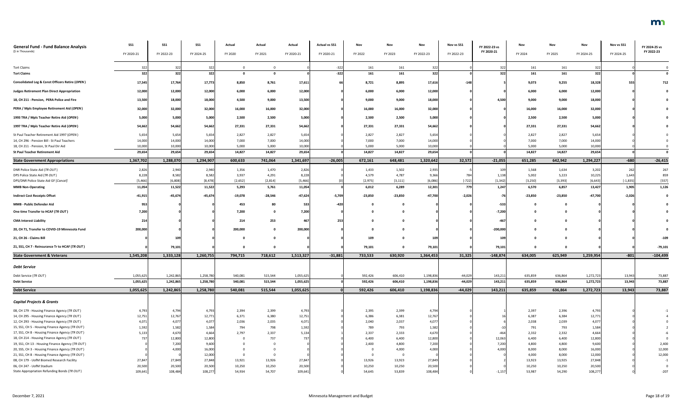| <b>General Fund - Fund Balance Analysis</b>                                    | <b>SS1</b>       | SS <sub>1</sub>  | SS1              | Actual          | Actual          | Actual           | <b>Actual vs SS1</b> | Nov             | Nov             | Nov              | Nov vs SS1 | FY 2022-23 vs | Nov             | Nov             | Nov              | Nov vs SS1  | FY 2024-25 vs |
|--------------------------------------------------------------------------------|------------------|------------------|------------------|-----------------|-----------------|------------------|----------------------|-----------------|-----------------|------------------|------------|---------------|-----------------|-----------------|------------------|-------------|---------------|
| (\$ in Thousands)                                                              | FY 2020-21       | FY 2022-23       | FY 2024-25       | FY 2020         | FY 2021         | FY 2020-21       | FY 2020-21           | FY 2022         | FY 2023         | FY 2022-23       | FY 2022-23 | FY 2020-21    | FY 2024         | FY 2025         | FY 2024-25       | FY 2024-25  | FY 2022-23    |
| <b>Tort Claims</b>                                                             | 322              | 322              | 322              |                 |                 |                  | $-322$               | 161             | 161             | 322              |            | 322           | 161             | 161             | 322              |             |               |
| <b>Tort Claims</b>                                                             | 322              | 322              | 322              |                 |                 |                  | $-322$               | 161             | 161             | 322              |            | 322           | 161             | 161             | 322              |             |               |
| <b>Consolidated Leg &amp; Const Officers Retire (OPEN)</b>                     | 17,545           | 17,764           | 17,773           | 8,850           | 8,761           | 17,611           |                      | 8,721           | 8,895           | 17,61            | $-148$     |               | 9,073           | 9,255           | 18,328           | <b>5551</b> | 712           |
| <b>Judges Retirement Plan Direct Appropriation</b>                             | 12,000           | 12,000           | 12,000           | 6,000           | 6,000           | 12,000           |                      | 6,000           | 6,000           | 12,000           |            |               | 6,000           | 6,000           | 12,000           |             |               |
| 18, CH 211 - Pension, PERA Police and Fire                                     | 13,500           | 18,000           | 18,000           | 4,500           | 9,000           | 13,500           |                      | 9,000           | 9,000           | 18,000           |            | 4,500         | 9,000           | 9,000           | 18,000           |             |               |
| PERA / Mpls Employee Retirement Aid (OPEN)                                     | 32,000           | 32,000           | 32,000           | 16,000          | 16,000          | 32,000           |                      | 16,000          | 16,000          | 32,000           |            |               | 16,000          | 16,000          | 32,000           |             |               |
| 1993 TRA / Mpls Teacher Retire Aid (OPEN)                                      | 5,000            | 5,000            | 5,000            | 2,500           | 2,500           | 5,000            |                      | 2,500           | 2,500           | 5,000            |            |               | 2,500           | 2,500           | 5,000            |             |               |
| 1997 TRA / Mpls Teacher Retire Aid (OPEN)                                      | 54,662           | 54,662           | 54,662           | 27,331          | 27,331          | 54,662           |                      | 27,331          | 27,331          | 54,662           |            |               | 27,331          | 27,331          | 54,662           |             |               |
| St Paul Teacher Retirement Aid 1997 (OPEN)                                     | 5,654            | 5,654            | 5,654            | 2,827           | 2,827           | 5,654            |                      | 2,827           | 2,827           | 5,654            |            |               | 2,827           | 2,827           | 5,654            |             |               |
| 14, CH 296 - Pension Bill - St Paul Teachers                                   | 14,000           | 14,000           | 14,000           | 7,000           | 7,000           | 14,000           |                      | 7,000           | 7,000           | 14,000           |            |               | 7,000           | 7,000           | 14,000           |             |               |
| 18, CH 211 - Pension, St Paul Dir Aid<br><b>St Paul Teacher Retirement Aid</b> | 10,000<br>29,654 | 10,000<br>29,654 | 10,000<br>29,654 | 5,000<br>14,827 | 5,000<br>14,827 | 10,000<br>29,654 |                      | 5,000<br>14,827 | 5,000<br>14,827 | 10,000<br>29,654 |            |               | 5,000<br>14,827 | 5,000<br>14,827 | 10,000<br>29,654 |             |               |
| <b>State Government Appropriations</b>                                         | 1,367,702        | 1,288,070        | 1,294,907        | 600,633         | 741,064         | 1,341,697        | $-26,005$            | 672,161         | 648,481         | 1,320,642        | 32,572     | $-21,055$     | 651,285         | 642,942         | 1,294,227        | $-680$      | $-26,415$     |
| DNR Police State Aid (TR OUT)                                                  | 2,826            | 2,940            | 2,940            | 1,356           | 1,470           | 2,826            |                      | 1,433           | 1,502           | 2,935            |            | 109           | 1,568           | 1,634           | 3,202            | 262         | 267           |
| DPS Police State Aid (TR OUT)                                                  | 8,228            | 8,582            | 8,582            | 3,937           | 4,291           | 8,228            |                      | 4,579           | 4,787           | 9,366            | 784        | 1,138         | 5,002           | 5,223           | 10,225           | 1,643       | 859           |
| DPS/DNR Police State Aid GF [Cancel]                                           | [5, 466]         | [6, 808]         | [8, 478]         | [2,652]         | [2,814]         | [5,466]          |                      | [2, 975]        | [3, 111]        | [6,086]          | $[-722]$   | [1, 342]      | [3,250]         | [3, 393]        | [6, 643]         | $[-1, 835]$ | $[557]$       |
| <b>MMB Non-Operating</b>                                                       | 11,054           | 11,522           | 11,522           | 5,293           | 5,761           | 11,054           |                      | 6,012           | 6,289           | 12,301           | 779        | 1,247         | 6,570           | 6,857           | 13,427           | 1,905       | 1,126         |
| <b>Indirect Cost Receipts Offset</b>                                           | $-41,915$        | $-45,674$        | $-45,674$        | $-19,078$       | $-28,546$       | $-47,624$        | $-5,709$             | $-23,850$       | $-23,850$       | $-47,700$        | $-2,026$   |               | $-23,850$       | $-23,850$       | $-47,700$        | $-2,026$    |               |
| MMB - Public Defender Aid                                                      |                  |                  |                  | 453             |                 | 533              |                      |                 |                 |                  |            | $-533$        |                 |                 |                  |             |               |
| One time Transfer to HCAF (TR OUT)                                             | 7,200            |                  |                  | 7,200           |                 | 7,200            |                      |                 |                 |                  |            | $-7,200$      |                 |                 |                  |             |               |
| <b>CMA Interest Liability</b>                                                  |                  |                  |                  | 214             | 253             |                  |                      |                 |                 |                  |            |               |                 |                 |                  |             |               |
| 20, CH 71, Transfer to COVID-19 Minnesota Fund                                 | 200,000          |                  |                  | 200,000         |                 | 200,000          |                      |                 | - 0             |                  |            | $-200,000$    |                 |                 |                  |             |               |
| 21, CH 26 - Claims Bill                                                        |                  |                  |                  |                 |                 |                  |                      | 109             | $\Omega$        | 109              |            | 109           |                 |                 |                  |             | -109          |
| 21, SS1, CH 7 - Reinsurance Tr to HCAF (TR OUT)                                |                  | 79,101           |                  |                 |                 |                  |                      | 79,101          |                 | 79,101           |            | 79,101        | - 0             | - 0             |                  |             | $-79,101$     |
| <b>State Government &amp; Veterans</b>                                         | 1,545,208        | 1,333,128        | 1,260,755        | 794,715         | 718,612         | 1,513,327        | $-31,881$            | 733,533         | 630,920         | 1,364,453        | 31,325     | $-148,874$    | 634,005         | 625,949         | 1,259,954        | $-801$      | $-104,499$    |
| <b>Debt Service</b>                                                            |                  |                  |                  |                 |                 |                  |                      |                 |                 |                  |            |               |                 |                 |                  |             |               |
| Debt Service (TR OUT)                                                          | 1,055,625        | 1,242,865        | 1,258,780        | 540,081         | 515,544         | 1,055,625        |                      | 592,426         | 606,410         | 1,198,836        | $-44,029$  | 143,211       | 635,859         | 636,864         | 1,272,723        | 13,943      | 73,887        |
| <b>Debt Service</b>                                                            | 1,055,625        | 1,242,865        | 1,258,780        | 540,081         | 515,544         | 1,055,625        |                      | 592,426         | 606,410         | 1,198,836        | $-44,029$  | 143,211       | 635,859         | 636,864         | 1,272,723        | 13,943      | 73,887        |
| <b>Debt Service</b>                                                            | 1,055,625        | 1,242,865        | 1,258,780        | 540,081         | 515,544         | 1,055,625        |                      | 592,426         | 606,410         | 1,198,836        | $-44,029$  | 143,211       | 635,859         | 636,864         | 1,272,723        | 13,943      | 73,887        |
| <b>Capital Projects &amp; Grants</b>                                           |                  |                  |                  |                 |                 |                  |                      |                 |                 |                  |            |               |                 |                 |                  |             |               |
| 08, CH 179 - Housing Finance Agency (TR OUT)                                   | 4,793            | 4,794            | 4,793            | 2,394           | 2,399           | 4,793            |                      | 2,395           | 2,399           | 4,794            |            |               | 2,397           | 2,396           | 4,793            |             |               |
| 14, CH 295 - Housing Finance Agency (TR OUT)                                   | 12,751           | 12,767           | 12,771           | 6,371           | 6,380           | 12,751           |                      | 6,386           | 6,381           | 12,767           |            |               | 6,387           | 6,384           | 12,771           |             |               |
| 12, CH 293 - Housing Finance Agency (TR OUT)                                   | 4,071            | 4,077            | 4,077            | 2,036           | 2,035           | 4,071            |                      | 2,040           | 2,037           | 4,077            |            |               | 2,038           | 2,039           | 4,077            |             |               |
| 15, SS1, CH 5 - Housing Finance Agency (TR OUT)                                | 1,592            | 1,582            | 1,584            | 794             | 798             | 1,592            |                      | 789             | 793             | 1,582            |            |               | 791             | 793             | 1,584            |             |               |
| 17, SS1, CH 8 - Housing Finance Agency (TR OUT)                                | 5,133            | 4,670            | 4,664            | 2,797           | 2,337           | 5,134            |                      | 2,337           | 2,333           | 4,670            |            |               | 2,332           | 2,332           | 4,664            |             |               |
| 18, CH 214 - Housing Finance Agency (TR OUT)                                   |                  | 12,800           | 12,800           |                 | 737             |                  |                      | 6,400           | 6,400           | 12,800           |            | 12,063        | 6,400           | 6,400           | 12,800           |             |               |
| 19, SS1, CH 13 - Housing Finance Agency (TR OUT)                               |                  | 7,200            | 9,600            |                 |                 |                  |                      | 2,400           | 4,800           | 7,200            |            | 7,200         | 4,800           | 4,800           | 9,600            |             | 2,400         |
| 20, SS5, CH 3 - Housing Finance Agency (TR OUT)                                |                  | 4,000            | 16,000           |                 |                 |                  |                      |                 | 4,000           | 4,000            |            | 4.000         | 8,000           | 8,000           | 16,000           |             | 12,000        |
| 21, SS1, CH 8 - Housing Finance Agency (TR OUT)                                |                  |                  | 12,000           |                 |                 |                  |                      |                 | 0               |                  |            |               | 4,000           | 8,000           | 12,000           |             | 12,000        |
| 08, CH 179 - UofM Biomed Research Facility                                     | 27,847           | 27,849           | 27,848           | 13,921          | 13,926          | 27,847           |                      | 13,926          | 13,923          | 27,84            |            |               | 13,923          | 13,925          | 27,848           |             |               |
| 06, CH 247 - UofM Stadium                                                      | 20,500           | 20,500           | 20,500           | 10,250          | 10,250          | 20,500           |                      | 10,250          | 10,250          | 20,500           |            |               | 10,250          | 10,250          | 20,500           |             |               |
| State Appropriation Refunding Bonds (TR OUT)                                   | 109,641          | 108,484          | 108,277          | 54,934          | 54,707          | 109,641          |                      | 54,645          | 53,839          | 108,484          |            | $-1,157$      | 53,987          | 54,290          | 108,277          |             |               |